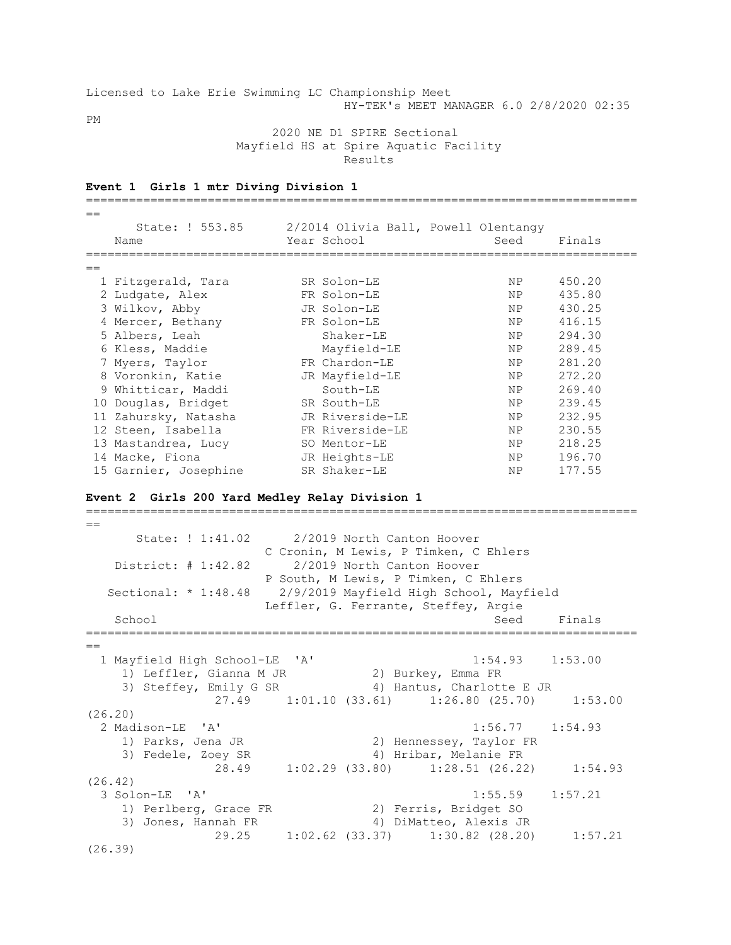Licensed to Lake Erie Swimming LC Championship Meet HY-TEK's MEET MANAGER 6.0 2/8/2020 02:35

PM

 2020 NE D1 SPIRE Sectional Mayfield HS at Spire Aquatic Facility Results

| $=$ $=$ |                       |                                      |           |        |
|---------|-----------------------|--------------------------------------|-----------|--------|
|         | State: ! 553.85       | 2/2014 Olivia Ball, Powell Olentangy |           |        |
|         | Name                  | Year School                          | Seed      | Finals |
|         |                       |                                      |           |        |
| $=$     |                       |                                      |           |        |
|         | 1 Fitzgerald, Tara    | SR Solon-LE                          | NP.       | 450.20 |
|         | 2 Ludgate, Alex       | FR Solon-LE                          | NP        | 435.80 |
|         | 3 Wilkov, Abby        | JR Solon-LE                          | NP        | 430.25 |
|         | 4 Mercer, Bethany     | FR Solon-LE                          | NP        | 416.15 |
|         | 5 Albers, Leah        | Shaker-LE                            | NP        | 294.30 |
|         | 6 Kless, Maddie       | Mayfield-LE                          | NP        | 289.45 |
|         | 7 Myers, Taylor       | FR Chardon-LE                        | NP.       | 281.20 |
|         | 8 Voronkin, Katie     | JR Mayfield-LE                       | NP        | 272.20 |
|         | 9 Whitticar, Maddi    | South-LE                             | NP        | 269.40 |
|         | 10 Douglas, Bridget   | SR South-LE                          | NP        | 239.45 |
|         | 11 Zahursky, Natasha  | JR Riverside-LE                      | <b>NP</b> | 232.95 |
|         | 12 Steen, Isabella    | FR Riverside-LE                      | NP        | 230.55 |
|         | 13 Mastandrea, Lucy   | SO Mentor-LE                         | NP        | 218.25 |
|         | 14 Macke, Fiona       | JR Heights-LE                        | NP        | 196.70 |
|         | 15 Garnier, Josephine | SR Shaker-LE                         | NP.       | 177.55 |

=============================================================================

### **Event 1 Girls 1 mtr Diving Division 1**

**Event 2 Girls 200 Yard Medley Relay Division 1**

 $=$  State: ! 1:41.02 2/2019 North Canton Hoover C Cronin, M Lewis, P Timken, C Ehlers District: # 1:42.82 2/2019 North Canton Hoover P South, M Lewis, P Timken, C Ehlers Sectional: \* 1:48.48 2/9/2019 Mayfield High School, Mayfield Leffler, G. Ferrante, Steffey, Argie School School Seed Finals ============================================================================= == 1 Mayfield High School-LE 'A' 1:54.93 1:53.00 1) Leffler, Gianna M JR 2) Burkey, Emma FR 3) Steffey, Emily G SR 4) Hantus, Charlotte E JR 27.49 1:01.10 (33.61) 1:26.80 (25.70) 1:53.00 (26.20) 2 Madison-LE 'A' 1:56.77 1:54.93 1) Parks, Jena JR 2) Hennessey, Taylor FR 3) Fedele, Zoey SR 4) Hribar, Melanie FR 28.49 1:02.29 (33.80) 1:28.51 (26.22) 1:54.93 (26.42) 3 Solon-LE 'A' 1:55.59 1:57.21 1) Perlberg, Grace FR 2) Ferris, Bridget SO 3) Jones, Hannah FR 4) DiMatteo, Alexis JR 29.25 1:02.62 (33.37) 1:30.82 (28.20) 1:57.21 (26.39)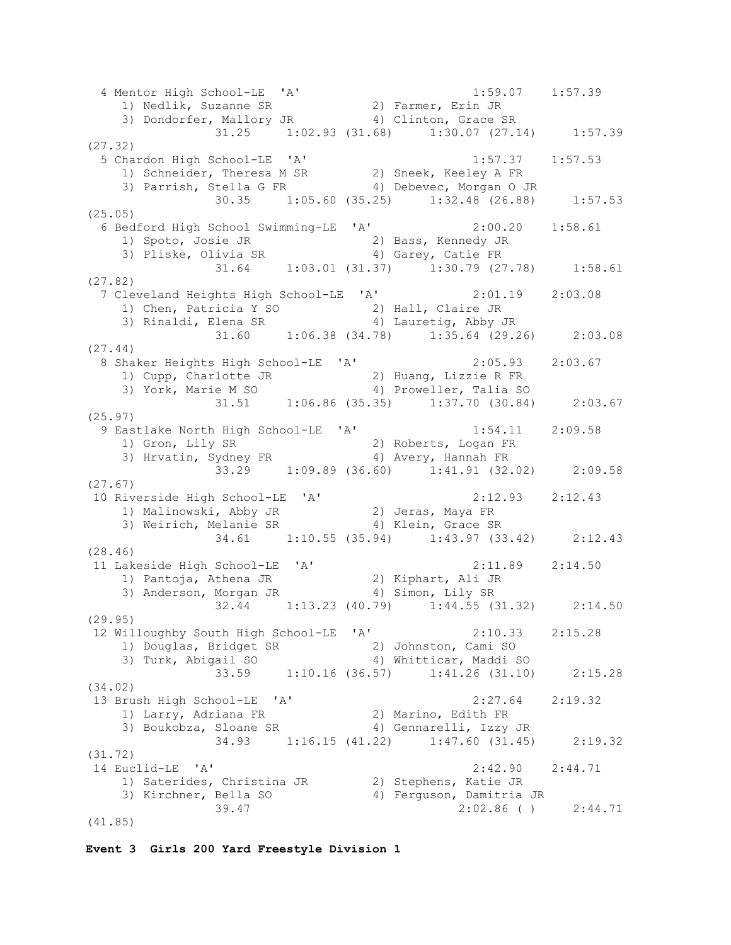4 Mentor High School-LE 'A' 1:59.07 1:57.39 1) Nedlik, Suzanne SR 2) Farmer, Erin JR 3) Dondorfer, Mallory JR 4) Clinton, Grace SR 31.25 1:02.93 (31.68) 1:30.07 (27.14) 1:57.39 (27.32) 5 Chardon High School-LE 'A' 1:57.37 1:57.53 1) Schneider, Theresa M SR 2) Sneek, Keeley A FR 3) Parrish, Stella G FR 4) Debevec, Morgan O JR 30.35 1:05.60 (35.25) 1:32.48 (26.88) 1:57.53 (25.05) 6 Bedford High School Swimming-LE 'A' 2:00.20 1:58.61 1) Spoto, Josie JR 2) Bass, Kennedy JR 3) Pliske, Olivia SR 4) Garey, Catie FR 31.64 1:03.01 (31.37) 1:30.79 (27.78) 1:58.61 (27.82) 7 Cleveland Heights High School-LE 'A' 2:01.19 2:03.08 1) Chen, Patricia Y SO 2) Hall, Claire JR 3) Rinaldi, Elena SR 4) Lauretig, Abby JR 31.60 1:06.38 (34.78) 1:35.64 (29.26) 2:03.08 (27.44) 8 Shaker Heights High School-LE 'A' 2:05.93 2:03.67 1) Cupp, Charlotte JR 2) Huang, Lizzie R FR 3) York, Marie M SO 4) Proweller, Talia SO 31.51 1:06.86 (35.35) 1:37.70 (30.84) 2:03.67 (25.97) 9 Eastlake North High School-LE 'A' 1:54.11 2:09.58 1) Gron, Lily SR 2) Roberts, Logan FR 3) Hrvatin, Sydney FR 4) Avery, Hannah FR 33.29 1:09.89 (36.60) 1:41.91 (32.02) 2:09.58 (27.67) 10 Riverside High School-LE 'A' 2:12.93 2:12.43 1) Malinowski, Abby JR 32) Jeras, Maya FR 3) Weirich, Melanie SR 4) Klein, Grace SR 34.61 1:10.55 (35.94) 1:43.97 (33.42) 2:12.43 (28.46) 11 Lakeside High School-LE 'A' 2:11.89 2:14.50 1) Pantoja, Athena JR 2) Kiphart, Ali JR 3) Anderson, Morgan JR 4) Simon, Lily SR 32.44 1:13.23 (40.79) 1:44.55 (31.32) 2:14.50 (29.95) 12 Willoughby South High School-LE 'A' 2:10.33 2:15.28 1) Douglas, Bridget SR 2) Johnston, Cami SO 3) Turk, Abigail SO 4) Whitticar, Maddi SO 33.59 1:10.16 (36.57) 1:41.26 (31.10) 2:15.28 (34.02) 13 Brush High School-LE 'A' 2:27.64 2:19.32 1) Larry, Adriana FR 2) Marino, Edith FR 3) Boukobza, Sloane SR 4) Gennarelli, Izzy JR 34.93 1:16.15 (41.22) 1:47.60 (31.45) 2:19.32 (31.72) 14 Euclid-LE 'A' 2:42.90 2:44.71 1) Saterides, Christina JR 2) Stephens, Katie JR 3) Kirchner, Bella SO 4) Ferguson, Damitria JR 39.47 2:02.86 ( ) 2:44.71 (41.85)

```
Event 3 Girls 200 Yard Freestyle Division 1
```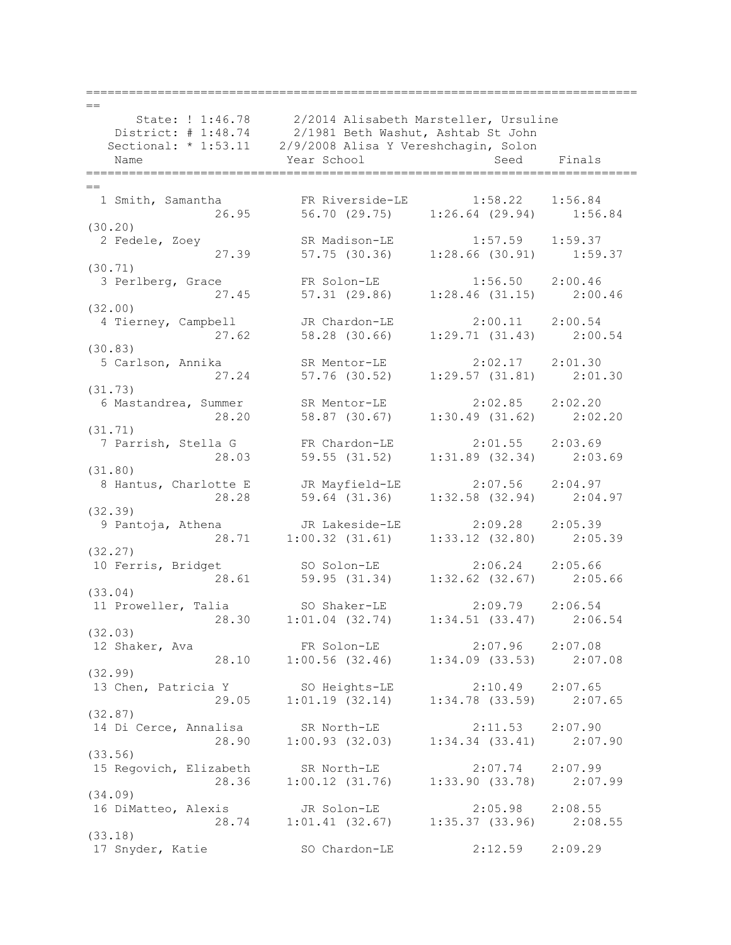| $==$                                                                                              |                                                                              |                                                        |             |  |  |  |
|---------------------------------------------------------------------------------------------------|------------------------------------------------------------------------------|--------------------------------------------------------|-------------|--|--|--|
|                                                                                                   | State: ! 1:46.78 2/2014 Alisabeth Marsteller, Ursuline                       |                                                        |             |  |  |  |
|                                                                                                   |                                                                              | District: # 1:48.74 2/1981 Beth Washut, Ashtab St John |             |  |  |  |
| Name                                                                                              | Year School                                                                  |                                                        | Seed Finals |  |  |  |
|                                                                                                   |                                                                              |                                                        |             |  |  |  |
|                                                                                                   |                                                                              |                                                        |             |  |  |  |
| 1 Smith, Samantha 6 FR Riverside-LE 1:58.22                                                       |                                                                              |                                                        | 1:56.84     |  |  |  |
|                                                                                                   | 26.95 56.70 (29.75) 1:26.64 (29.94) 1:56.84                                  |                                                        |             |  |  |  |
| (30.20)                                                                                           |                                                                              |                                                        |             |  |  |  |
| 2 Fedele, Zoey                                                                                    | SR Madison-LE 1:57.59 1:59.37                                                |                                                        |             |  |  |  |
|                                                                                                   | 27.39 57.75 (30.36) 1:28.66 (30.91) 1:59.37                                  |                                                        |             |  |  |  |
| (30.71)                                                                                           |                                                                              |                                                        |             |  |  |  |
| 3 Perlberg, Grace                                                                                 | FR Solon-LE 1:56.50 2:00.46<br>57.31 (29.86) 1:28.46 (31.15) 2:00.46         |                                                        |             |  |  |  |
| 27.45                                                                                             |                                                                              |                                                        |             |  |  |  |
| (32.00)                                                                                           |                                                                              |                                                        |             |  |  |  |
| 4 Tierney, Campbell JR Chardon-LE 2:00.11 2:00.54                                                 |                                                                              |                                                        |             |  |  |  |
|                                                                                                   | 27.62 58.28 (30.66) 1:29.71 (31.43) 2:00.54                                  |                                                        |             |  |  |  |
| (30.83)                                                                                           |                                                                              |                                                        |             |  |  |  |
| 5 Carlson, Annika SR Mentor-LE 2:02.17 2:01.30                                                    |                                                                              |                                                        |             |  |  |  |
|                                                                                                   | 27.24 57.76 (30.52) 1:29.57 (31.81) 2:01.30                                  |                                                        |             |  |  |  |
| (31.73)                                                                                           |                                                                              |                                                        |             |  |  |  |
| 6 Mastandrea, Summer                                                                              | SR Mentor-LE 2:02.85 2:02.20<br>58.87 (30.67) 1:30.49 (31.62) 2:02.20        |                                                        |             |  |  |  |
| 28.20                                                                                             |                                                                              |                                                        |             |  |  |  |
| (31.71)<br>7 Parrish, Stella G FR Chardon-LE 2:01.55 2:03.69                                      |                                                                              |                                                        |             |  |  |  |
|                                                                                                   | 28.03 59.55 (31.52) 1:31.89 (32.34) 2:03.69                                  |                                                        |             |  |  |  |
| (31.80)                                                                                           |                                                                              |                                                        |             |  |  |  |
| 8 Hantus, Charlotte E JR Mayfield-LE 2:07.56 2:04.97                                              |                                                                              |                                                        |             |  |  |  |
|                                                                                                   | 28.28 59.64 (31.36) 1:32.58 (32.94) 2:04.97                                  |                                                        |             |  |  |  |
| (32.39)                                                                                           |                                                                              |                                                        |             |  |  |  |
|                                                                                                   |                                                                              |                                                        |             |  |  |  |
| 9 Pantoja, Athena JR Lakeside-LE 2:09.28 2:05.39<br>28.71 1:00.32 (31.61) 1:33.12 (32.80) 2:05.39 |                                                                              |                                                        |             |  |  |  |
| (32.27)                                                                                           |                                                                              |                                                        |             |  |  |  |
|                                                                                                   |                                                                              |                                                        |             |  |  |  |
| 10 Ferris, Bridget 50 Solon-LE 2:06.24 2:05.66<br>28.61 59.95 (31.34) 1:32.62 (32.67) 2:05.66     |                                                                              |                                                        |             |  |  |  |
| (33.04)                                                                                           |                                                                              |                                                        |             |  |  |  |
| 11 Proweller, Talia SO Shaker-LE                                                                  |                                                                              | $2:09.79$ $2:06.54$                                    |             |  |  |  |
|                                                                                                   | 28.30 1:01.04 (32.74)                                                        | 1:34.51(33.47)                                         | 2:06.54     |  |  |  |
| (32.03)                                                                                           |                                                                              |                                                        |             |  |  |  |
| 12 Shaker, Ava                                                                                    | FR Solon-LE                                                                  | $2:07.96$ $2:07.08$                                    |             |  |  |  |
|                                                                                                   | FR Solon-LE 2:07.96 2:07.08<br>28.10 1:00.56 (32.46) 1:34.09 (33.53) 2:07.08 |                                                        |             |  |  |  |
| (32.99)                                                                                           |                                                                              |                                                        |             |  |  |  |
| 13 Chen, Patricia Y                                                                               | SO Heights-LE                                                                | 2:10.49                                                | 2:07.65     |  |  |  |
|                                                                                                   | 29.05 1:01.19 (32.14) 1:34.78 (33.59) 2:07.65                                |                                                        |             |  |  |  |
| (32.87)                                                                                           |                                                                              |                                                        |             |  |  |  |
| 14 Di Cerce, Annalisa                                                                             | SR North-LE                                                                  | 2:11.53                                                | 2:07.90     |  |  |  |
| 28.90                                                                                             | $1:00.93$ (32.03) $1:34.34$ (33.41)                                          |                                                        | 2:07.90     |  |  |  |
| (33.56)                                                                                           |                                                                              |                                                        |             |  |  |  |
| 15 Regovich, Elizabeth                                                                            | SR North-LE<br>$1:00.12$ (31.76) $1:33.90$ (33.78) $2:07.99$                 | 2:07.74                                                | 2:07.99     |  |  |  |
| 28.36                                                                                             |                                                                              |                                                        |             |  |  |  |
| (34.09)                                                                                           |                                                                              |                                                        |             |  |  |  |
| 16 DiMatteo, Alexis JR Solon-LE                                                                   |                                                                              | 2:05.98                                                | 2:08.55     |  |  |  |
|                                                                                                   | 28.74 1:01.41 (32.67) 1:35.37 (33.96) 2:08.55                                |                                                        |             |  |  |  |
| (33.18)<br>17 Snyder, Katie                                                                       | SO Chardon-LE                                                                | 2:12.59                                                | 2:09.29     |  |  |  |
|                                                                                                   |                                                                              |                                                        |             |  |  |  |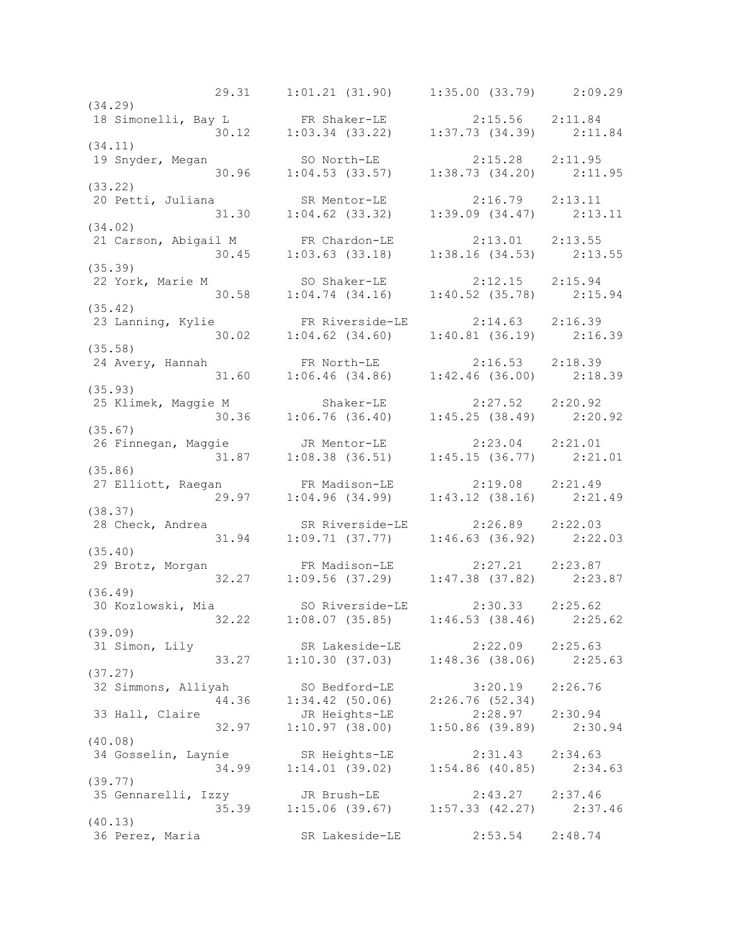29.31 1:01.21 (31.90) 1:35.00 (33.79) 2:09.29 (34.29) 18 Simonelli, Bay L FR Shaker-LE 2:15.56 2:11.84 30.12 1:03.34 (33.22) 1:37.73 (34.39) 2:11.84 (34.11) 19 Snyder, Megan SO North-LE 2:15.28 2:11.95 30.96 1:04.53 (33.57) 1:38.73 (34.20) 2:11.95 (33.22)<br>20 Petti, Juliana 20 Petti, Juliana SR Mentor-LE 2:16.79 2:13.11 31.30 1:04.62 (33.32) 1:39.09 (34.47) 2:13.11 (34.02) 21 Carson, Abigail M FR Chardon-LE 2:13.01 2:13.55 30.45 1:03.63 (33.18) 1:38.16 (34.53) 2:13.55 (35.39) 22 York, Marie M SO Shaker-LE 2:12.15 2:15.94 30.58 1:04.74 (34.16) 1:40.52 (35.78) 2:15.94 (35.42) 23 Lanning, Kylie FR Riverside-LE 2:14.63 2:16.39 30.02 1:04.62 (34.60) 1:40.81 (36.19) 2:16.39 (35.58) 24 Avery, Hannah FR North-LE 2:16.53 2:18.39 31.60 1:06.46 (34.86) 1:42.46 (36.00) 2:18.39 (35.93) 25 Klimek, Maggie M Shaker-LE 2:27.52 2:20.92 30.36 1:06.76 (36.40) 1:45.25 (38.49) 2:20.92 (35.67) 26 Finnegan, Maggie JR Mentor-LE 2:23.04 2:21.01 31.87 1:08.38 (36.51) 1:45.15 (36.77) 2:21.01 (35.86) 27 Elliott, Raegan FR Madison-LE 2:19.08 2:21.49 29.97 1:04.96 (34.99) 1:43.12 (38.16) 2:21.49 (38.37) 28 Check, Andrea SR Riverside-LE 2:26.89 2:22.03 31.94 1:09.71 (37.77) 1:46.63 (36.92) 2:22.03 (35.40) 29 Brotz, Morgan FR Madison-LE 2:27.21 2:23.87 32.27 1:09.56 (37.29) 1:47.38 (37.82) 2:23.87 (36.49) 30 Kozlowski, Mia SO Riverside-LE 2:30.33 2:25.62 32.22 1:08.07 (35.85) 1:46.53 (38.46) 2:25.62 (39.09) 31 Simon, Lily SR Lakeside-LE 2:22.09 2:25.63 33.27 1:10.30 (37.03) 1:48.36 (38.06) 2:25.63 (37.27) 32 Simmons, Alliyah SO Bedford-LE 3:20.19 2:26.76 44.36 1:34.42 (50.06) 2:26.76 (52.34) 33 Hall, Claire JR Heights-LE 2:28.97 2:30.94 32.97 1:10.97 (38.00) 1:50.86 (39.89) 2:30.94 (40.08) 34 Gosselin, Laynie SR Heights-LE 2:31.43 2:34.63 34.99 1:14.01 (39.02) 1:54.86 (40.85) 2:34.63 (39.77) 35 Gennarelli, Izzy JR Brush-LE 2:43.27 2:37.46 35.39 1:15.06 (39.67) 1:57.33 (42.27) 2:37.46 (40.13) 36 Perez, Maria SR Lakeside-LE 2:53.54 2:48.74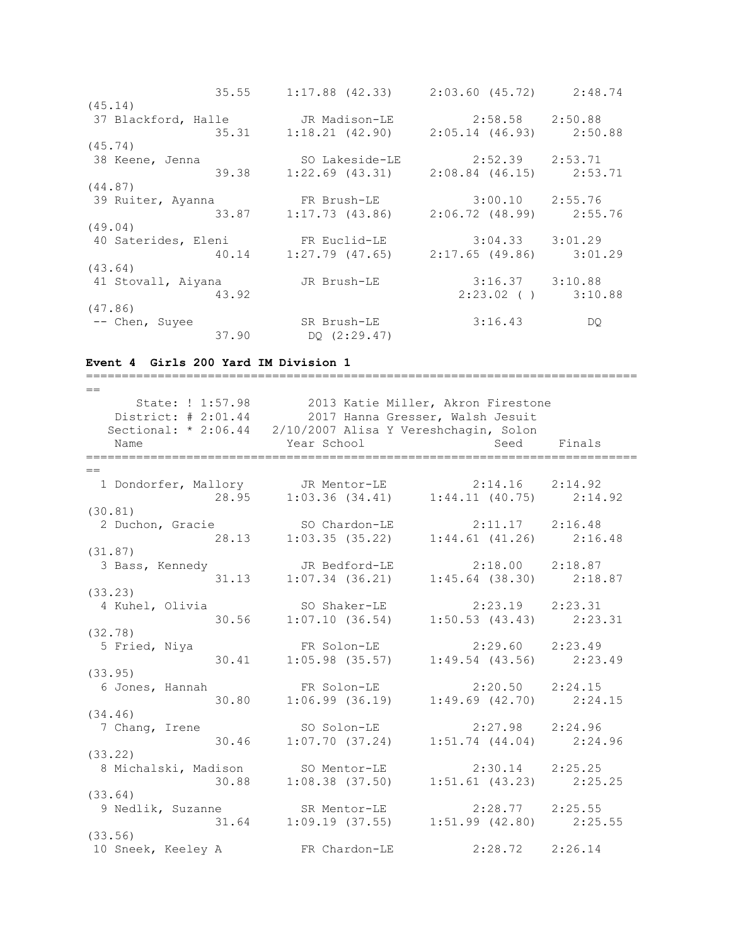|                                                      | 35.55 1:17.88 (42.33) 2:03.60 (45.72) 2:48.74 |                         |     |
|------------------------------------------------------|-----------------------------------------------|-------------------------|-----|
| (45.14)                                              |                                               |                         |     |
| 37 Blackford, Halle              JR Madison-LE       |                                               | $2:58.58$ $2:50.88$     |     |
|                                                      | 35.31 1:18.21 (42.90) 2:05.14 (46.93) 2:50.88 |                         |     |
| (45.74)                                              |                                               |                         |     |
| 38 Keene, Jenna                                      | SO Lakeside-LE 2:52.39 2:53.71                |                         |     |
|                                                      | 39.38 1:22.69 (43.31) 2:08.84 (46.15) 2:53.71 |                         |     |
| (44.87)                                              |                                               |                         |     |
| 39 Ruiter, Ayanna <b>FR Brush-LE</b> 3:00.10 2:55.76 |                                               |                         |     |
|                                                      | 33.87 1:17.73 (43.86) 2:06.72 (48.99) 2:55.76 |                         |     |
| (49.04)                                              |                                               |                         |     |
| 40 Saterides, Eleni FR Euclid-LE 3:04.33 3:01.29     |                                               |                         |     |
|                                                      | 40.14 1:27.79 (47.65) 2:17.65 (49.86) 3:01.29 |                         |     |
| (43.64)                                              |                                               |                         |     |
| 41 Stovall, Aiyana                                   | JR Brush-LE                                   | $3:16.37$ $3:10.88$     |     |
| 43.92                                                |                                               | $2:23.02$ ( ) $3:10.88$ |     |
| (47.86)                                              |                                               |                         |     |
| -- Chen, Suyee                                       | SR Brush-LE                                   | 3:16.43                 | DQ. |
|                                                      | 37.90 DQ (2:29.47)                            |                         |     |

### **Event 4 Girls 200 Yard IM Division 1**

=============================================================================  $-$  State: ! 1:57.98 2013 Katie Miller, Akron Firestone District: # 2:01.44 2017 Hanna Gresser, Walsh Jesuit Sectional: \* 2:06.44 2/10/2007 Alisa Y Vereshchagin, Solon Name Year School Seed Finals ============================================================================= == 1 Dondorfer, Mallory JR Mentor-LE 2:14.16 2:14.92 28.95 1:03.36 (34.41) 1:44.11 (40.75) 2:14.92 (30.81) 2 Duchon, Gracie SO Chardon-LE 2:11.17 2:16.48 28.13 1:03.35 (35.22) 1:44.61 (41.26) 2:16.48 (31.87) 3 Bass, Kennedy JR Bedford-LE 2:18.00 2:18.87 31.13 1:07.34 (36.21) 1:45.64 (38.30) 2:18.87 (33.23) 4 Kuhel, Olivia SO Shaker-LE 2:23.19 2:23.31 30.56 1:07.10 (36.54) 1:50.53 (43.43) 2:23.31 (32.78) 5 Fried, Niya FR Solon-LE 2:29.60 2:23.49 30.41 1:05.98 (35.57) 1:49.54 (43.56) 2:23.49 (33.95) 6 Jones, Hannah FR Solon-LE 2:20.50 2:24.15 30.80 1:06.99 (36.19) 1:49.69 (42.70) 2:24.15 (34.46) 7 Chang, Irene SO Solon-LE 2:27.98 2:24.96 30.46 1:07.70 (37.24) 1:51.74 (44.04) 2:24.96 (33.22) 8 Michalski, Madison SO Mentor-LE 2:30.14 2:25.25 30.88 1:08.38 (37.50) 1:51.61 (43.23) 2:25.25 (33.64) 9 Nedlik, Suzanne SR Mentor-LE 2:28.77 2:25.55 31.64 1:09.19 (37.55) 1:51.99 (42.80) 2:25.55 (33.56) 10 Sneek, Keeley A FR Chardon-LE 2:28.72 2:26.14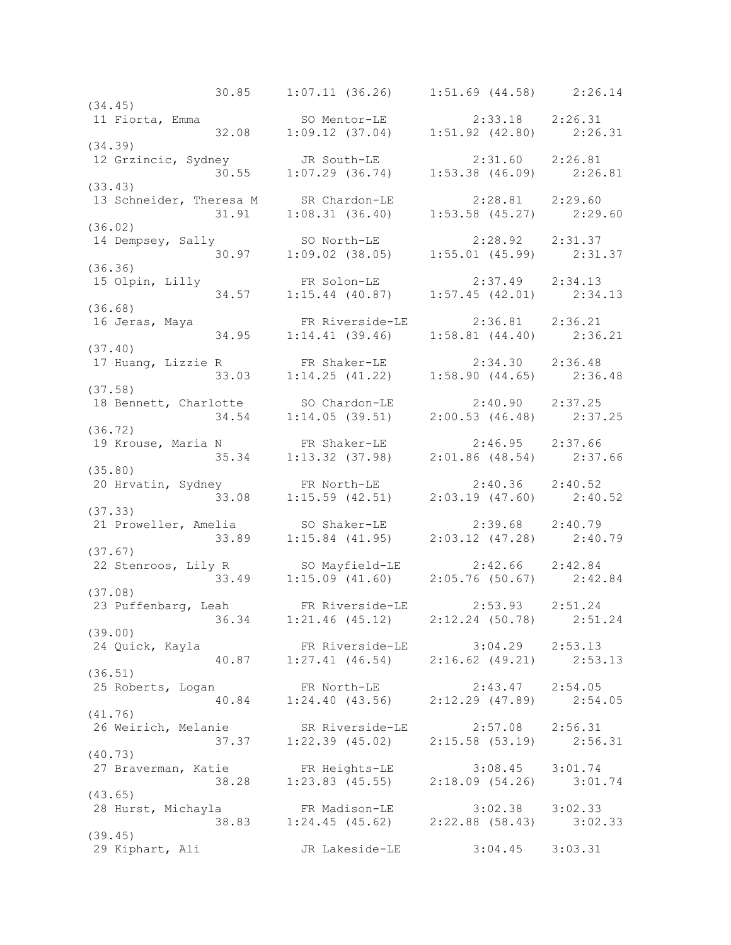30.85 1:07.11 (36.26) 1:51.69 (44.58) 2:26.14 (34.45)<br>11 Fiorta, Emma 11 Fiorta, Emma SO Mentor-LE 2:33.18 2:26.31 32.08 1:09.12 (37.04) 1:51.92 (42.80) 2:26.31 (34.39) 12 Grzincic, Sydney JR South-LE 2:31.60 2:26.81 30.55 1:07.29 (36.74) 1:53.38 (46.09) 2:26.81 (33.43) 13 Schneider, Theresa M SR Chardon-LE 2:28.81 2:29.60 31.91 1:08.31 (36.40) 1:53.58 (45.27) 2:29.60 (36.02) 14 Dempsey, Sally SO North-LE 2:28.92 2:31.37 30.97 1:09.02 (38.05) 1:55.01 (45.99) 2:31.37 (36.36) 15 Olpin, Lilly FR Solon-LE 2:37.49 2:34.13 34.57 1:15.44 (40.87) 1:57.45 (42.01) 2:34.13 (36.68) 16 Jeras, Maya FR Riverside-LE 2:36.81 2:36.21 34.95 1:14.41 (39.46) 1:58.81 (44.40) 2:36.21 (37.40) 17 Huang, Lizzie R FR Shaker-LE 2:34.30 2:36.48 33.03 1:14.25 (41.22) 1:58.90 (44.65) 2:36.48 (37.58) 18 Bennett, Charlotte SO Chardon-LE 2:40.90 2:37.25 34.54 1:14.05 (39.51) 2:00.53 (46.48) 2:37.25 (36.72) 19 Krouse, Maria N FR Shaker-LE 2:46.95 2:37.66 35.34 1:13.32 (37.98) 2:01.86 (48.54) 2:37.66 (35.80) 20 Hrvatin, Sydney FR North-LE 2:40.36 2:40.52 33.08 1:15.59 (42.51) 2:03.19 (47.60) 2:40.52 (37.33) 21 Proweller, Amelia SO Shaker-LE 2:39.68 2:40.79 33.89 1:15.84 (41.95) 2:03.12 (47.28) 2:40.79 (37.67) 22 Stenroos, Lily R SO Mayfield-LE 2:42.66 2:42.84 33.49 1:15.09 (41.60) 2:05.76 (50.67) 2:42.84 (37.08) 23 Puffenbarg, Leah FR Riverside-LE 2:53.93 2:51.24 36.34 1:21.46 (45.12) 2:12.24 (50.78) 2:51.24 (39.00) 24 Quick, Kayla FR Riverside-LE 3:04.29 2:53.13 40.87 1:27.41 (46.54) 2:16.62 (49.21) 2:53.13 (36.51) 25 Roberts, Logan FR North-LE 2:43.47 2:54.05 40.84 1:24.40 (43.56) 2:12.29 (47.89) 2:54.05 (41.76) 26 Weirich, Melanie SR Riverside-LE 2:57.08 2:56.31 37.37 1:22.39 (45.02) 2:15.58 (53.19) 2:56.31 (40.73) 27 Braverman, Katie FR Heights-LE 3:08.45 3:01.74 38.28 1:23.83 (45.55) 2:18.09 (54.26) 3:01.74 (43.65) 28 Hurst, Michayla FR Madison-LE 3:02.38 3:02.33 38.83 1:24.45 (45.62) 2:22.88 (58.43) 3:02.33 (39.45) 29 Kiphart, Ali JR Lakeside-LE 3:04.45 3:03.31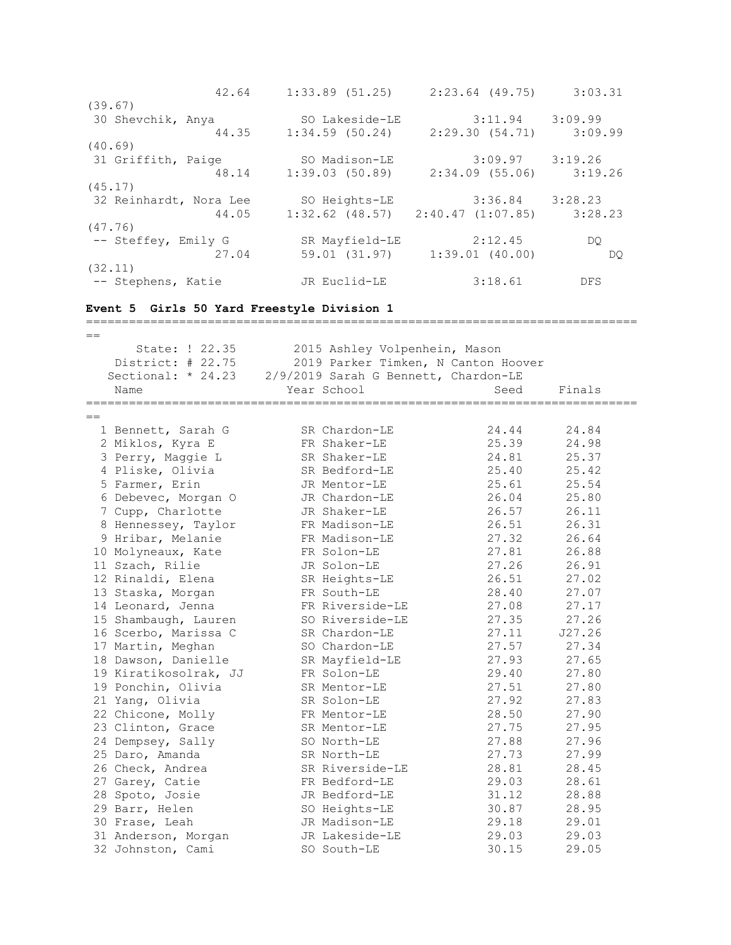42.64 1:33.89 (51.25) 2:23.64 (49.75) 3:03.31 (39.67) 30 Shevchik, Anya SO Lakeside-LE 3:11.94 3:09.99 44.35 1:34.59 (50.24) 2:29.30 (54.71) 3:09.99 (40.69) 31 Griffith, Paige SO Madison-LE 3:09.97 3:19.26 48.14 1:39.03 (50.89) 2:34.09 (55.06) 3:19.26 (45.17) 32 Reinhardt, Nora Lee SO Heights-LE 3:36.84 3:28.23 44.05 1:32.62 (48.57) 2:40.47 (1:07.85) 3:28.23 (47.76) -- Steffey, Emily G SR Mayfield-LE 2:12.45 DQ 27.04 59.01 (31.97) 1:39.01 (40.00) DQ (32.11) -- Stephens, Katie Mark JR Euclid-LE 3:18.61 DFS **Event 5 Girls 50 Yard Freestyle Division 1** =============================================================================  $=$  State: ! 22.35 2015 Ashley Volpenhein, Mason District: # 22.75 2019 Parker Timken, N Canton Hoover Sectional: \* 24.23 2/9/2019 Sarah G Bennett, Chardon-LE Name Year School Seed Finals ============================================================================= == 1 Bennett, Sarah G SR Chardon-LE 24.44 24.84 2 Miklos, Kyra E FR Shaker-LE 25.39 24.98 3 Perry, Maggie L SR Shaker-LE 24.81 25.37 4 Pliske, Olivia SR Bedford-LE 25.40 25.42 5 Farmer, Erin JR Mentor-LE 25.61 25.54 6 Debevec, Morgan O JR Chardon-LE 26.04 25.80 7 Cupp, Charlotte JR Shaker-LE 26.57 26.11 8 Hennessey, Taylor FR Madison-LE 26.51 26.31 9 Hribar, Melanie FR Madison-LE 27.32 26.64 10 Molyneaux, Kate FR Solon-LE 27.81 26.88 11 Szach, Rilie JR Solon-LE 27.26 26.91 12 Rinaldi, Elena SR Heights-LE 26.51 27.02 13 Staska, Morgan FR South-LE 28.40 27.07 14 Leonard, Jenna **FR** Riverside-LE 27.08 27.17 15 Shambaugh, Lauren SO Riverside-LE 27.35 27.26 16 Scerbo, Marissa C SR Chardon-LE 27.11 J27.26 17 Martin, Meghan SO Chardon-LE 27.57 27.34 18 Dawson, Danielle SR Mayfield-LE 27.93 27.65 19 Kiratikosolrak, JJ FR Solon-LE 29.40 27.80 19 Ponchin, Olivia SR Mentor-LE 27.51 27.80 21 Yang, Olivia SR Solon-LE 27.92 27.83 22 Chicone, Molly FR Mentor-LE 28.50 27.90 23 Clinton, Grace SR Mentor-LE 27.75 27.95 24 Dempsey, Sally SO North-LE 27.88 27.96 25 Daro, Amanda SR North-LE 27.73 27.99 26 Check, Andrea SR Riverside-LE 28.81 28.45 27 Garey, Catie FR Bedford-LE 29.03 28.61 28 Spoto, Josie JR Bedford-LE 31.12 28.88 29 Barr, Helen SO Heights-LE 30.87 28.95 30 Frase, Leah JR Madison-LE 29.18 29.01 31 Anderson, Morgan JR Lakeside-LE 29.03 29.03 32 Johnston, Cami SO South-LE 30.15 29.05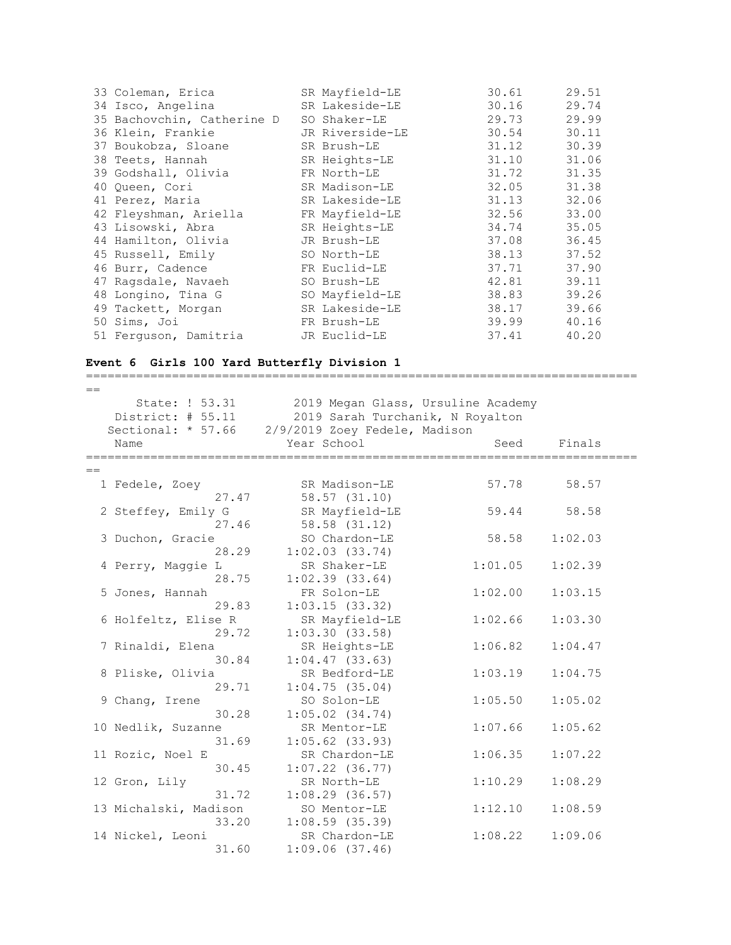| 33 Coleman, Erica          | SR Mayfield-LE  | 30.61 | 29.51 |
|----------------------------|-----------------|-------|-------|
| 34 Isco, Angelina          | SR Lakeside-LE  | 30.16 | 29.74 |
| 35 Bachovchin, Catherine D | SO Shaker-LE    | 29.73 | 29.99 |
| 36 Klein, Frankie          | JR Riverside-LE | 30.54 | 30.11 |
| 37 Boukobza, Sloane        | SR Brush-LE     | 31.12 | 30.39 |
| 38 Teets, Hannah           | SR Heights-LE   | 31.10 | 31.06 |
| 39 Godshall, Olivia        | FR North-LE     | 31.72 | 31.35 |
| 40 Oueen, Cori             | SR Madison-LE   | 32.05 | 31.38 |
| 41 Perez, Maria            | SR Lakeside-LE  | 31.13 | 32.06 |
| 42 Fleyshman, Ariella      | FR Mayfield-LE  | 32.56 | 33.00 |
| 43 Lisowski, Abra          | SR Heights-LE   | 34.74 | 35.05 |
| 44 Hamilton, Olivia        | JR Brush-LE     | 37.08 | 36.45 |
| 45 Russell, Emily          | SO North-LE     | 38.13 | 37.52 |
| 46 Burr, Cadence           | FR Euclid-LE    | 37.71 | 37.90 |
| 47 Ragsdale, Navaeh        | SO Brush-LE     | 42.81 | 39.11 |
| 48 Longino, Tina G         | SO Mayfield-LE  | 38.83 | 39.26 |
| 49 Tackett, Morgan         | SR Lakeside-LE  | 38.17 | 39.66 |
| 50 Sims, Joi               | FR Brush-LE     | 39.99 | 40.16 |
| 51 Ferquson, Damitria      | JR Euclid-LE    | 37.41 | 40.20 |

## **Event 6 Girls 100 Yard Butterfly Division 1**

=============================================================================  $=$  State: ! 53.31 2019 Megan Glass, Ursuline Academy District: # 55.11 2019 Sarah Turchanik, N Royalton Sectional: \* 57.66 2/9/2019 Zoey Fedele, Madison Name Year School Seed Finals =============================================================================  $=$  1 Fedele, Zoey SR Madison-LE 57.78 58.57 27.47 58.57 (31.10) 2 Steffey, Emily G SR Mayfield-LE 59.44 58.58 27.46 58.58 (31.12) 3 Duchon, Gracie SO Chardon-LE 58.58 1:02.03 28.29 1:02.03 (33.74) 4 Perry, Maggie L SR Shaker-LE 1:01.05 1:02.39 28.75 1:02.39 (33.64) 5 Jones, Hannah FR Solon-LE 1:02.00 1:03.15 29.83 1:03.15 (33.32) 6 Holfeltz, Elise R SR Mayfield-LE 1:02.66 1:03.30 29.72 1:03.30 (33.58) 7 Rinaldi, Elena SR Heights-LE 1:06.82 1:04.47 30.84 1:04.47 (33.63) 8 Pliske, Olivia SR Bedford-LE 1:03.19 1:04.75 29.71 1:04.75 (35.04) 9 Chang, Irene SO Solon-LE 1:05.50 1:05.02 SO SOLON-LE<br>30.28 1:05.02 (34.74) 10 Nedlik, Suzanne SR Mentor-LE 1:07.66 1:05.62 31.69 1:05.62 (33.93) 11 Rozic, Noel E SR Chardon-LE 1:06.35 1:07.22 30.45 1:07.22 (36.77) 12 Gron, Lily SR North-LE 1:10.29 1:08.29 31.72 1:08.29 (36.57) 13 Michalski, Madison SO Mentor-LE 1:12.10 1:08.59 33.20 1:08.59 (35.39) 14 Nickel, Leoni SR Chardon-LE 1:08.22 1:09.06

31.60 1:09.06 (37.46)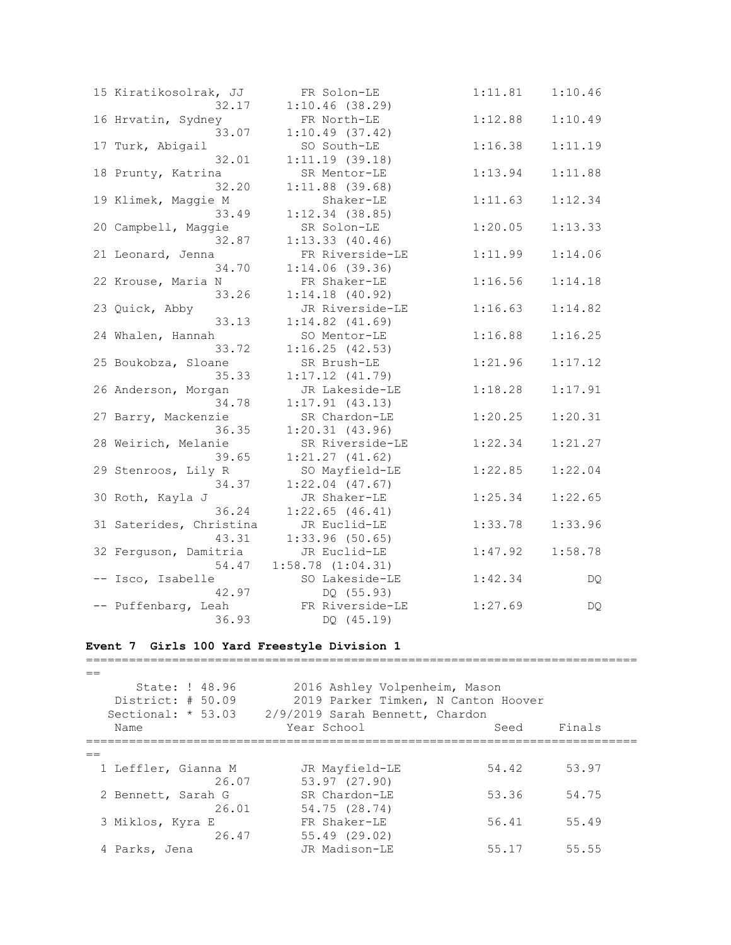| 15 Kiratikosolrak, JJ   | FR Solon-LE         | 1:11.81 | 1:10.46 |
|-------------------------|---------------------|---------|---------|
| 32.17                   | 1:10.46(38.29)      |         |         |
| 16 Hrvatin, Sydney      | FR North-LE         | 1:12.88 | 1:10.49 |
| 33.07                   | 1:10.49(37.42)      |         |         |
| 17 Turk, Abigail        | SO South-LE         | 1:16.38 | 1:11.19 |
| 32.01                   | 1:11.19(39.18)      |         |         |
| 18 Prunty, Katrina      | SR Mentor-LE        | 1:13.94 | 1:11.88 |
| 32.20                   | $1:11.88$ (39.68)   |         |         |
| 19 Klimek, Maggie M     | Shaker-LE           | 1:11.63 | 1:12.34 |
| 33.49                   | $1:12.34$ (38.85)   |         |         |
| 20 Campbell, Maggie     | SR Solon-LE         | 1:20.05 | 1:13.33 |
| 32.87                   | 1:13.33(40.46)      |         |         |
| 21 Leonard, Jenna       | FR Riverside-LE     | 1:11.99 | 1:14.06 |
| 34.70                   | $1:14.06$ (39.36)   |         |         |
| 22 Krouse, Maria N      | FR Shaker-LE        | 1:16.56 | 1:14.18 |
| 33.26                   | $1:14.18$ (40.92)   |         |         |
| 23 Quick, Abby          | JR Riverside-LE     | 1:16.63 | 1:14.82 |
| 33.13                   | $1:14.82$ $(41.69)$ |         |         |
| 24 Whalen, Hannah       | SO Mentor-LE        | 1:16.88 | 1:16.25 |
| 33.72                   | 1:16.25(42.53)      |         |         |
| 25 Boukobza, Sloane     | SR Brush-LE         | 1:21.96 | 1:17.12 |
| 35.33                   | $1:17.12$ $(41.79)$ |         |         |
| 26 Anderson, Morgan     | JR Lakeside-LE      | 1:18.28 | 1:17.91 |
| 34.78                   | $1:17.91$ (43.13)   |         |         |
| 27 Barry, Mackenzie     | SR Chardon-LE       | 1:20.25 | 1:20.31 |
| 36.35                   | 1:20.31(43.96)      |         |         |
| 28 Weirich, Melanie     | SR Riverside-LE     | 1:22.34 | 1:21.27 |
| 39.65                   | 1:21.27(41.62)      |         |         |
| 29 Stenroos, Lily R     | SO Mayfield-LE      | 1:22.85 | 1:22.04 |
| 34.37                   | $1:22.04$ (47.67)   |         |         |
| 30 Roth, Kayla J        | JR Shaker-LE        | 1:25.34 | 1:22.65 |
| 36.24                   | $1:22.65$ (46.41)   |         |         |
| 31 Saterides, Christina |                     |         |         |
|                         | JR Euclid-LE        | 1:33.78 | 1:33.96 |
| 43.31                   | $1:33.96$ (50.65)   |         |         |
| 32 Ferguson, Damitria   | JR Euclid-LE        | 1:47.92 | 1:58.78 |
| 54.47                   | 1:58.78(1:04.31)    |         |         |
| -- Isco, Isabelle       | SO Lakeside-LE      | 1:42.34 | DQ.     |
| 42.97                   | DQ (55.93)          |         |         |
| -- Puffenbarg, Leah     | FR Riverside-LE     | 1:27.69 | DQ      |
| 36.93                   | DQ (45.19)          |         |         |

### **Event 7 Girls 100 Yard Freestyle Division 1**

 $=$  State: ! 48.96 2016 Ashley Volpenheim, Mason District: # 50.09 2019 Parker Timken, N Canton Hoover Sectional: \* 53.03 2/9/2019 Sarah Bennett, Chardon Name Year School Seed Finals =============================================================================  $=$ 1 Leffler, Gianna M JR Mayfield-LE 54.42 53.97 26.07 53.97 (27.90) 2 Bennett, Sarah G SR Chardon-LE 53.36 54.75 26.01 54.75 (28.74) 3 Miklos, Kyra E FR Shaker-LE 56.41 55.49 26.47 55.49 (29.02) 4 Parks, Jena JR Madison-LE 55.17 55.55

=============================================================================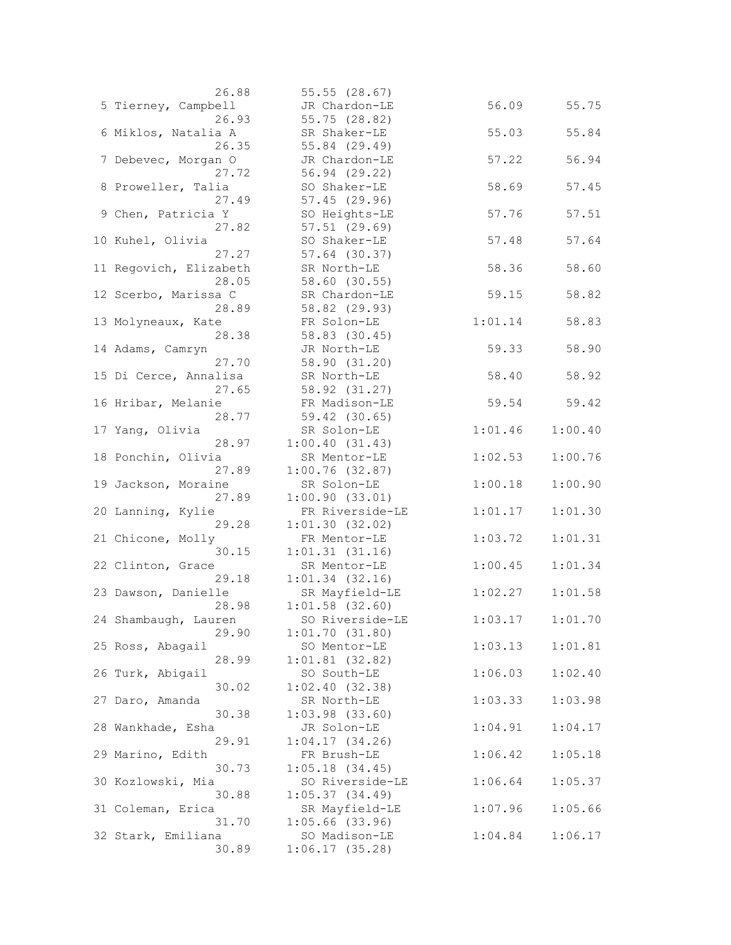| 26.88                  | 55.55(28.67)        |         |         |
|------------------------|---------------------|---------|---------|
| 5 Tierney, Campbell    | JR Chardon-LE       | 56.09   | 55.75   |
| 26.93                  | 55.75 (28.82)       |         |         |
| 6 Miklos, Natalia A    | SR Shaker-LE        | 55.03   | 55.84   |
| 26.35                  | 55.84 (29.49)       |         |         |
| 7 Debevec, Morgan O    | JR Chardon-LE       | 57.22   | 56.94   |
| 27.72                  | 56.94 (29.22)       |         |         |
| 8 Proweller, Talia     | SO Shaker-LE        | 58.69   | 57.45   |
| 27.49                  | 57.45(29.96)        |         |         |
| 9 Chen, Patricia Y     | SO Heights-LE       | 57.76   | 57.51   |
| 27.82                  | $57.51$ $(29.69)$   |         |         |
| 10 Kuhel, Olivia       | SO Shaker-LE        | 57.48   | 57.64   |
| 27.27                  | $57.64$ (30.37)     |         |         |
| 11 Regovich, Elizabeth | SR North-LE         | 58.36   | 58.60   |
| 28.05                  | 58.60 (30.55)       |         |         |
| 12 Scerbo, Marissa C   | SR Chardon-LE       | 59.15   | 58.82   |
| 28.89                  | 58.82 (29.93)       |         |         |
| 13 Molyneaux, Kate     | FR Solon-LE         | 1:01.14 | 58.83   |
| 28.38                  | 58.83 (30.45)       |         |         |
| 14 Adams, Camryn       | JR North-LE         | 59.33   | 58.90   |
| 27.70                  | 58.90 (31.20)       |         |         |
| 15 Di Cerce, Annalisa  | SR North-LE         | 58.40   | 58.92   |
| 27.65                  | 58.92 (31.27)       |         |         |
| 16 Hribar, Melanie     | FR Madison-LE       | 59.54   | 59.42   |
| 28.77                  | 59.42 (30.65)       |         |         |
| 17 Yang, Olivia        | SR Solon-LE         | 1:01.46 | 1:00.40 |
| 28.97                  | 1:00.40(31.43)      |         |         |
| 18 Ponchin, Olivia     | SR Mentor-LE        | 1:02.53 | 1:00.76 |
| 27.89                  | $1:00.76$ (32.87)   |         |         |
| 19 Jackson, Moraine    | SR Solon-LE         | 1:00.18 | 1:00.90 |
| 27.89                  | 1:00.90(33.01)      |         |         |
| 20 Lanning, Kylie      | FR Riverside-LE     | 1:01.17 | 1:01.30 |
| 29.28                  | 1:01.30(32.02)      |         |         |
| 21 Chicone, Molly      | FR Mentor-LE        | 1:03.72 | 1:01.31 |
| 30.15                  | 1:01.31(31.16)      |         |         |
| 22 Clinton, Grace      | SR Mentor-LE        | 1:00.45 | 1:01.34 |
| 29.18                  | $1:01.34$ $(32.16)$ |         |         |
| 23 Dawson, Danielle    | SR Mayfield-LE      | 1:02.27 | 1:01.58 |
| 28.98                  | $1:01.58$ (32.60)   |         |         |
| 24 Shambaugh, Lauren   | SO Riverside-LE     | 1:03.17 | 1:01.70 |
| 29.90                  | 1:01.70(31.80)      |         |         |
| 25 Ross, Abagail       | SO Mentor-LE        | 1:03.13 | 1:01.81 |
| 28.99                  | $1:01.81$ (32.82)   |         |         |
| 26 Turk, Abigail       | SO South-LE         | 1:06.03 | 1:02.40 |
| 30.02                  | 1:02.40(32.38)      |         |         |
| 27 Daro, Amanda        | SR North-LE         | 1:03.33 | 1:03.98 |
| 30.38                  | $1:03.98$ $(33.60)$ |         |         |
| 28 Wankhade, Esha      | JR Solon-LE         | 1:04.91 | 1:04.17 |
| 29.91                  | 1:04.17(34.26)      |         |         |
| 29 Marino, Edith       | FR Brush-LE         | 1:06.42 | 1:05.18 |
| 30.73                  | $1:05.18$ $(34.45)$ |         |         |
| 30 Kozlowski, Mia      | SO Riverside-LE     | 1:06.64 | 1:05.37 |
| 30.88                  | 1:05.37(34.49)      |         |         |
| 31 Coleman, Erica      | SR Mayfield-LE      | 1:07.96 | 1:05.66 |
| 31.70                  | $1:05.66$ (33.96)   |         |         |
| 32 Stark, Emiliana     | SO Madison-LE       | 1:04.84 | 1:06.17 |
| 30.89                  | 1:06.17(35.28)      |         |         |
|                        |                     |         |         |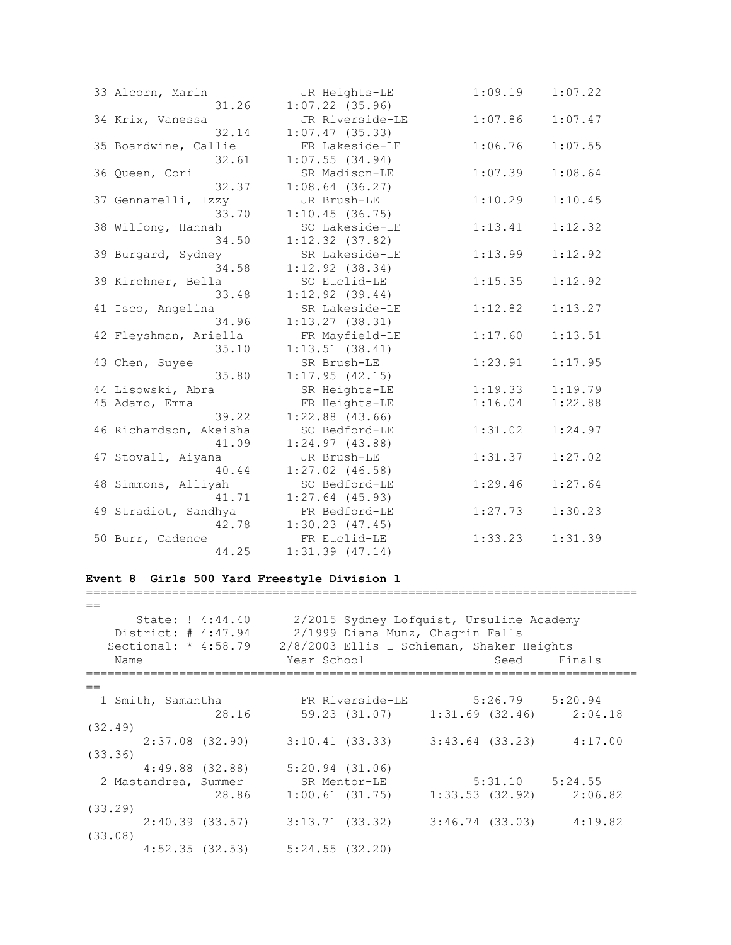| 33 Alcorn, Marin       | JR Heights-LE       | 1:09.19 | 1:07.22 |
|------------------------|---------------------|---------|---------|
| 31.26                  | $1:07.22$ (35.96)   |         |         |
| 34 Krix, Vanessa       | JR Riverside-LE     | 1:07.86 | 1:07.47 |
| 32.14                  | $1:07.47$ (35.33)   |         |         |
| 35 Boardwine, Callie   | FR Lakeside-LE      | 1:06.76 | 1:07.55 |
| 32.61                  | $1:07.55$ (34.94)   |         |         |
| 36 Queen, Cori         | SR Madison-LE       | 1:07.39 | 1:08.64 |
| 32.37                  | $1:08.64$ (36.27)   |         |         |
| 37 Gennarelli, Izzy    | JR Brush-LE         | 1:10.29 | 1:10.45 |
| 33.70                  | 1:10.45(36.75)      |         |         |
| 38 Wilfong, Hannah     | SO Lakeside-LE      | 1:13.41 | 1:12.32 |
| 34.50                  | $1:12.32$ (37.82)   |         |         |
| 39 Burgard, Sydney     | SR Lakeside-LE      | 1:13.99 | 1:12.92 |
| 34.58                  | $1:12.92$ (38.34)   |         |         |
| 39 Kirchner, Bella     | SO Euclid-LE        | 1:15.35 | 1:12.92 |
| 33.48                  | $1:12.92$ (39.44)   |         |         |
| 41 Isco, Angelina      | SR Lakeside-LE      | 1:12.82 | 1:13.27 |
| 34.96                  | 1:13.27(38.31)      |         |         |
| 42 Fleyshman, Ariella  | FR Mayfield-LE      | 1:17.60 | 1:13.51 |
| 35.10                  | 1:13.51(38.41)      |         |         |
| 43 Chen, Suyee         | SR Brush-LE         | 1:23.91 | 1:17.95 |
| 35.80                  | 1:17.95(42.15)      |         |         |
| 44 Lisowski, Abra      | SR Heights-LE       | 1:19.33 | 1:19.79 |
| 45 Adamo, Emma         | FR Heights-LE       | 1:16.04 | 1:22.88 |
| 39.22                  | $1:22.88$ (43.66)   |         |         |
| 46 Richardson, Akeisha | SO Bedford-LE       | 1:31.02 | 1:24.97 |
| 41.09                  | 1:24.97(43.88)      |         |         |
| 47 Stovall, Aiyana     | JR Brush-LE         | 1:31.37 | 1:27.02 |
| 40.44                  | $1:27.02$ (46.58)   |         |         |
| 48 Simmons, Alliyah    | SO Bedford-LE       | 1:29.46 | 1:27.64 |
| 41.71                  | $1:27.64$ (45.93)   |         |         |
| 49 Stradiot, Sandhya   | FR Bedford-LE       | 1:27.73 | 1:30.23 |
| 42.78                  | $1:30.23$ $(47.45)$ |         |         |
| 50 Burr, Cadence       | FR Euclid-LE        | 1:33.23 | 1:31.39 |
| 44.25                  | $1:31.39$ $(47.14)$ |         |         |

# **Event 8 Girls 500 Yard Freestyle Division 1**

| $=$                                                                       |                                                                                                                                          |                     |        |
|---------------------------------------------------------------------------|------------------------------------------------------------------------------------------------------------------------------------------|---------------------|--------|
| State: ! 4:44.40<br>District: # 4:47.94<br>Sectional: $* 4:58.79$<br>Name | 2/2015 Sydney Lofquist, Ursuline Academy<br>2/1999 Diana Munz, Chagrin Falls<br>2/8/2003 Ellis L Schieman, Shaker Heights<br>Year School | Seed                | Finals |
| $=$                                                                       |                                                                                                                                          |                     |        |
| 1 Smith, Samantha                                                         | FR Riverside-LE 5:26.79 5:20.94                                                                                                          |                     |        |
| 28.16                                                                     | 59.23 (31.07) 1:31.69 (32.46) 2:04.18                                                                                                    |                     |        |
| (32.49)                                                                   |                                                                                                                                          |                     |        |
|                                                                           | $2:37.08$ (32.90) $3:10.41$ (33.33) $3:43.64$ (33.23) $4:17.00$                                                                          |                     |        |
| (33.36)                                                                   |                                                                                                                                          |                     |        |
| $4:49.88$ $(32.88)$                                                       | $5:20.94$ (31.06)                                                                                                                        |                     |        |
| 2 Mastandrea, Summer                                                      | SR Mentor-LE                                                                                                                             | $5:31.10$ $5:24.55$ |        |
| 28.86                                                                     | $1:00.61$ (31.75) $1:33.53$ (32.92) $2:06.82$                                                                                            |                     |        |
| (33.29)                                                                   |                                                                                                                                          |                     |        |
|                                                                           | $2:40.39$ (33.57) 3:13.71 (33.32) 3:46.74 (33.03) 4:19.82                                                                                |                     |        |
| (33.08)                                                                   |                                                                                                                                          |                     |        |
| $4:52.35$ (32.53) $5:24.55$ (32.20)                                       |                                                                                                                                          |                     |        |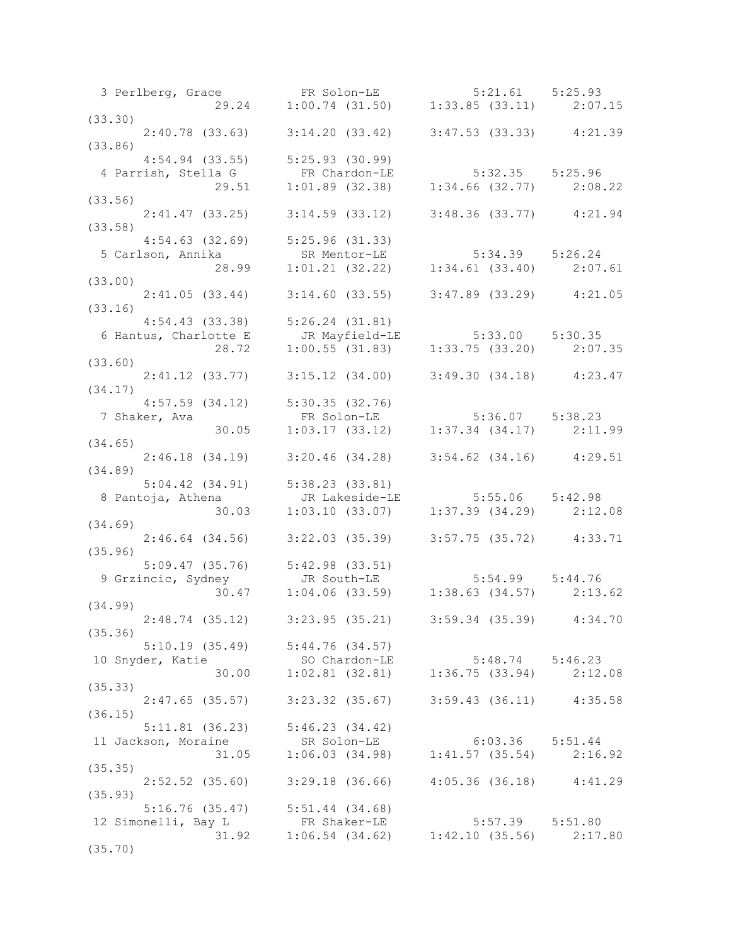|                  | 3 Perlberg, Grace FR Solon-LE 5:21.61 5:25.93<br>29.24 1:00.74 (31.50) 1:33.85 (33.11) 2:07.15                                           |  |
|------------------|------------------------------------------------------------------------------------------------------------------------------------------|--|
|                  |                                                                                                                                          |  |
| (33.30)          |                                                                                                                                          |  |
|                  | $2:40.78$ (33.63) $3:14.20$ (33.42) $3:47.53$ (33.33) $4:21.39$                                                                          |  |
| (33.86)          |                                                                                                                                          |  |
|                  | $4:54.94$ (33.55) $5:25.93$ (30.99)                                                                                                      |  |
|                  |                                                                                                                                          |  |
|                  |                                                                                                                                          |  |
|                  |                                                                                                                                          |  |
| (33.56)          |                                                                                                                                          |  |
|                  | 2:41.47 (33.25) 3:14.59 (33.12) 3:48.36 (33.77) 4:21.94                                                                                  |  |
| (33.58)          |                                                                                                                                          |  |
|                  | $4:54.63$ $(32.69)$ $5:25.96$ $(31.33)$                                                                                                  |  |
|                  | 4:34.05 (32.09) 3:25.90 (31.33)<br>5 Carlson, Annika SR Mentor-LE 5:34.39 5:26.24<br>28.99 1:01.21 (32.22) 1:34.61 (33.40) 2:07.61       |  |
|                  |                                                                                                                                          |  |
|                  |                                                                                                                                          |  |
| (33.00)          |                                                                                                                                          |  |
|                  | 2:41.05 (33.44) 3:14.60 (33.55) 3:47.89 (33.29) 4:21.05                                                                                  |  |
| (33.16)          |                                                                                                                                          |  |
|                  | 4:54.43 (33.38) 5:26.24 (31.81)<br>6 Hantus, Charlotte E JR Mayfield-LE 5:33.00 5:30.35<br>28.72 1:00.55 (31.83) 1:33.75 (33.20) 2:07.35 |  |
|                  |                                                                                                                                          |  |
|                  |                                                                                                                                          |  |
|                  |                                                                                                                                          |  |
| (33.60)          |                                                                                                                                          |  |
|                  | 2:41.12 (33.77) 3:15.12 (34.00) 3:49.30 (34.18) 4:23.47                                                                                  |  |
| (34.17)          |                                                                                                                                          |  |
|                  | $4:57.59$ (34.12) $5:30.35$ (32.76)                                                                                                      |  |
|                  |                                                                                                                                          |  |
|                  |                                                                                                                                          |  |
|                  |                                                                                                                                          |  |
| (34.65)          |                                                                                                                                          |  |
|                  | 2:46.18 (34.19) 3:20.46 (34.28) 3:54.62 (34.16) 4:29.51                                                                                  |  |
| (34.89)          |                                                                                                                                          |  |
|                  | 5:04.42 (34.91) 5:38.23 (33.81)<br>8 Pantoja, Athena 1 JR Lakeside-LE 5:55.06 5:42.98<br>30.03 1:03.10 (33.07) 1:37.39 (34.29) 2:12.08   |  |
|                  |                                                                                                                                          |  |
|                  |                                                                                                                                          |  |
| (34.69)          |                                                                                                                                          |  |
|                  |                                                                                                                                          |  |
|                  | 2:46.64 (34.56) 3:22.03 (35.39) 3:57.75 (35.72) 4:33.71                                                                                  |  |
| (35.96)          |                                                                                                                                          |  |
|                  |                                                                                                                                          |  |
|                  |                                                                                                                                          |  |
|                  | 5:09.47 (35.76) 5:42.98 (33.51)<br>9 Grzincic, Sydney JR South-LE<br>30.47 1:04.06 (33.59) 1:38.63 (34.57) 2:13.62                       |  |
| (34.99)          |                                                                                                                                          |  |
|                  |                                                                                                                                          |  |
|                  | 2:48.74 (35.12) 3:23.95 (35.21) 3:59.34 (35.39) 4:34.70                                                                                  |  |
| (35.36)          |                                                                                                                                          |  |
|                  | $5:10.19$ (35.49) $5:44.76$ (34.57)                                                                                                      |  |
| 10 Snyder, Katie | SO Chardon-LE<br>30.00 1:02.81 (32.81) 1:36.75 (33.94) 2:12.08                                                                           |  |
|                  |                                                                                                                                          |  |
| (35.33)          |                                                                                                                                          |  |
|                  | 2:47.65 (35.57) 3:23.32 (35.67) 3:59.43 (36.11) 4:35.58                                                                                  |  |
|                  |                                                                                                                                          |  |
| (36.15)          |                                                                                                                                          |  |
|                  | 5:11.81 (36.23) 5:46.23 (34.42)<br>11 Jackson, Moraine 5.05.36 5:51.44<br>31.05 1:06.03 (34.98) 1:41.57 (35.54) 2:16.92                  |  |
|                  |                                                                                                                                          |  |
|                  |                                                                                                                                          |  |
| (35.35)          |                                                                                                                                          |  |
|                  | 2:52.52 (35.60) 3:29.18 (36.66) 4:05.36 (36.18) 4:41.29                                                                                  |  |
| (35.93)          |                                                                                                                                          |  |
|                  |                                                                                                                                          |  |
|                  | $5:16.76$ (35.47) $5:51.44$ (34.68)                                                                                                      |  |
|                  |                                                                                                                                          |  |
|                  | 12 Simonelli, Bay L<br>31.92 1:06.54 (34.62) 1:42.10 (35.56) 2:17.80                                                                     |  |
| (35.70)          |                                                                                                                                          |  |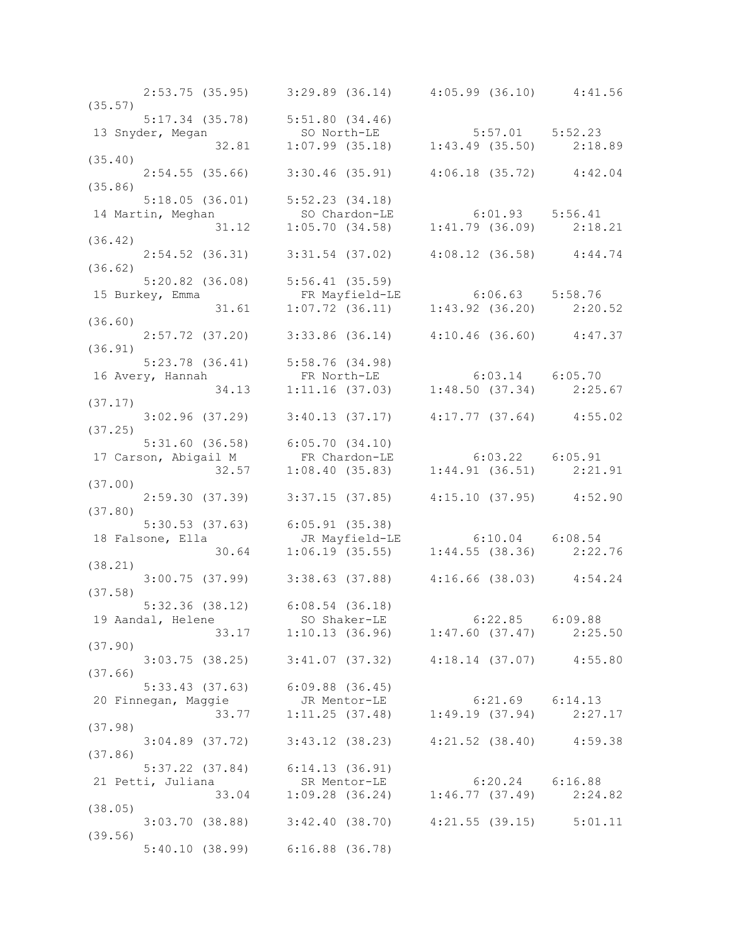|         | $2:53.75$ (35.95) $3:29.89$ (36.14) $4:05.99$ (36.10) $4:41.56$                                                                                   |  |
|---------|---------------------------------------------------------------------------------------------------------------------------------------------------|--|
| (35.57) |                                                                                                                                                   |  |
|         |                                                                                                                                                   |  |
|         | 5:17.34 (35.78) 5:51.80 (34.46)<br>13 Snyder, Megan so North-LE 5:57.01 5:52.23<br>32.81 1:07.99 (35.18) 1:43.49 (35.50) 2:18.89                  |  |
|         |                                                                                                                                                   |  |
| (35.40) |                                                                                                                                                   |  |
|         | $2:54.55$ (35.66) 3:30.46 (35.91) 4:06.18 (35.72) 4:42.04                                                                                         |  |
|         |                                                                                                                                                   |  |
|         |                                                                                                                                                   |  |
|         | 5:18.05 (36.01) 5:52.23 (34.18)<br>14 Martin, Meghan so Chardon-LE 6:01.93 5:56.41<br>31.12 1:05.70 (34.58) 1:41.79 (36.09) 2:18.21<br>(36.42)    |  |
|         |                                                                                                                                                   |  |
|         |                                                                                                                                                   |  |
|         |                                                                                                                                                   |  |
|         | $2:54.52$ (36.31) $3:31.54$ (37.02) $4:08.12$ (36.58) $4:44.74$                                                                                   |  |
| (36.62) |                                                                                                                                                   |  |
|         | 5:20.82 (36.08) 5:56.41 (35.59)                                                                                                                   |  |
|         | 15 Burkey, Emma<br>31.61 1:07.72 (36.11) 1:43.92 (36.20) 2:20.52                                                                                  |  |
|         |                                                                                                                                                   |  |
| (36.60) |                                                                                                                                                   |  |
|         | $2:57.72$ (37.20) 3:33.86 (36.14) 4:10.46 (36.60) 4:47.37                                                                                         |  |
| (36.91) |                                                                                                                                                   |  |
|         |                                                                                                                                                   |  |
|         |                                                                                                                                                   |  |
|         |                                                                                                                                                   |  |
|         | 5:23.78 (36.41) 5:58.76 (34.98)<br>16 Avery, Hannah FR North-LE 6:03.14 6:05.70<br>34.13 1:11.16 (37.03) 1:48.50 (37.34) 2:25.67                  |  |
| (37.17) |                                                                                                                                                   |  |
|         | $3:02.96$ (37.29) $3:40.13$ (37.17) $4:17.77$ (37.64) $4:55.02$                                                                                   |  |
| (37.25) |                                                                                                                                                   |  |
|         |                                                                                                                                                   |  |
|         |                                                                                                                                                   |  |
|         |                                                                                                                                                   |  |
|         | 5:31.60 (36.58) 6:05.70 (34.10)<br>17 Carson, Abigail M FR Chardon-LE 6:03.22 6:05.91<br>32.57 1:08.40 (35.83) 1:44.91 (36.51) 2:21.91<br>(37.00) |  |
| (37.00) |                                                                                                                                                   |  |
|         | $2:59.30$ (37.39) 3:37.15 (37.85) 4:15.10 (37.95) 4:52.90                                                                                         |  |
| (37.80) |                                                                                                                                                   |  |
|         |                                                                                                                                                   |  |
|         |                                                                                                                                                   |  |
|         |                                                                                                                                                   |  |
| (38.21) |                                                                                                                                                   |  |
|         | $3:00.75$ (37.99) $3:38.63$ (37.88) $4:16.66$ (38.03) $4:54.24$                                                                                   |  |
| (37.58) |                                                                                                                                                   |  |
|         |                                                                                                                                                   |  |
|         | $5:32.36$ (38.12) $6:08.54$ (36.18)                                                                                                               |  |
|         |                                                                                                                                                   |  |
|         | 19 Aandal, Helene SO Shaker-LE 6:22.85 6:09.88<br>33.17 1:10.13 (36.96) 1:47.60 (37.47) 2:25.50                                                   |  |
| (37.90) |                                                                                                                                                   |  |
|         | $3:03.75$ (38.25) $3:41.07$ (37.32) $4:18.14$ (37.07) $4:55.80$                                                                                   |  |
| (37.66) |                                                                                                                                                   |  |
|         | $5:33.43$ $(37.63)$ $6:09.88$ $(36.45)$                                                                                                           |  |
|         |                                                                                                                                                   |  |
|         | 20 Finnegan, Maggie dr. 33.77 1:11.25 (37.48) 1:49.19 (37.94) 2:27.17                                                                             |  |
|         |                                                                                                                                                   |  |
| (37.98) |                                                                                                                                                   |  |
|         | 3:04.89 (37.72) 3:43.12 (38.23) 4:21.52 (38.40) 4:59.38                                                                                           |  |
| (37.86) |                                                                                                                                                   |  |
|         | $5:37.22$ (37.84) $6:14.13$ (36.91)                                                                                                               |  |
|         |                                                                                                                                                   |  |
|         | 21 Petti, Juliana SR Mentor-LE 6:20.24 6:16.88<br>33.04 1:09.28 (36.24) 1:46.77 (37.49) 2:24.82                                                   |  |
| (38.05) |                                                                                                                                                   |  |
|         | $3:03.70$ (38.88) $3:42.40$ (38.70) $4:21.55$ (39.15) $5:01.11$                                                                                   |  |
|         |                                                                                                                                                   |  |
| (39.56) |                                                                                                                                                   |  |
|         | $5:40.10$ (38.99) $6:16.88$ (36.78)                                                                                                               |  |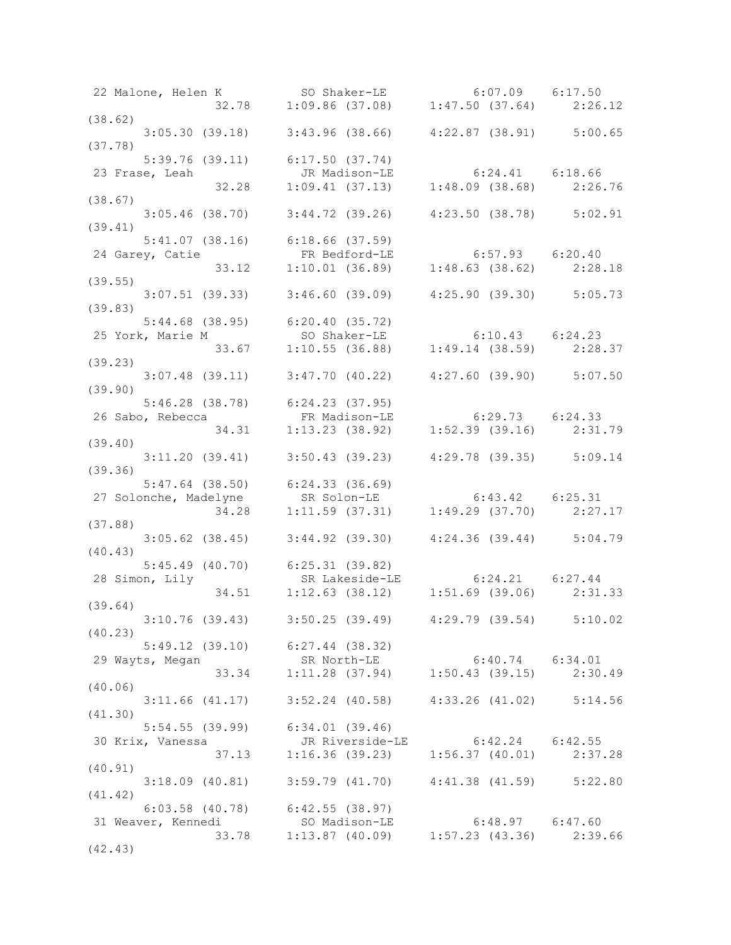| 22 Malone, Helen K SO Shaker-LE 6:07.09 6:17.50<br>32.78 1:09.86 (37.08) 1:47.50 (37.64) 2:26.12                                             |                                                                                  |  |
|----------------------------------------------------------------------------------------------------------------------------------------------|----------------------------------------------------------------------------------|--|
|                                                                                                                                              |                                                                                  |  |
| (38.62)                                                                                                                                      |                                                                                  |  |
| $3:05.30$ (39.18) $3:43.96$ (38.66) $4:22.87$ (38.91) $5:00.65$                                                                              |                                                                                  |  |
| (37.78)                                                                                                                                      |                                                                                  |  |
|                                                                                                                                              | 5:39.76 (39.11) 6:17.50 (37.74)                                                  |  |
| 23 Frase, Leah and JR Madison-LE 6:24.41 6:18.66<br>32.28 1:09.41 (37.13) 1:48.09 (38.68) 2:26.76                                            |                                                                                  |  |
|                                                                                                                                              |                                                                                  |  |
| (38.67)                                                                                                                                      |                                                                                  |  |
| $3:05.46$ (38.70) $3:44.72$ (39.26) $4:23.50$ (38.78) $5:02.91$                                                                              |                                                                                  |  |
| (39.41)                                                                                                                                      |                                                                                  |  |
| 5:41.07 (38.16) 6:18.66 (37.59)                                                                                                              |                                                                                  |  |
| 5:41.07 (38.16) 6:18.66 (37.59)<br>24 Garey, Catie FR Bedford-LE 6:57.93 6:20.40<br>33.12 1:10.01 (36.89) 1:48.63 (38.62) 2:28.18            |                                                                                  |  |
|                                                                                                                                              |                                                                                  |  |
| (39.55)                                                                                                                                      |                                                                                  |  |
|                                                                                                                                              | $3:07.51$ (39.33) $3:46.60$ (39.09) $4:25.90$ (39.30) $5:05.73$                  |  |
| (39.83)                                                                                                                                      |                                                                                  |  |
|                                                                                                                                              |                                                                                  |  |
|                                                                                                                                              |                                                                                  |  |
|                                                                                                                                              |                                                                                  |  |
| 5:44.68 (38.95) 6:20.40 (35.72)<br>25 York, Marie M so Shaker-LE 6:10.43 6:24.23<br>33.67 1:10.55 (36.88) 1:49.14 (38.59) 2:28.37<br>39.23)  |                                                                                  |  |
| (39.23)                                                                                                                                      |                                                                                  |  |
|                                                                                                                                              | $3:07.48$ (39.11) $3:47.70$ (40.22) $4:27.60$ (39.90) $5:07.50$                  |  |
| (39.90)                                                                                                                                      |                                                                                  |  |
|                                                                                                                                              |                                                                                  |  |
|                                                                                                                                              |                                                                                  |  |
| 5:46.28 (38.78) 6:24.23 (37.95)<br>26 Sabo, Rebecca FR Madison-LE 6:29.73 6:24.33<br>34.31 1:13.23 (38.92) 1:52.39 (39.16) 2:31.79           |                                                                                  |  |
| (39.40)                                                                                                                                      |                                                                                  |  |
| $3:11.20$ (39.41) $3:50.43$ (39.23) $4:29.78$ (39.35) $5:09.14$                                                                              |                                                                                  |  |
| (39.36)                                                                                                                                      |                                                                                  |  |
|                                                                                                                                              |                                                                                  |  |
| 5:47.64 (38.50) 6:24.33 (36.69)<br>27 Solonche, Madelyne SR Solon-LE 6:43.42 6:25.31<br>34.28 1:11.59 (37.31) 1:49.29 (37.70) 2:27.17        |                                                                                  |  |
|                                                                                                                                              |                                                                                  |  |
|                                                                                                                                              |                                                                                  |  |
| (37.88)                                                                                                                                      |                                                                                  |  |
|                                                                                                                                              | 3:05.62 (38.45) 3:44.92 (39.30) 4:24.36 (39.44) 5:04.79                          |  |
| (40.43)                                                                                                                                      |                                                                                  |  |
| 5:45.49 (40.70) 6:25.31 (39.82)<br>28 Simon, Lily SR Lakeside-LE 6:24.21 6:27.44<br>34.51 1:12.63 (38.12) 1:51.69 (39.06) 2:31.33<br>(39.64) |                                                                                  |  |
|                                                                                                                                              |                                                                                  |  |
|                                                                                                                                              |                                                                                  |  |
| (39.64)                                                                                                                                      |                                                                                  |  |
| $3:10.76$ (39.43) $3:50.25$ (39.49) $4:29.79$ (39.54) $5:10.02$                                                                              |                                                                                  |  |
| (40.23)                                                                                                                                      |                                                                                  |  |
| $5:49.12$ (39.10) $6:27.44$ (38.32)                                                                                                          |                                                                                  |  |
| 29 Wayts, Megan                                                                                                                              | SR North-LE<br>33.34 1:11.28 (37.94) 1:50.43 (39.15) 2:30.49                     |  |
|                                                                                                                                              |                                                                                  |  |
| (40.06)                                                                                                                                      |                                                                                  |  |
|                                                                                                                                              | 3:11.66 (41.17) 3:52.24 (40.58) 4:33.26 (41.02) 5:14.56                          |  |
| (41.30)                                                                                                                                      |                                                                                  |  |
| $5:54.55$ (39.99) 6:34.01 (39.46)                                                                                                            |                                                                                  |  |
| 30 Krix, Vanessa                                                                                                                             |                                                                                  |  |
|                                                                                                                                              | JR Riverside-LE 6:42.24 6:42.55<br>37.13 1:16.36 (39.23) 1:56.37 (40.01) 2:37.28 |  |
|                                                                                                                                              |                                                                                  |  |
| (40.91)                                                                                                                                      |                                                                                  |  |
|                                                                                                                                              | $3:18.09$ (40.81) $3:59.79$ (41.70) $4:41.38$ (41.59) $5:22.80$                  |  |
| (41.42)                                                                                                                                      |                                                                                  |  |
| $6:03.58$ (40.78) $6:42.55$ (38.97)                                                                                                          |                                                                                  |  |
| 31 Weaver, Kennedi SO Madison-LE 6:48.97 6:47.60<br>33.78 1:13.87 (40.09) 1:57.23 (43.36) 2:39.66                                            |                                                                                  |  |
|                                                                                                                                              |                                                                                  |  |
| (42.43)                                                                                                                                      |                                                                                  |  |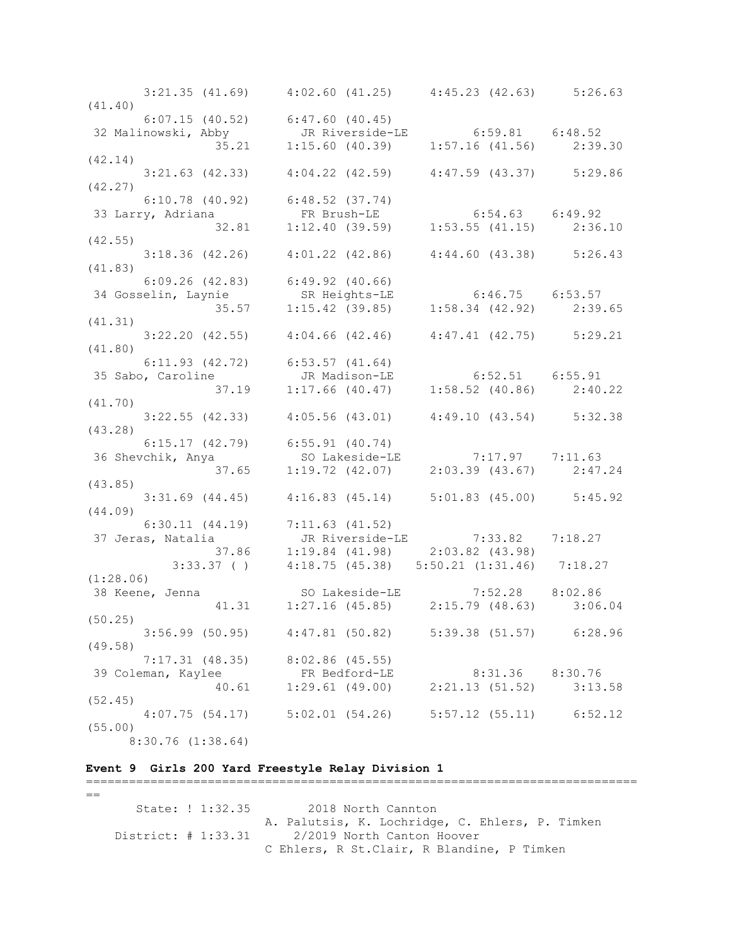3:21.35 (41.69) 4:02.60 (41.25) 4:45.23 (42.63) 5:26.63 (41.40) 6:07.15 (40.52) 6:47.60 (40.45) 32 Malinowski, Abby JR Riverside-LE 6:59.81 6:48.52 35.21 1:15.60 (40.39) 1:57.16 (41.56) 2:39.30 (42.14) 3:21.63 (42.33) 4:04.22 (42.59) 4:47.59 (43.37) 5:29.86 (42.27) 6:10.78 (40.92) 6:48.52 (37.74) 33 Larry, Adriana FR Brush-LE 6:54.63 6:49.92 32.81 1:12.40 (39.59) 1:53.55 (41.15) 2:36.10 (42.55) 3:18.36 (42.26) 4:01.22 (42.86) 4:44.60 (43.38) 5:26.43 (41.83) 6:09.26 (42.83) 6:49.92 (40.66) 34 Gosselin, Laynie SR Heights-LE 6:46.75 6:53.57 35.57 1:15.42 (39.85) 1:58.34 (42.92) 2:39.65 (41.31) 3:22.20 (42.55) 4:04.66 (42.46) 4:47.41 (42.75) 5:29.21 (41.80) 6:11.93 (42.72) 6:53.57 (41.64) 35 Sabo, Caroline JR Madison-LE 6:52.51 6:55.91 37.19 1:17.66 (40.47) 1:58.52 (40.86) 2:40.22 (41.70) 3:22.55 (42.33) 4:05.56 (43.01) 4:49.10 (43.54) 5:32.38 (43.28) 6:15.17 (42.79) 6:55.91 (40.74) 36 Shevchik, Anya SO Lakeside-LE 7:17.97 7:11.63 37.65 1:19.72 (42.07) 2:03.39 (43.67) 2:47.24 (43.85) 3:31.69 (44.45) 4:16.83 (45.14) 5:01.83 (45.00) 5:45.92 (44.09) 6:30.11 (44.19) 7:11.63 (41.52) 37 Jeras, Natalia JR Riverside-LE 7:33.82 7:18.27 37.86 1:19.84 (41.98) 2:03.82 (43.98) 3:33.37 ( ) 4:18.75 (45.38) 5:50.21 (1:31.46) 7:18.27 (1:28.06)<br>38 Keene, Jenna 38 Keene, Jenna SO Lakeside-LE 7:52.28 8:02.86 41.31 1:27.16 (45.85) 2:15.79 (48.63) 3:06.04 (50.25) 3:56.99 (50.95) 4:47.81 (50.82) 5:39.38 (51.57) 6:28.96 (49.58) 7:17.31 (48.35) 8:02.86 (45.55) 39 Coleman, Kaylee FR Bedford-LE 8:31.36 8:30.76 40.61 1:29.61 (49.00) 2:21.13 (51.52) 3:13.58 (52.45) 4:07.75 (54.17) 5:02.01 (54.26) 5:57.12 (55.11) 6:52.12 (55.00) 8:30.76 (1:38.64)

## **Event 9 Girls 200 Yard Freestyle Relay Division 1**

=============================================================================  $=$  State: ! 1:32.35 2018 North Cannton A. Palutsis, K. Lochridge, C. Ehlers, P. Timken District: # 1:33.31 2/2019 North Canton Hoover C Ehlers, R St.Clair, R Blandine, P Timken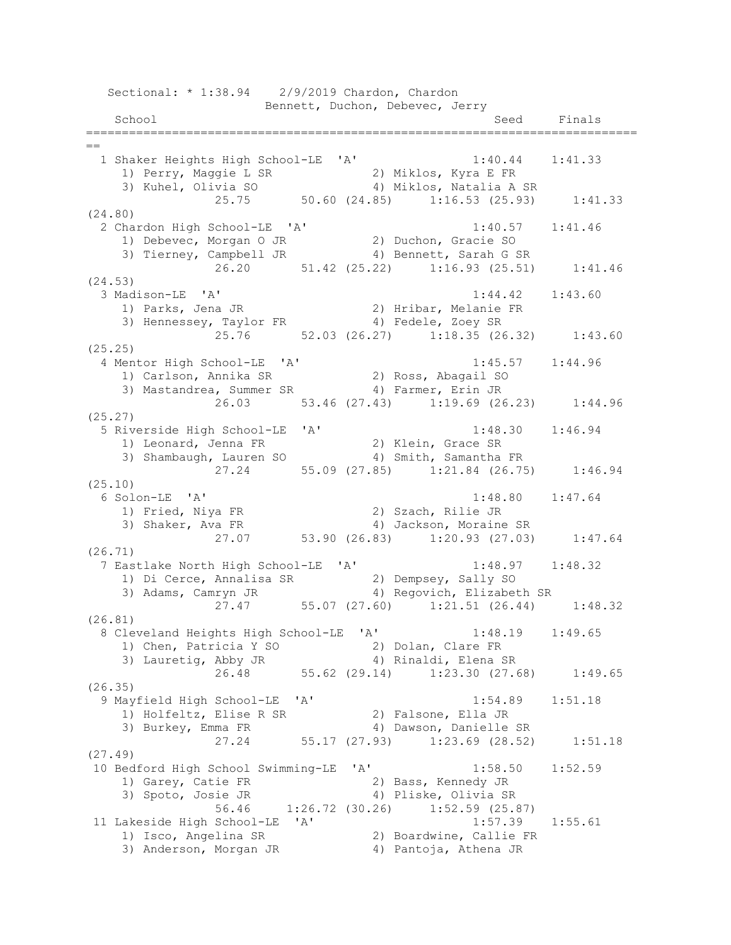Sectional: \* 1:38.94 2/9/2019 Chardon, Chardon Bennett, Duchon, Debevec, Jerry School School Seed Finals =============================================================================  $=$  1 Shaker Heights High School-LE 'A' 1:40.44 1:41.33 1) Perry, Maggie L SR 2) Miklos, Kyra E FR 3) Kuhel, Olivia SO 4) Miklos, Natalia A SR 25.75 50.60 (24.85) 1:16.53 (25.93) 1:41.33 (24.80) 2 Chardon High School-LE 'A' 1:40.57 1:41.46 1) Debevec, Morgan O JR 2) Duchon, Gracie SO 3) Tierney, Campbell JR 4) Bennett, Sarah G SR 26.20 51.42 (25.22) 1:16.93 (25.51) 1:41.46 (24.53) 3 Madison-LE 'A' 1:44.42 1:43.60 1) Parks, Jena JR 2) Hribar, Melanie FR 3) Hennessey, Taylor FR 4) Fedele, Zoey SR 25.76 52.03 (26.27) 1:18.35 (26.32) 1:43.60 (25.25) 4 Mentor High School-LE 'A' 1:45.57 1:44.96 1) Carlson, Annika SR 2) Ross, Abagail SO 3) Mastandrea, Summer SR 4) Farmer, Erin JR 26.03 53.46 (27.43) 1:19.69 (26.23) 1:44.96 (25.27) 5 Riverside High School-LE 'A' 1:48.30 1:46.94 1) Leonard, Jenna FR 2) Klein, Grace SR 3) Shambaugh, Lauren SO 4) Smith, Samantha FR 27.24 55.09 (27.85) 1:21.84 (26.75) 1:46.94 (25.10) 6 Solon-LE 'A' 1:48.80 1:47.64 1) Fried, Niya FR 2) Szach, Rilie JR 3) Shaker, Ava FR 4) Jackson, Moraine SR 19 Jackson, Moraline SK<br>27.07 53.90 (26.83) 1:20.93 (27.03) 1:47.64 (26.71) 7 Eastlake North High School-LE 'A' 1:48.97 1:48.32 1) Di Cerce, Annalisa SR 2) Dempsey, Sally SO 3) Adams, Camryn JR 4) Regovich, Elizabeth SR 27.47 55.07 (27.60) 1:21.51 (26.44) 1:48.32 (26.81) 8 Cleveland Heights High School-LE 'A' 1:48.19 1:49.65 1) Chen, Patricia Y SO 2) Dolan, Clare FR 3) Lauretig, Abby JR 4) Rinaldi, Elena SR 26.48 55.62 (29.14) 1:23.30 (27.68) 1:49.65 (26.35) 9 Mayfield High School-LE 'A' 1:54.89 1:51.18 1) Holfeltz, Elise R SR 2) Falsone, Ella JR 3) Burkey, Emma FR 4) Dawson, Danielle SR 3) Burkey, Emma FR <br>27.24 55.17 (27.93) 1:23.69 (28.52) 1:51.18 (27.49) 10 Bedford High School Swimming-LE 'A' 1:58.50 1:52.59 1) Garey, Catie FR 2) Bass, Kennedy JR 3) Spoto, Josie JR 4) Pliske, Olivia SR 56.46 1:26.72 (30.26) 1:52.59 (25.87) 11 Lakeside High School-LE 'A' 1:57.39 1:55.61 1) Isco, Angelina SR 2) Boardwine, Callie FR 3) Anderson, Morgan JR 4) Pantoja, Athena JR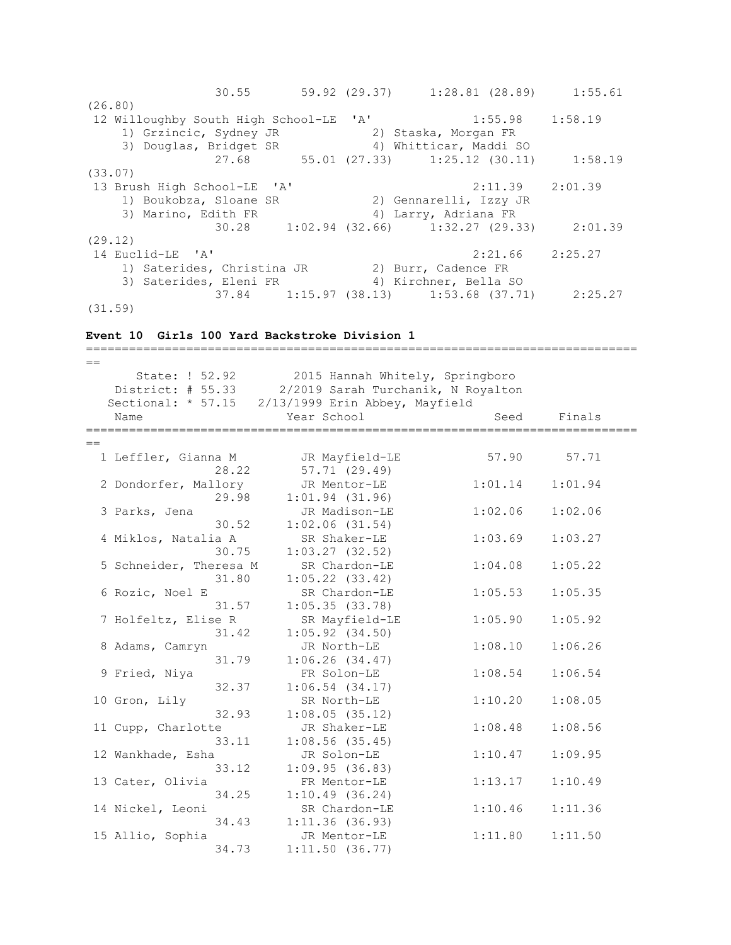|         | 30.55                                           |  | 59.92 (29.37) 1:28.81 (28.89) 1:55.61         |         |                     |
|---------|-------------------------------------------------|--|-----------------------------------------------|---------|---------------------|
| (26.80) |                                                 |  |                                               |         |                     |
|         | 12 Willoughby South High School-LE 'A'          |  | $1:55.98$ $1:58.19$                           |         |                     |
|         | 1) Grzincic, Sydney JR                          |  | 2) Staska, Morgan FR                          |         |                     |
|         | 3) Douglas, Bridget SR                          |  | 4) Whitticar, Maddi SO                        |         |                     |
|         |                                                 |  | 27.68 55.01 (27.33) 1:25.12 (30.11)           |         | 1:58.19             |
| (33.07) |                                                 |  |                                               |         |                     |
|         | 13 Brush High School-LE 'A'                     |  |                                               |         | $2:11.39$ $2:01.39$ |
|         | 1) Boukobza, Sloane SR                          |  | 2) Gennarelli, Izzy JR                        |         |                     |
|         | 3) Marino, Edith FR                             |  | 4) Larry, Adriana FR                          |         |                     |
|         |                                                 |  | 30.28 1:02.94 (32.66) 1:32.27 (29.33) 2:01.39 |         |                     |
| (29.12) |                                                 |  |                                               |         |                     |
|         | 14 Euclid-LE 'A'                                |  |                                               | 2:21.66 | 2:25.27             |
|         | 1) Saterides, Christina JR (2) Burr, Cadence FR |  |                                               |         |                     |
|         | 3) Saterides, Eleni FR (4) Kirchner, Bella SO   |  |                                               |         |                     |
|         |                                                 |  | 37.84 1:15.97 (38.13) 1:53.68 (37.71) 2:25.27 |         |                     |
| (31.59) |                                                 |  |                                               |         |                     |

### **Event 10 Girls 100 Yard Backstroke Division 1**

============================================================================= == State: ! 52.92 2015 Hannah Whitely, Springboro District: # 55.33 2/2019 Sarah Turchanik, N Royalton Sectional: \* 57.15 2/13/1999 Erin Abbey, Mayfield Name Year School Seed Finals =============================================================================  $=$ 1 Leffler, Gianna M JR Mayfield-LE 57.90 57.71 28.22 57.71 (29.49) 2 Dondorfer, Mallory JR Mentor-LE 1:01.14 1:01.94 29.98 1:01.94 (31.96) 3 Parks, Jena JR Madison-LE 1:02.06 1:02.06 30.52 1:02.06 (31.54) 4 Miklos, Natalia A SR Shaker-LE 1:03.69 1:03.27  $30.75$  1:03.27 (32.52) 5 Schneider, Theresa M SR Chardon-LE 1:04.08 1:05.22 31.80 1:05.22 (33.42) 6 Rozic, Noel E SR Chardon-LE 1:05.53 1:05.35 31.57 1:05.35 (33.78) 7 Holfeltz, Elise R SR Mayfield-LE 1:05.90 1:05.92 31.42 1:05.92 (34.50) 8 Adams, Camryn JR North-LE 1:08.10 1:06.26 31.79 1:06.26 (34.47) 9 Fried, Niya FR Solon-LE 1:08.54 1:06.54 32.37 1:06.54 (34.17) 10 Gron, Lily SR North-LE 1:10.20 1:08.05 32.93 1:08.05 (35.12) 11 Cupp, Charlotte JR Shaker-LE 1:08.48 1:08.56 33.11 1:08.56 (35.45) 12 Wankhade, Esha JR Solon-LE 1:10.47 1:09.95 33.12 1:09.95 (36.83) 13 Cater, Olivia FR Mentor-LE 1:13.17 1:10.49 34.25 1:10.49 (36.24) 14 Nickel, Leoni SR Chardon-LE 1:10.46 1:11.36 34.43 1:11.36 (36.93) 15 Allio, Sophia JR Mentor-LE 1:11.80 1:11.50 34.73 1:11.50 (36.77)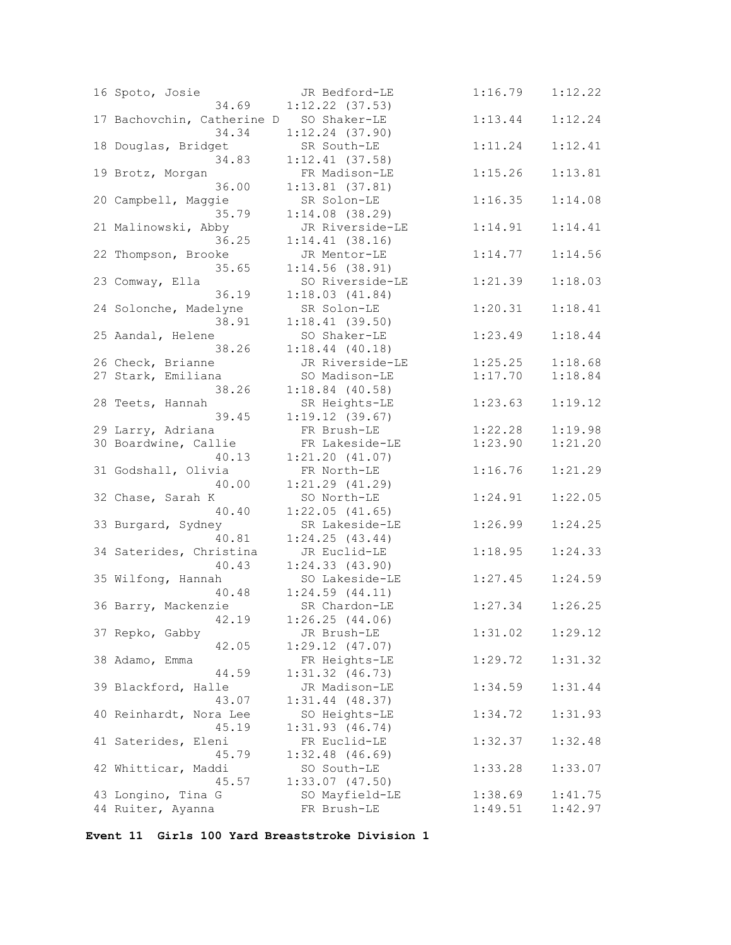| 16 Spoto, Josie<br>34.69                         | JR Bedford-LE<br>$1:12.22$ (37.53)   | 1:16.79             | 1:12.22 |
|--------------------------------------------------|--------------------------------------|---------------------|---------|
| 17 Bachovchin, Catherine D SO Shaker-LE<br>34.34 | $1:12.24$ (37.90)                    | 1:13.44             | 1:12.24 |
| 18 Douglas, Bridget<br>34.83                     | SR South-LE<br>$1:12.41$ (37.58)     | 1:11.24             | 1:12.41 |
| 19 Brotz, Morgan<br>36.00                        | FR Madison-LE<br>$1:13.81$ (37.81)   | 1:15.26             | 1:13.81 |
| 20 Campbell, Maggie<br>35.79                     | SR Solon-LE<br>$1:14.08$ (38.29)     | 1:16.35             | 1:14.08 |
| 21 Malinowski, Abby<br>36.25                     | JR Riverside-LE<br>$1:14.41$ (38.16) | 1:14.91             | 1:14.41 |
| 22 Thompson, Brooke<br>35.65                     | JR Mentor-LE<br>$1:14.56$ (38.91)    | 1:14.77             | 1:14.56 |
| 23 Comway, Ella<br>36.19                         | SO Riverside-LE<br>1:18.03(41.84)    | 1:21.39             | 1:18.03 |
| 24 Solonche, Madelyne<br>38.91                   | SR Solon-LE<br>1:18.41(39.50)        | 1:20.31             | 1:18.41 |
| 25 Aandal, Helene<br>38.26                       | SO Shaker-LE<br>$1:18.44$ (40.18)    | 1:23.49             | 1:18.44 |
| 26 Check, Brianne                                | JR Riverside-LE                      | 1:25.25             | 1:18.68 |
| 27 Stark, Emiliana                               | SO Madison-LE                        | 1:17.70             | 1:18.84 |
| 38.26                                            | $1:18.84$ (40.58)                    |                     |         |
| 28 Teets, Hannah<br>39.45                        | SR Heights-LE<br>1:19.12(39.67)      | 1:23.63             | 1:19.12 |
| 29 Larry, Adriana                                | FR Brush-LE                          | 1:22.28             | 1:19.98 |
| 30 Boardwine, Callie                             | FR Lakeside-LE                       | 1:23.90             | 1:21.20 |
| 40.13                                            | 1:21.20(41.07)                       |                     |         |
| 31 Godshall, Olivia<br>40.00                     | FR North-LE<br>$1:21.29$ $(41.29)$   | 1:16.76             | 1:21.29 |
| 32 Chase, Sarah K                                | SO North-LE                          | 1:24.91             | 1:22.05 |
| 40.40                                            | $1:22.05$ (41.65)                    |                     |         |
| 33 Burgard, Sydney                               | SR Lakeside-LE                       | 1:26.99             | 1:24.25 |
| 40.81                                            | 1:24.25(43.44)                       |                     |         |
| 34 Saterides, Christina                          | JR Euclid-LE                         | 1:18.95             | 1:24.33 |
| 40.43                                            | 1:24.33(43.90)                       |                     |         |
| 35 Wilfong, Hannah                               | SO Lakeside-LE                       | 1:27.45             | 1:24.59 |
| 40.48                                            | $1:24.59$ $(44.11)$                  |                     |         |
| 36 Barry, Mackenzie                              | SR Chardon-LE                        | $1:27.34$ $1:26.25$ |         |
| 42.19                                            | 1:26.25(44.06)                       |                     |         |
| 37 Repko, Gabby                                  | JR Brush-LE                          | 1:31.02             | 1:29.12 |
| 42.05                                            | $1:29.12$ $(47.07)$                  |                     |         |
| 38 Adamo, Emma                                   | FR Heights-LE                        | 1:29.72             | 1:31.32 |
| 44.59                                            | $1:31.32$ $(46.73)$                  |                     |         |
| 39 Blackford, Halle<br>43.07                     | JR Madison-LE<br>$1:31.44$ (48.37)   | 1:34.59             | 1:31.44 |
| 40 Reinhardt, Nora Lee                           | SO Heights-LE                        | 1:34.72             | 1:31.93 |
| 45.19                                            | 1:31.93(46.74)                       |                     |         |
| 41 Saterides, Eleni                              | FR Euclid-LE                         | 1:32.37             | 1:32.48 |
| 45.79                                            | $1:32.48$ (46.69)                    |                     |         |
| 42 Whitticar, Maddi                              | SO South-LE                          | 1:33.28             | 1:33.07 |
| 45.57                                            | $1:33.07$ $(47.50)$                  |                     |         |
| 43 Longino, Tina G                               | SO Mayfield-LE                       | 1:38.69             | 1:41.75 |
| 44 Ruiter, Ayanna                                | FR Brush-LE                          | 1:49.51             | 1:42.97 |

**Event 11 Girls 100 Yard Breaststroke Division 1**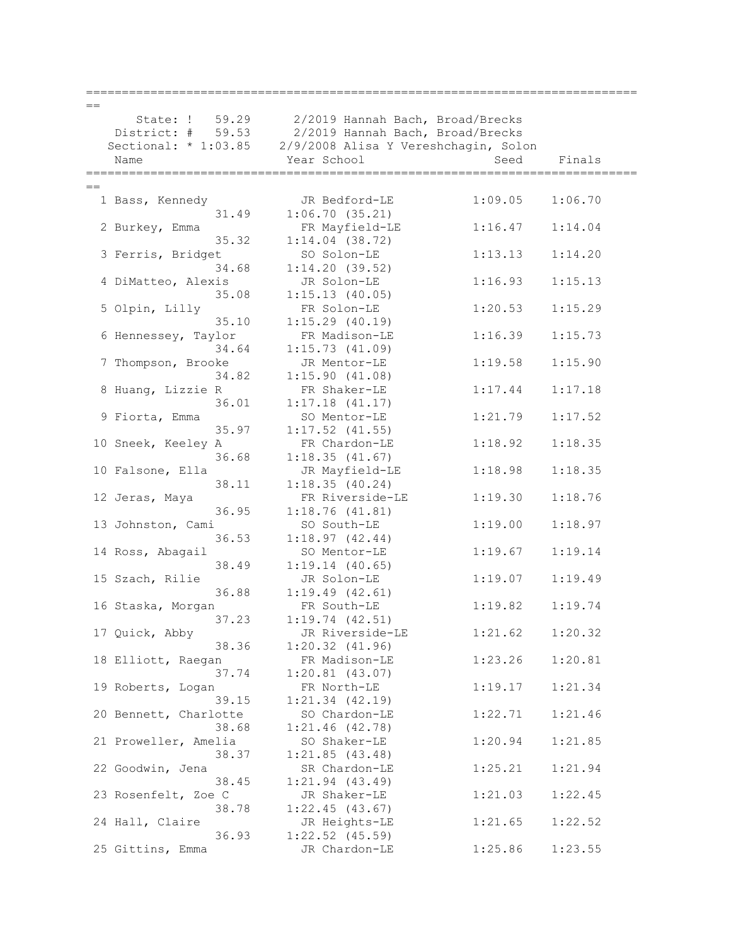| $=$  |                       |                                                           |         |         |
|------|-----------------------|-----------------------------------------------------------|---------|---------|
|      |                       | State: ! 59.29 2/2019 Hannah Bach, Broad/Brecks           |         |         |
|      |                       | District: # 59.53 2/2019 Hannah Bach, Broad/Brecks        |         |         |
|      |                       | Sectional: * 1:03.85 2/9/2008 Alisa Y Vereshchagin, Solon |         |         |
|      | Name                  | Year School                                               | Seed    | Finals  |
|      |                       |                                                           |         |         |
| $==$ |                       |                                                           |         |         |
|      | 1 Bass, Kennedy       | JR Bedford-LE                                             | 1:09.05 | 1:06.70 |
|      | 31.49                 | 1:06.70(35.21)                                            |         |         |
|      | 2 Burkey, Emma        | FR Mayfield-LE                                            | 1:16.47 | 1:14.04 |
|      | 35.32                 | $1:14.04$ (38.72)                                         |         |         |
|      |                       |                                                           |         |         |
|      | 3 Ferris, Bridget     | SO Solon-LE                                               | 1:13.13 | 1:14.20 |
|      | 34.68                 | 1:14.20(39.52)                                            |         |         |
|      | 4 DiMatteo, Alexis    | JR Solon-LE                                               | 1:16.93 | 1:15.13 |
|      | 35.08                 | 1:15.13(40.05)                                            |         |         |
|      | 5 Olpin, Lilly        | FR Solon-LE                                               | 1:20.53 | 1:15.29 |
|      | 35.10                 | $1:15.29$ (40.19)                                         |         |         |
|      | 6 Hennessey, Taylor   | FR Madison-LE                                             | 1:16.39 | 1:15.73 |
|      | 34.64                 | 1:15.73(41.09)                                            |         |         |
|      | 7 Thompson, Brooke    | JR Mentor-LE                                              | 1:19.58 | 1:15.90 |
|      | 34.82                 | 1:15.90(41.08)                                            |         |         |
|      | 8 Huang, Lizzie R     | FR Shaker-LE                                              | 1:17.44 | 1:17.18 |
|      | 36.01                 | 1:17.18(41.17)                                            |         |         |
|      | 9 Fiorta, Emma        | SO Mentor-LE                                              | 1:21.79 | 1:17.52 |
|      | 35.97                 | $1:17.52$ $(41.55)$                                       |         |         |
|      | 10 Sneek, Keeley A    | FR Chardon-LE                                             | 1:18.92 | 1:18.35 |
|      | 36.68                 | 1:18.35(41.67)                                            |         |         |
|      | 10 Falsone, Ella      | JR Mayfield-LE                                            | 1:18.98 | 1:18.35 |
|      | 38.11                 | 1:18.35(40.24)                                            |         |         |
|      | 12 Jeras, Maya        | FR Riverside-LE                                           | 1:19.30 | 1:18.76 |
|      | 36.95                 | 1:18.76(41.81)                                            |         |         |
|      | 13 Johnston, Cami     | SO South-LE                                               | 1:19.00 | 1:18.97 |
|      | 36.53                 | 1:18.97(42.44)                                            |         |         |
|      | 14 Ross, Abagail      | SO Mentor-LE                                              | 1:19.67 | 1:19.14 |
|      | 38.49                 | 1:19.14(40.65)                                            |         |         |
|      | 15 Szach, Rilie       | JR Solon-LE                                               | 1:19.07 | 1:19.49 |
|      | 36.88                 | 1:19.49(42.61)                                            |         |         |
|      | 16 Staska, Morgan     | FR South-LE                                               | 1:19.82 | 1:19.74 |
|      | 37.23                 | 1:19.74(42.51)                                            |         |         |
|      | 17 Quick, Abby        | JR Riverside-LE                                           | 1:21.62 | 1:20.32 |
|      | 38.36                 | $1:20.32$ $(41.96)$                                       |         |         |
|      | 18 Elliott, Raegan    | FR Madison-LE                                             | 1:23.26 | 1:20.81 |
|      | 37.74                 | $1:20.81$ (43.07)                                         |         |         |
|      | 19 Roberts, Logan     | FR North-LE                                               | 1:19.17 | 1:21.34 |
|      | 39.15                 | $1:21.34$ $(42.19)$                                       |         |         |
|      | 20 Bennett, Charlotte | SO Chardon-LE                                             | 1:22.71 | 1:21.46 |
|      | 38.68                 | $1:21.46$ (42.78)                                         |         |         |
|      | 21 Proweller, Amelia  | SO Shaker-LE                                              | 1:20.94 | 1:21.85 |
|      | 38.37                 | 1:21.85(43.48)                                            |         |         |
|      | 22 Goodwin, Jena      | SR Chardon-LE                                             | 1:25.21 | 1:21.94 |
|      | 38.45                 | $1:21.94$ $(43.49)$                                       |         |         |
|      | 23 Rosenfelt, Zoe C   | JR Shaker-LE                                              | 1:21.03 | 1:22.45 |
|      | 38.78                 | 1:22.45(43.67)                                            |         |         |
|      | 24 Hall, Claire       | JR Heights-LE                                             | 1:21.65 | 1:22.52 |
|      | 36.93                 | $1:22.52$ $(45.59)$                                       |         |         |
|      | 25 Gittins, Emma      | JR Chardon-LE                                             | 1:25.86 | 1:23.55 |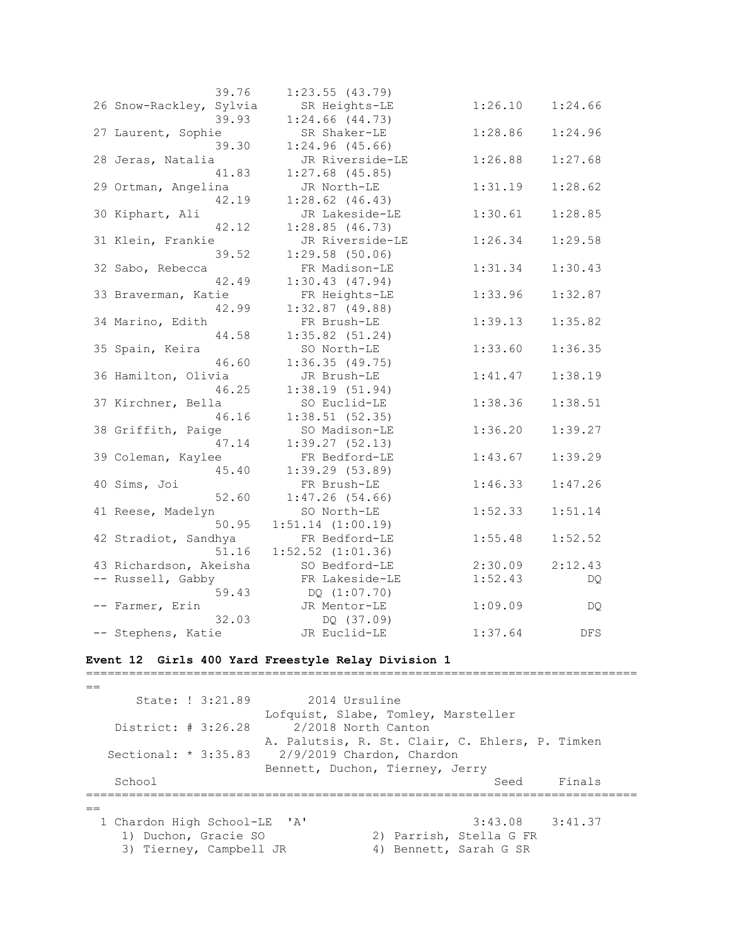| 39.76                   | $1:23.55$ (43.79)     |         |         |
|-------------------------|-----------------------|---------|---------|
| 26 Snow-Rackley, Sylvia | SR Heights-LE         | 1:26.10 | 1:24.66 |
| 39.93                   | $1:24.66$ $(44.73)$   |         |         |
| 27 Laurent, Sophie      | SR Shaker-LE          | 1:28.86 | 1:24.96 |
| 39.30                   | $1:24.96$ (45.66)     |         |         |
| 28 Jeras, Natalia       | JR Riverside-LE       | 1:26.88 | 1:27.68 |
| 41.83                   | $1:27.68$ (45.85)     |         |         |
| 29 Ortman, Angelina     | JR North-LE           | 1:31.19 | 1:28.62 |
| 42.19                   | $1:28.62$ $(46.43)$   |         |         |
| 30 Kiphart, Ali         | JR Lakeside-LE        | 1:30.61 | 1:28.85 |
| 42.12                   | 1:28.85(46.73)        |         |         |
| 31 Klein, Frankie       | JR Riverside-LE       | 1:26.34 | 1:29.58 |
| 39.52                   | $1:29.58$ (50.06)     |         |         |
| 32 Sabo, Rebecca        | FR Madison-LE         | 1:31.34 | 1:30.43 |
| 42.49                   | 1:30.43(47.94)        |         |         |
| 33 Braverman, Katie     | FR Heights-LE         | 1:33.96 | 1:32.87 |
| 42.99                   | $1:32.87$ (49.88)     |         |         |
| 34 Marino, Edith        | FR Brush-LE           | 1:39.13 | 1:35.82 |
| 44.58                   | $1:35.82$ (51.24)     |         |         |
| 35 Spain, Keira         | SO North-LE           | 1:33.60 | 1:36.35 |
| 46.60                   | 1:36.35(49.75)        |         |         |
| 36 Hamilton, Olivia     | JR Brush-LE           | 1:41.47 | 1:38.19 |
| 46.25                   | 1:38.19(51.94)        |         |         |
| 37 Kirchner, Bella      | SO Euclid-LE          | 1:38.36 | 1:38.51 |
| 46.16                   | 1:38.51(52.35)        |         |         |
| 38 Griffith, Paige      | SO Madison-LE         | 1:36.20 | 1:39.27 |
| 47.14                   | 1:39.27(52.13)        |         |         |
| 39 Coleman, Kaylee      | FR Bedford-LE         | 1:43.67 | 1:39.29 |
| 45.40                   | 1:39.29(53.89)        |         |         |
| 40 Sims, Joi            | FR Brush-LE           | 1:46.33 | 1:47.26 |
| 52.60                   | 1:47.26(54.66)        |         |         |
| 41 Reese, Madelyn       | SO North-LE           | 1:52.33 | 1:51.14 |
| 50.95                   | $1:51.14$ $(1:00.19)$ |         |         |
| 42 Stradiot, Sandhya    | FR Bedford-LE         | 1:55.48 | 1:52.52 |
| 51.16                   | $1:52.52$ $(1:01.36)$ |         |         |
| 43 Richardson, Akeisha  | SO Bedford-LE         | 2:30.09 | 2:12.43 |
| -- Russell, Gabby       | FR Lakeside-LE        | 1:52.43 | DQ.     |
| 59.43                   | DQ (1:07.70)          |         |         |
| -- Farmer, Erin         | JR Mentor-LE          | 1:09.09 | DQ      |
| 32.03                   | DQ (37.09)            |         |         |
| -- Stephens, Katie      | JR Euclid-LE          | 1:37.64 | DFS     |

## **Event 12 Girls 400 Yard Freestyle Relay Division 1**

=============================================================================  $=$  State: ! 3:21.89 2014 Ursuline Lofquist, Slabe, Tomley, Marsteller District: # 3:26.28 2/2018 North Canton A. Palutsis, R. St. Clair, C. Ehlers, P. Timken Sectional: \* 3:35.83 2/9/2019 Chardon, Chardon Bennett, Duchon, Tierney, Jerry School Seed Finals =============================================================================  $=$  1 Chardon High School-LE 'A' 3:43.08 3:41.37 1) Duchon, Gracie SO 2) Parrish, Stella G FR 3) Tierney, Campbell JR 4) Bennett, Sarah G SR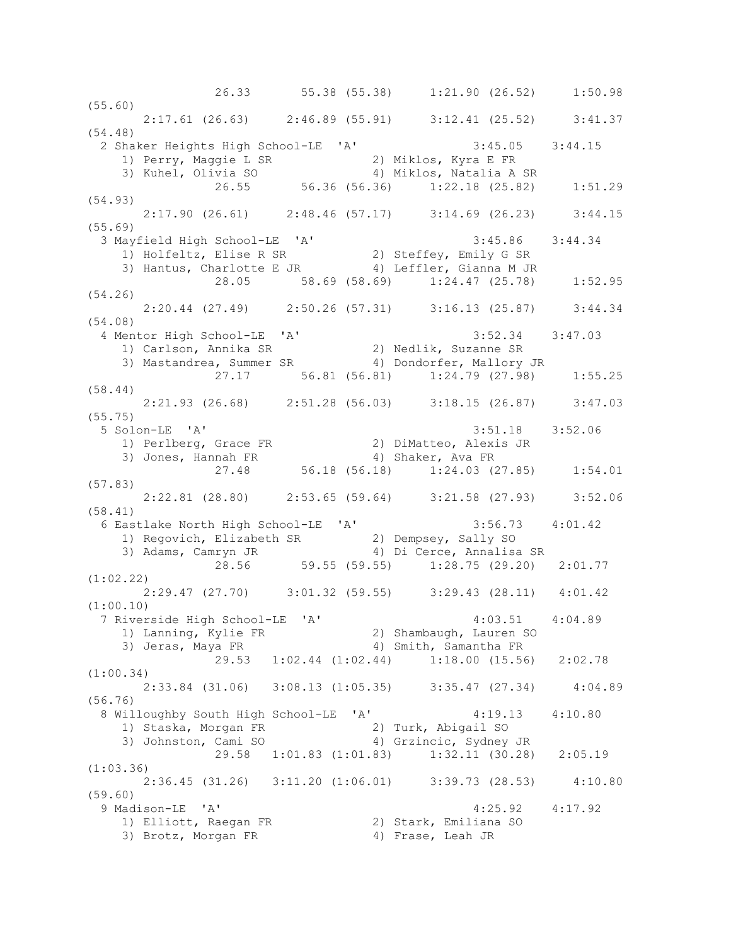26.33 55.38 (55.38) 1:21.90 (26.52) 1:50.98 (55.60) 2:17.61 (26.63) 2:46.89 (55.91) 3:12.41 (25.52) 3:41.37 (54.48) 2 Shaker Heights High School-LE 'A' 3:45.05 3:44.15 1) Perry, Maggie L SR 2) Miklos, Kyra E FR 3) Kuhel, Olivia SO 4) Miklos, Natalia A SR 26.55 56.36 (56.36) 1:22.18 (25.82) 1:51.29 (54.93) 2:17.90 (26.61) 2:48.46 (57.17) 3:14.69 (26.23) 3:44.15 (55.69) 3 Mayfield High School-LE 'A' 3:45.86 3:44.34 1) Holfeltz, Elise R SR 2) Steffey, Emily G SR 3) Hantus, Charlotte E JR 4) Leffler, Gianna M JR 28.05 58.69 (58.69) 1:24.47 (25.78) 1:52.95 (54.26) 2:20.44 (27.49) 2:50.26 (57.31) 3:16.13 (25.87) 3:44.34 (54.08) 4 Mentor High School-LE 'A' 3:52.34 3:47.03 1) Carlson, Annika SR 2) Nedlik, Suzanne SR 3) Mastandrea, Summer SR 4) Dondorfer, Mallory JR 27.17 56.81 (56.81) 1:24.79 (27.98) 1:55.25 (58.44)  $2:21.93$  (26.68)  $2:51.28$  (56.03)  $3:18.15$  (26.87)  $3:47.03$ (55.75) 5 Solon-LE 'A' 3:51.18 3:52.06 1) Perlberg, Grace FR 2) DiMatteo, Alexis JR 3) Jones, Hannah FR 4) Shaker, Ava FR 27.48 56.18 (56.18) 1:24.03 (27.85) 1:54.01 (57.83) 2:22.81 (28.80) 2:53.65 (59.64) 3:21.58 (27.93) 3:52.06 (58.41) 6 Eastlake North High School-LE 'A' 3:56.73 4:01.42 1) Regovich, Elizabeth SR 2) Dempsey, Sally SO 3) Adams, Camryn JR 4) Di Cerce, Annalisa SR 28.56 59.55 (59.55) 1:28.75 (29.20) 2:01.77 (1:02.22) 2:29.47 (27.70) 3:01.32 (59.55) 3:29.43 (28.11) 4:01.42 (1:00.10) 7 Riverside High School-LE 'A' 4:03.51 4:04.89 1) Lanning, Kylie FR 2) Shambaugh, Lauren SO 3) Jeras, Maya FR 4) Smith, Samantha FR 29.53 1:02.44 (1:02.44) 1:18.00 (15.56) 2:02.78 (1:00.34) 2:33.84 (31.06) 3:08.13 (1:05.35) 3:35.47 (27.34) 4:04.89 (56.76) 8 Willoughby South High School-LE 'A' 4:19.13 4:10.80 1) Staska, Morgan FR 2) Turk, Abigail SO 3) Johnston, Cami SO 4) Grzincic, Sydney JR 29.58 1:01.83 (1:01.83) 1:32.11 (30.28) 2:05.19 (1:03.36) 2:36.45 (31.26) 3:11.20 (1:06.01) 3:39.73 (28.53) 4:10.80 (59.60) 9 Madison-LE 'A' 4:25.92 4:17.92 1) Elliott, Raegan FR 2) Stark, Emiliana SO 3) Brotz, Morgan FR 4) Frase, Leah JR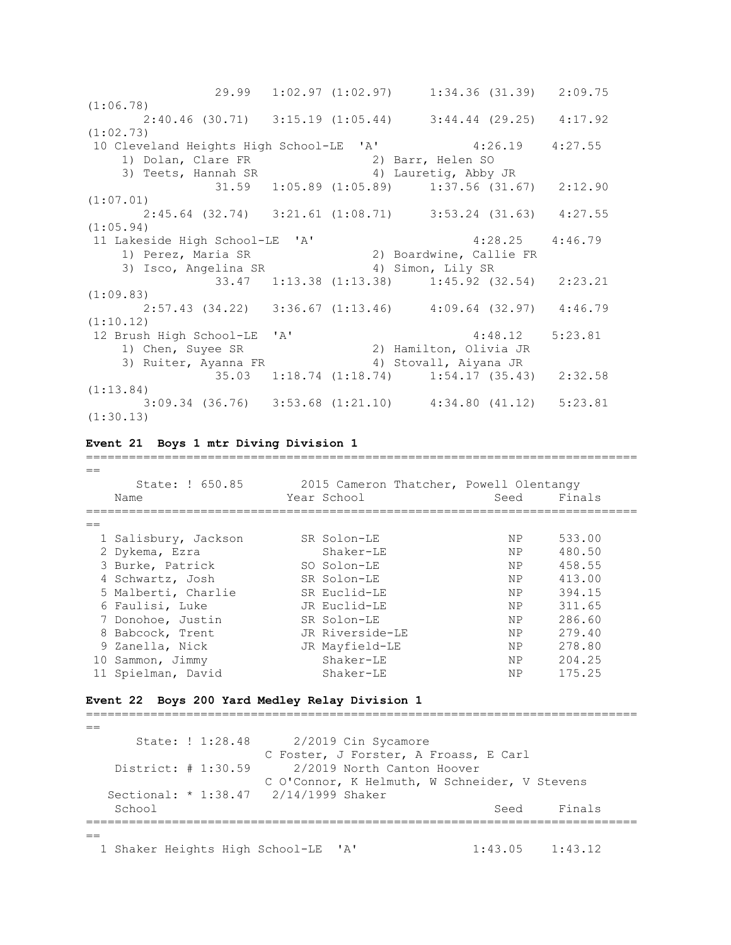29.99 1:02.97 (1:02.97) 1:34.36 (31.39) 2:09.75 (1:06.78) 2:40.46 (30.71) 3:15.19 (1:05.44) 3:44.44 (29.25) 4:17.92 (1:02.73) 10 Cleveland Heights High School-LE 'A' 4:26.19 4:27.55 1) Dolan, Clare FR 2) Barr, Helen SO 3) Teets, Hannah SR 4) Lauretig, Abby JR 31.59 1:05.89 (1:05.89) 1:37.56 (31.67) 2:12.90 (1:07.01) 2:45.64 (32.74) 3:21.61 (1:08.71) 3:53.24 (31.63) 4:27.55 (1:05.94) 11 Lakeside High School-LE 'A' 4:28.25 4:46.79 1) Perez, Maria SR 2) Boardwine, Callie FR 3) Isco, Angelina SR 4) Simon, Lily SR 33.47 1:13.38 (1:13.38) 1:45.92 (32.54) 2:23.21 (1:09.83) 2:57.43 (34.22) 3:36.67 (1:13.46) 4:09.64 (32.97) 4:46.79 (1:10.12) 12 Brush High School-LE 'A' 4:48.12 5:23.81 1) Chen, Suyee SR 2) Hamilton, Olivia JR 3) Ruiter, Ayanna FR 4) Stovall, Aiyana JR 35.03 1:18.74 (1:18.74) 1:54.17 (35.43) 2:32.58 (1:13.84) 3:09.34 (36.76) 3:53.68 (1:21.10) 4:34.80 (41.12) 5:23.81 (1:30.13)

**Event 21 Boys 1 mtr Diving Division 1**

|    | State: ! 650.85      | 2015 Cameron Thatcher, Powell Olentangy |                |        |
|----|----------------------|-----------------------------------------|----------------|--------|
|    | Name                 | Year School                             | Seed           | Finals |
|    |                      |                                         |                |        |
|    | 1 Salisbury, Jackson | SR Solon-LE                             | ΝP             | 533.00 |
|    | 2 Dykema, Ezra       | Shaker-LE                               | NP.            | 480.50 |
|    | 3 Burke, Patrick     | SO Solon-LE                             | NP.            | 458.55 |
|    | 4 Schwartz, Josh     | SR Solon-LE                             | <b>NP</b>      | 413.00 |
|    | 5 Malberti, Charlie  | SR Euclid-LE                            | N <sub>P</sub> | 394.15 |
|    | 6 Faulisi, Luke      | JR Euclid-LE                            | NP.            | 311.65 |
|    | 7 Donohoe, Justin    | SR Solon-LE                             | NP.            | 286.60 |
|    | 8 Babcock, Trent     | JR Riverside-LE                         | NP.            | 279.40 |
|    | 9 Zanella, Nick      | JR Mayfield-LE                          | NP.            | 278.80 |
| 10 | Sammon, Jimmy        | $Shaker-LE$                             | NP.            | 204.25 |
|    | 11 Spielman, David   | $Shaker-LE$                             | NP             | 175.25 |

=============================================================================

### **Event 22 Boys 200 Yard Medley Relay Division 1**

=============================================================================  $=$  State: ! 1:28.48 2/2019 Cin Sycamore C Foster, J Forster, A Froass, E Carl District: # 1:30.59 2/2019 North Canton Hoover C O'Connor, K Helmuth, W Schneider, V Stevens Sectional: \* 1:38.47 2/14/1999 Shaker School School Seed Finals =============================================================================  $=$ 1 Shaker Heights High School-LE 'A' 1:43.05 1:43.12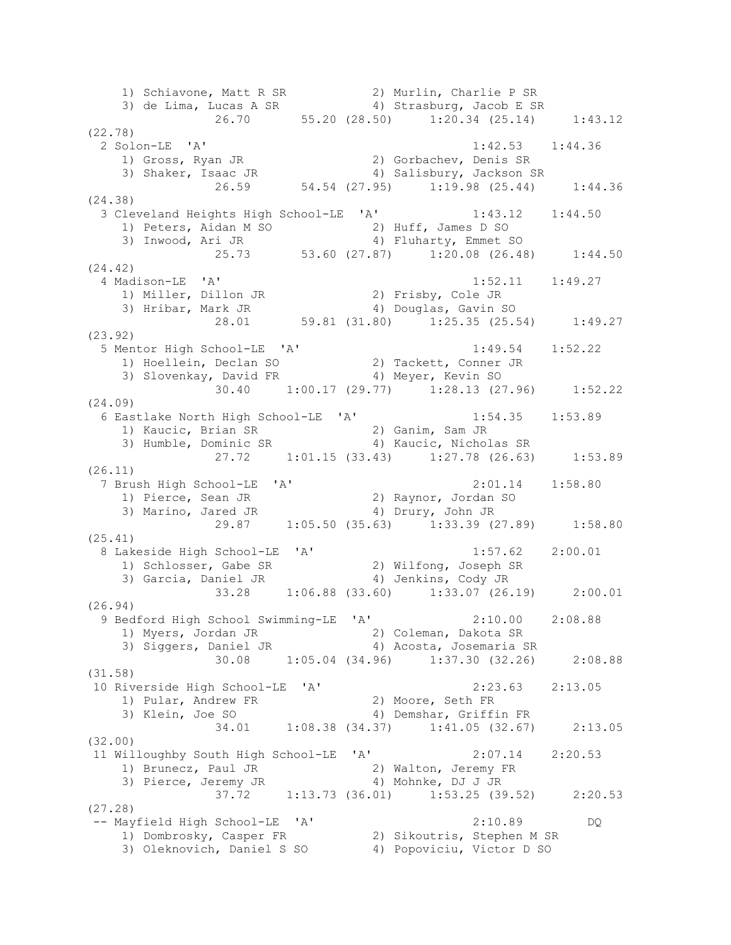1) Schiavone, Matt R SR 2) Murlin, Charlie P SR 3) de Lima, Lucas A SR 4) Strasburg, Jacob E SR 26.70 55.20 (28.50) 1:20.34 (25.14) 1:43.12 (22.78) 2 Solon-LE 'A' 1:42.53 1:44.36 1) Gross, Ryan JR 2) Gorbachev, Denis SR 3) Shaker, Isaac JR 4) Salisbury, Jackson SR 26.59 54.54 (27.95) 1:19.98 (25.44) 1:44.36 (24.38) 3 Cleveland Heights High School-LE 'A' 1:43.12 1:44.50 1) Peters, Aidan M SO 2) Huff, James D SO 3) Inwood, Ari JR 4) Fluharty, Emmet SO 25.73 53.60 (27.87) 1:20.08 (26.48) 1:44.50 (24.42) 4 Madison-LE 'A' 1:52.11 1:49.27 1) Miller, Dillon JR 2) Frisby, Cole JR 3) Hribar, Mark JR 4) Douglas, Gavin SO 28.01 59.81 (31.80) 1:25.35 (25.54) 1:49.27 (23.92) 5 Mentor High School-LE 'A' 1:49.54 1:52.22 1) Hoellein, Declan SO 2) Tackett, Conner JR 3) Slovenkay, David FR 4) Meyer, Kevin SO  $\frac{1}{30.40}$  1:00.17 (29.77) 1:28.13 (27.96) 1:52.22 (24.09) 6 Eastlake North High School-LE 'A' 1:54.35 1:53.89 1) Kaucic, Brian SR 2) Ganim, Sam JR 3) Humble, Dominic SR 4) Kaucic, Nicholas SR 27.72 1:01.15 (33.43) 1:27.78 (26.63) 1:53.89 (26.11) 7 Brush High School-LE 'A' 2:01.14 1:58.80 1) Pierce, Sean JR 2) Raynor, Jordan SO 3) Marino, Jared JR 4) Drury, John JR 29.87 1:05.50 (35.63) 1:33.39 (27.89) 1:58.80 (25.41) 8 Lakeside High School-LE 'A' 1:57.62 2:00.01 1) Schlosser, Gabe SR 2) Wilfong, Joseph SR 3) Garcia, Daniel JR 4) Jenkins, Cody JR 33.28 1:06.88 (33.60) 1:33.07 (26.19) 2:00.01 (26.94) 9 Bedford High School Swimming-LE 'A' 2:10.00 2:08.88 1) Myers, Jordan JR 2) Coleman, Dakota SR 3) Siggers, Daniel JR 4) Acosta, Josemaria SR 30.08 1:05.04 (34.96) 1:37.30 (32.26) 2:08.88 (31.58) 10 Riverside High School-LE 'A' 2:23.63 2:13.05 1) Pular, Andrew FR 2) Moore, Seth FR 3) Klein, Joe SO 4) Demshar, Griffin FR 3) Klein, Joe SO (34.38 (34.37) 1:41.05 (32.67) 2:13.05 (32.00) 11 Willoughby South High School-LE 'A' 2:07.14 2:20.53 1) Brunecz, Paul JR 2) Walton, Jeremy FR 3) Pierce, Jeremy JR 4) Mohnke, DJ J JR 37.72 1:13.73 (36.01) 1:53.25 (39.52) 2:20.53 (27.28) -- Mayfield High School-LE 'A' 2:10.89 DQ 1) Dombrosky, Casper FR 2) Sikoutris, Stephen M SR 3) Oleknovich, Daniel S SO 4) Popoviciu, Victor D SO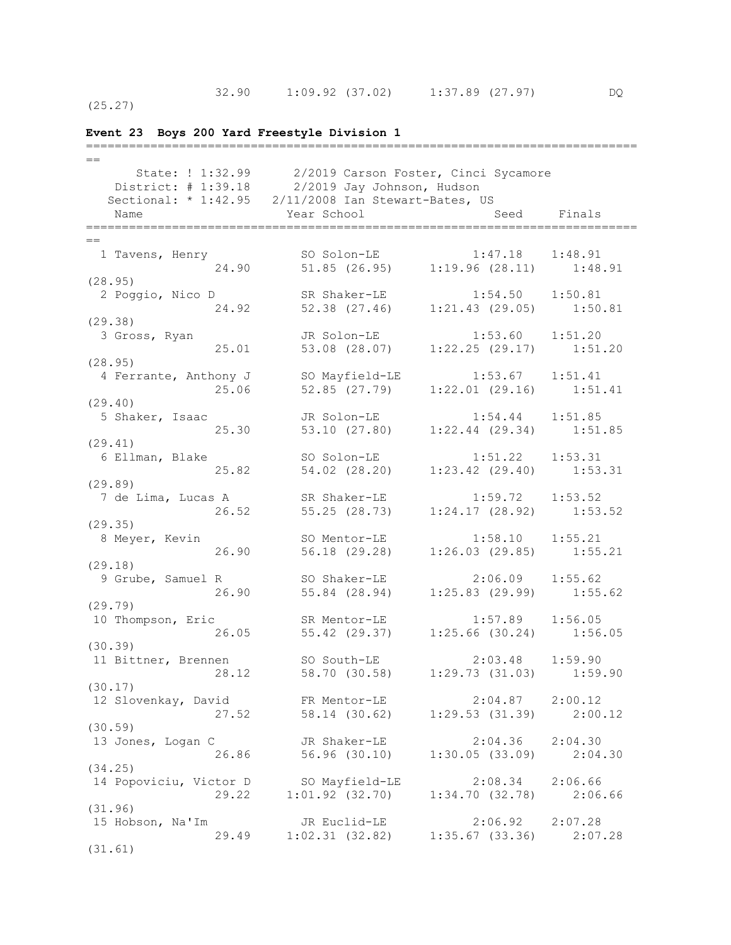(25.27)

## **Event 23 Boys 200 Yard Freestyle Division 1** =============================================================================  $=$  State: ! 1:32.99 2/2019 Carson Foster, Cinci Sycamore District: # 1:39.18 2/2019 Jay Johnson, Hudson Sectional: \* 1:42.95 2/11/2008 Ian Stewart-Bates, US Name Seed Finals (Name Seed Finals =============================================================================  $=$  1 Tavens, Henry SO Solon-LE 1:47.18 1:48.91 24.90 51.85 (26.95) 1:19.96 (28.11) 1:48.91 (28.95) 2 Poggio, Nico D SR Shaker-LE 1:54.50 1:50.81 24.92 52.38 (27.46) 1:21.43 (29.05) 1:50.81 (29.38) 3 Gross, Ryan JR Solon-LE 1:53.60 1:51.20 25.01 53.08 (28.07) 1:22.25 (29.17) 1:51.20 (28.95) 4 Ferrante, Anthony J SO Mayfield-LE 1:53.67 1:51.41 25.06 52.85 (27.79) 1:22.01 (29.16) 1:51.41 (29.40) 5 Shaker, Isaac JR Solon-LE 1:54.44 1:51.85 25.30 53.10 (27.80) 1:22.44 (29.34) 1:51.85 (29.41) 6 Ellman, Blake SO Solon-LE 1:51.22 1:53.31 25.82 54.02 (28.20) 1:23.42 (29.40) 1:53.31 (29.89) 7 de Lima, Lucas A SR Shaker-LE 1:59.72 1:53.52 26.52 55.25 (28.73) 1:24.17 (28.92) 1:53.52 (29.35) 8 Meyer, Kevin SO Mentor-LE 1:58.10 1:55.21 26.90 56.18 (29.28) 1:26.03 (29.85) 1:55.21  $(29.18)$ <br>9 Grube, Samuel R 9 Grube, Samuel R SO Shaker-LE 2:06.09 1:55.62 26.90 55.84 (28.94) 1:25.83 (29.99) 1:55.62 (29.79) 10 Thompson, Eric SR Mentor-LE 1:57.89 1:56.05 26.05 55.42 (29.37) 1:25.66 (30.24) 1:56.05 (30.39) 11 Bittner, Brennen SO South-LE 2:03.48 1:59.90 28.12 58.70 (30.58) 1:29.73 (31.03) 1:59.90 (30.17) 12 Slovenkay, David<br>27.52 58.14 (30.62) 1.20 52 2:04.87 2:00.12 27.52 58.14 (30.62) 1:29.53 (31.39) 2:00.12 (30.59) 13 Jones, Logan C<br>26.86 13 30.10 1:30.05 (33.09) 2:04 26.86 56.96 (30.10) 1:30.05 (33.09) 2:04.30 (34.25) 14 Popoviciu, Victor D SO Mayfield-LE 2:08.34 2:06.66 29.22 1:01.92 (32.70) 1:34.70 (32.78) 2:06.66 (31.96) 15 Hobson, Na'Im JR Euclid-LE 2:06.92 2:07.28 29.49 1:02.31 (32.82) 1:35.67 (33.36) 2:07.28 (31.61)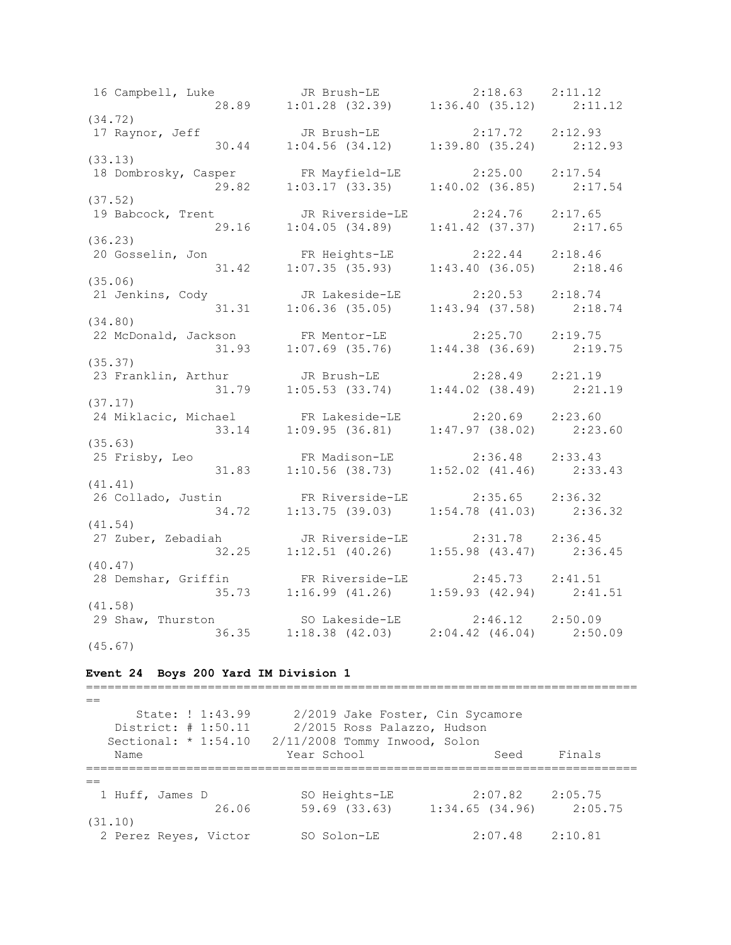16 Campbell, Luke JR Brush-LE 2:18.63 2:11.12 28.89 1:01.28 (32.39) 1:36.40 (35.12) 2:11.12 (34.72) 17 Raynor, Jeff JR Brush-LE 2:17.72 2:12.93 30.44 1:04.56 (34.12) 1:39.80 (35.24) 2:12.93 (33.13) 18 Dombrosky, Casper FR Mayfield-LE 2:25.00 2:17.54 29.82 1:03.17 (33.35) 1:40.02 (36.85) 2:17.54 (37.52) 19 Babcock, Trent JR Riverside-LE 2:24.76 2:17.65 29.16 1:04.05 (34.89) 1:41.42 (37.37) 2:17.65 (36.23) 20 Gosselin, Jon FR Heights-LE 2:22.44 2:18.46 31.42 1:07.35 (35.93) 1:43.40 (36.05) 2:18.46 (35.06)<br>21 Jenkins, Cody 21 Jenkins, Cody JR Lakeside-LE 2:20.53 2:18.74 31.31 1:06.36 (35.05) 1:43.94 (37.58) 2:18.74 (34.80) 22 McDonald, Jackson FR Mentor-LE 2:25.70 2:19.75 31.93 1:07.69 (35.76) 1:44.38 (36.69) 2:19.75 (35.37)<br>23 Franklin, Arthur 23 Franklin, Arthur JR Brush-LE 2:28.49 2:21.19 31.79 1:05.53 (33.74) 1:44.02 (38.49) 2:21.19 (37.17) 24 Miklacic, Michael FR Lakeside-LE 2:20.69 2:23.60 33.14 1:09.95 (36.81) 1:47.97 (38.02) 2:23.60 (35.63) 25 Frisby, Leo FR Madison-LE 2:36.48 2:33.43 31.83 1:10.56 (38.73) 1:52.02 (41.46) 2:33.43 (41.41) 26 Collado, Justin FR Riverside-LE 2:35.65 2:36.32 34.72 1:13.75 (39.03) 1:54.78 (41.03) 2:36.32 (41.54) 27 Zuber, Zebadiah JR Riverside-LE 2:31.78 2:36.45 32.25 1:12.51 (40.26) 1:55.98 (43.47) 2:36.45 (40.47)<br>28 Demshar, Griffin 28 Demshar, Griffin FR Riverside-LE 2:45.73 2:41.51 35.73 1:16.99 (41.26) 1:59.93 (42.94) 2:41.51 (41.58) 29 Shaw, Thurston SO Lakeside-LE 2:46.12 2:50.09 36.35 1:18.38 (42.03) 2:04.42 (46.04) 2:50.09 (45.67)

### **Event 24 Boys 200 Yard IM Division 1**

 $=$  State: ! 1:43.99 2/2019 Jake Foster, Cin Sycamore District: # 1:50.11 2/2015 Ross Palazzo, Hudson Sectional: \* 1:54.10 2/11/2008 Tommy Inwood, Solon Name The Year School Seed Finals ============================================================================= == 1 Huff, James D SO Heights-LE 2:07.82 2:05.75 26.06 59.69 (33.63) 1:34.65 (34.96) 2:05.75 (31.10) 2 Perez Reyes, Victor SO Solon-LE 2:07.48 2:10.81

=============================================================================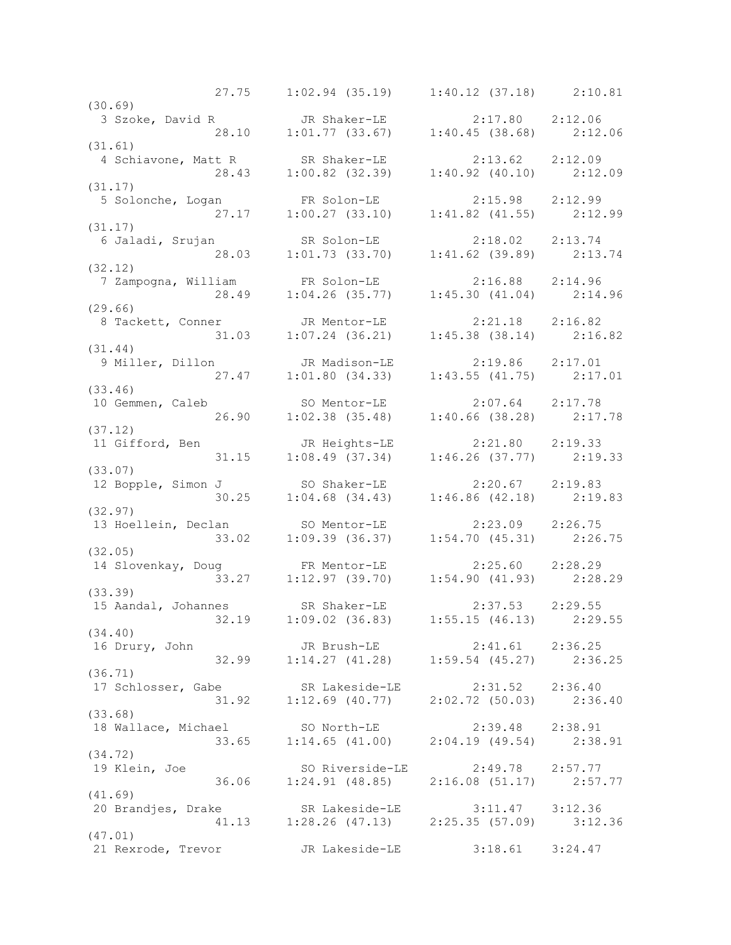27.75 1:02.94 (35.19) 1:40.12 (37.18) 2:10.81 (30.69) 3 Szoke, David R JR Shaker-LE 2:17.80 2:12.06 28.10 1:01.77 (33.67) 1:40.45 (38.68) 2:12.06 (31.61) 4 Schiavone, Matt R SR Shaker-LE 2:13.62 2:12.09 28.43 1:00.82 (32.39) 1:40.92 (40.10) 2:12.09 (31.17) 5 Solonche, Logan FR Solon-LE 2:15.98 2:12.99 27.17 1:00.27 (33.10) 1:41.82 (41.55) 2:12.99 (31.17) 6 Jaladi, Srujan SR Solon-LE 2:18.02 2:13.74 28.03 1:01.73 (33.70) 1:41.62 (39.89) 2:13.74 (32.12) 7 Zampogna, William FR Solon-LE 2:16.88 2:14.96 28.49 1:04.26 (35.77) 1:45.30 (41.04) 2:14.96 (29.66) 8 Tackett, Conner JR Mentor-LE 2:21.18 2:16.82 31.03 1:07.24 (36.21) 1:45.38 (38.14) 2:16.82 (31.44) 9 Miller, Dillon JR Madison-LE 2:19.86 2:17.01 27.47 1:01.80 (34.33) 1:43.55 (41.75) 2:17.01 (33.46) 10 Gemmen, Caleb SO Mentor-LE 2:07.64 2:17.78 26.90 1:02.38 (35.48) 1:40.66 (38.28) 2:17.78 (37.12) 11 Gifford, Ben JR Heights-LE 2:21.80 2:19.33 31.15 1:08.49 (37.34) 1:46.26 (37.77) 2:19.33 (33.07) 12 Bopple, Simon J SO Shaker-LE 2:20.67 2:19.83 30.25 1:04.68 (34.43) 1:46.86 (42.18) 2:19.83 (32.97) 13 Hoellein, Declan SO Mentor-LE 2:23.09 2:26.75 33.02 1:09.39 (36.37) 1:54.70 (45.31) 2:26.75 (32.05) 14 Slovenkay, Doug FR Mentor-LE 2:25.60 2:28.29 33.27 1:12.97 (39.70) 1:54.90 (41.93) 2:28.29 (33.39) 15 Aandal, Johannes SR Shaker-LE 2:37.53 2:29.55 32.19 1:09.02 (36.83) 1:55.15 (46.13) 2:29.55 (34.40) 16 Drury, John JR Brush-LE 2:41.61 2:36.25 32.99 1:14.27 (41.28) 1:59.54 (45.27) 2:36.25 (36.71) 17 Schlosser, Gabe SR Lakeside-LE 2:31.52 2:36.40 31.92 1:12.69 (40.77) 2:02.72 (50.03) 2:36.40 (33.68) 18 Wallace, Michael SO North-LE 2:39.48 2:38.91 33.65 1:14.65 (41.00) 2:04.19 (49.54) 2:38.91 (34.72) 19 Klein, Joe SO Riverside-LE 2:49.78 2:57.77 36.06 1:24.91 (48.85) 2:16.08 (51.17) 2:57.77 (41.69) 20 Brandjes, Drake SR Lakeside-LE 3:11.47 3:12.36 41.13 1:28.26 (47.13) 2:25.35 (57.09) 3:12.36 (47.01) 21 Rexrode, Trevor JR Lakeside-LE 3:18.61 3:24.47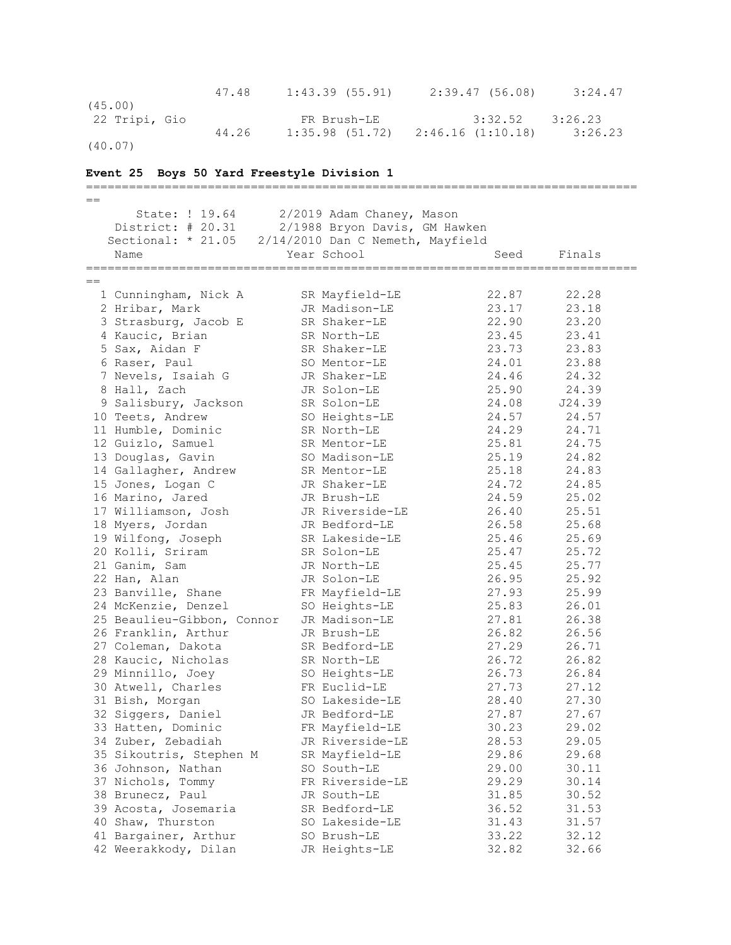47.48 1:43.39 (55.91) 2:39.47 (56.08) 3:24.47 (45.00) 22 Tripi, Gio FR Brush-LE 3:32.52 3:26.23 44.26 1:35.98 (51.72) 2:46.16 (1:10.18) 3:26.23 (40.07) **Event 25 Boys 50 Yard Freestyle Division 1** =============================================================================  $=$  State: ! 19.64 2/2019 Adam Chaney, Mason District: # 20.31 2/1988 Bryon Davis, GM Hawken Sectional: \* 21.05 2/14/2010 Dan C Nemeth, Mayfield Name Year School Seed Finals ============================================================================= == 1 Cunningham, Nick A SR Mayfield-LE 22.87 22.28 2 Hribar, Mark JR Madison-LE 23.17 23.18 3 Strasburg, Jacob E SR Shaker-LE 22.90 23.20 4 Kaucic, Brian SR North-LE 23.45 23.41 5 Sax, Aidan F SR Shaker-LE 23.73 23.83 6 Raser, Paul SO Mentor-LE 24.01 23.88 7 Nevels, Isaiah G JR Shaker-LE 24.46 24.32 8 Hall, Zach JR Solon-LE 25.90 24.39 9 Salisbury, Jackson SR Solon-LE 24.08 J24.39 10 Teets, Andrew SO Heights-LE 24.57 24.57 11 Humble, Dominic SR North-LE 24.29 24.71 12 Guizlo, Samuel SR Mentor-LE 25.81 24.75 13 Douglas, Gavin SO Madison-LE 25.19 24.82 14 Gallagher, Andrew SR Mentor-LE 25.18 24.83 15 Jones, Logan C JR Shaker-LE 24.72 24.85 16 Marino, Jared JR Brush-LE 24.59 25.02 17 Williamson, Josh JR Riverside-LE 26.40 25.51 18 Myers, Jordan JR Bedford-LE 26.58 25.68 19 Wilfong, Joseph SR Lakeside-LE 25.46 25.69 20 Kolli, Sriram SR Solon-LE 25.47 25.72 21 Ganim, Sam JR North-LE 25.45 25.77 22 Han, Alan JR Solon-LE 26.95 25.92 23 Banville, Shane FR Mayfield-LE 27.93 25.99 24 McKenzie, Denzel SO Heights-LE 25.83 26.01 25 Beaulieu-Gibbon, Connor JR Madison-LE 27.81 26.38 26 Franklin, Arthur JR Brush-LE 26.82 26.56 27 Coleman, Dakota SR Bedford-LE 27.29 26.71 28 Kaucic, Nicholas SR North-LE 26.72 26.82 29 Minnillo, Joey SO Heights-LE 26.73 26.84 30 Atwell, Charles FR Euclid-LE 27.73 27.12 31 Bish, Morgan SO Lakeside-LE 28.40 27.30 32 Siggers, Daniel JR Bedford-LE 27.87 27.67 33 Hatten, Dominic FR Mayfield-LE 30.23 29.02 34 Zuber, Zebadiah JR Riverside-LE 28.53 29.05 35 Sikoutris, Stephen M SR Mayfield-LE 29.86 29.68 36 Johnson, Nathan SO South-LE 29.00 30.11 37 Nichols, Tommy FR Riverside-LE 29.29 30.14 38 Brunecz, Paul JR South-LE 31.85 30.52 39 Acosta, Josemaria SR Bedford-LE 36.52 31.53

40 Shaw, Thurston SO Lakeside-LE 31.43 31.57 41 Bargainer, Arthur SO Brush-LE 33.22 32.12 42 Weerakkody, Dilan JR Heights-LE 32.82 32.66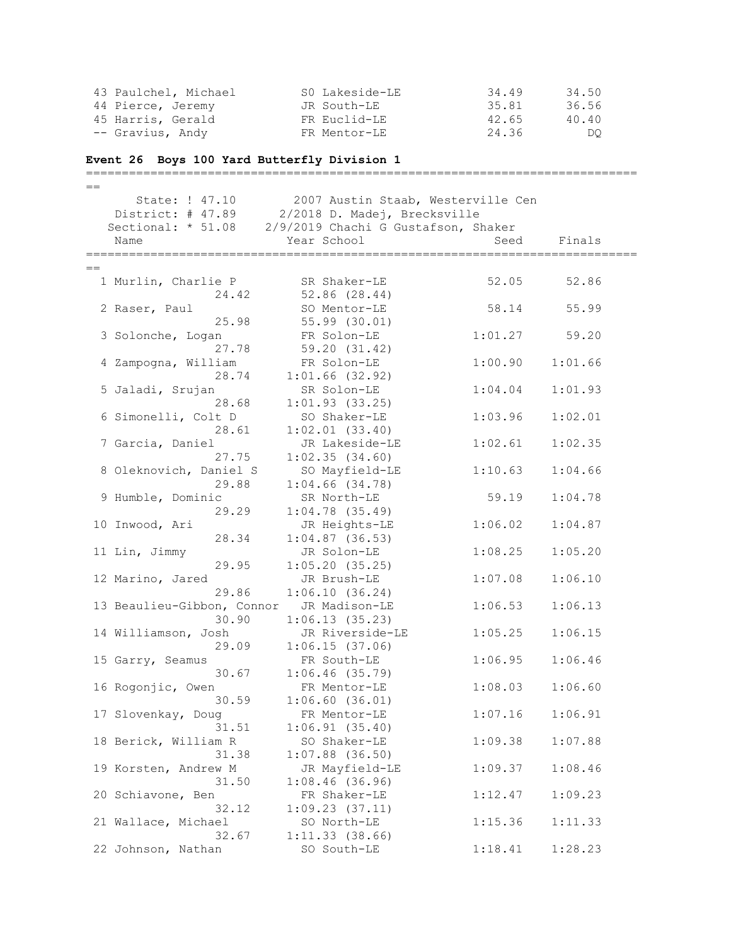| 43 Paulchel, Michael                             | SO Lakeside-LE | 34.49 | 34.50 |
|--------------------------------------------------|----------------|-------|-------|
| 44 Pierce, Jeremy                                | JR South-LE    | 35.81 | 36.56 |
| 45 Harris, Gerald                                | FR Euclid-LE   | 42.65 | 40.40 |
| -- Gravius, Andy                                 | FR Mentor-LE   | 24.36 | DO.   |
| Event 26 Boys 100 Yard Butterfly Division 1      |                |       |       |
| $\sim$ $\sim$ $\sim$ $\sim$ $\sim$ $\sim$ $\sim$ |                |       |       |

| 2007 Austin Staab, Westerville Cen<br>State: ! 47.10 |                                                |                                     |         |         |  |
|------------------------------------------------------|------------------------------------------------|-------------------------------------|---------|---------|--|
|                                                      | District: # 47.89 2/2018 D. Madej, Brecksville |                                     |         |         |  |
|                                                      | Sectional: * 51.08                             | 2/9/2019 Chachi G Gustafson, Shaker |         |         |  |
|                                                      | Name                                           | Year School                         | Seed    | Finals  |  |
|                                                      |                                                |                                     |         |         |  |
| $=$                                                  |                                                |                                     |         |         |  |
|                                                      | 1 Murlin, Charlie P                            | SR Shaker-LE                        | 52.05   | 52.86   |  |
|                                                      | 24.42                                          | 52.86(28.44)                        |         |         |  |
|                                                      | 2 Raser, Paul                                  | SO Mentor-LE                        | 58.14   | 55.99   |  |
|                                                      | 25.98                                          | 55.99 (30.01)                       |         |         |  |
|                                                      | 3 Solonche, Logan                              | FR Solon-LE                         | 1:01.27 | 59.20   |  |
|                                                      | 27.78                                          | 59.20 (31.42)                       |         |         |  |
|                                                      | 4 Zampogna, William                            | FR Solon-LE                         | 1:00.90 | 1:01.66 |  |
|                                                      |                                                | 28.74 1:01.66 (32.92)               |         |         |  |
|                                                      | 5 Jaladi, Srujan                               | SR Solon-LE                         | 1:04.04 | 1:01.93 |  |
|                                                      | 28.68                                          | 1:01.93(33.25)                      |         |         |  |
|                                                      | 6 Simonelli, Colt D                            | SO Shaker-LE                        | 1:03.96 | 1:02.01 |  |
|                                                      | 28.61                                          | $1:02.01$ $(33.40)$                 |         |         |  |
|                                                      | 7 Garcia, Daniel                               | JR Lakeside-LE                      | 1:02.61 | 1:02.35 |  |
|                                                      | 27.75                                          | 1:02.35(34.60)                      |         |         |  |
|                                                      | 8 Oleknovich, Daniel S                         | SO Mayfield-LE                      | 1:10.63 | 1:04.66 |  |
|                                                      | 29.88                                          | $1:04.66$ $(34.78)$                 |         |         |  |
|                                                      | 9 Humble, Dominic                              | SR North-LE                         | 59.19   | 1:04.78 |  |
|                                                      | 29.29                                          | $1:04.78$ (35.49)                   |         |         |  |
|                                                      | 10 Inwood, Ari                                 | JR Heights-LE                       | 1:06.02 | 1:04.87 |  |
|                                                      | 28.34                                          | $1:04.87$ (36.53)                   |         |         |  |
|                                                      | 11 Lin, Jimmy                                  | JR Solon-LE                         | 1:08.25 | 1:05.20 |  |
|                                                      | 29.95                                          | 1:05.20(35.25)                      |         |         |  |
|                                                      | 12 Marino, Jared<br>29.86                      | JR Brush-LE                         | 1:07.08 | 1:06.10 |  |
|                                                      | 13 Beaulieu-Gibbon, Connor                     | 1:06.10(36.24)<br>JR Madison-LE     | 1:06.53 | 1:06.13 |  |
|                                                      | 30.90                                          |                                     |         |         |  |
|                                                      |                                                | 1:06.13(35.23)<br>JR Riverside-LE   | 1:05.25 | 1:06.15 |  |
|                                                      | 14 Williamson, Josh<br>29.09                   | 1:06.15(37.06)                      |         |         |  |
|                                                      | 15 Garry, Seamus                               | FR South-LE                         | 1:06.95 | 1:06.46 |  |
|                                                      | 30.67                                          | $1:06.46$ (35.79)                   |         |         |  |
|                                                      | 16 Rogonjic, Owen                              | FR Mentor-LE                        | 1:08.03 | 1:06.60 |  |
|                                                      | 30.59                                          | $1:06.60$ (36.01)                   |         |         |  |
|                                                      | 17 Slovenkay, Doug                             | FR Mentor-LE                        | 1:07.16 | 1:06.91 |  |
|                                                      | 31.51                                          |                                     |         |         |  |
|                                                      | 18 Berick, William R                           | 1:06.91(35.40)<br>SO Shaker-LE      | 1:09.38 | 1:07.88 |  |
|                                                      | 31.38                                          | $1:07.88$ (36.50)                   |         |         |  |
|                                                      | 19 Korsten, Andrew M                           | JR Mayfield-LE                      | 1:09.37 | 1:08.46 |  |
|                                                      | 31.50                                          | $1:08.46$ (36.96)                   |         |         |  |
|                                                      | 20 Schiavone, Ben                              | FR Shaker-LE                        | 1:12.47 | 1:09.23 |  |
|                                                      | 32.12                                          | 1:09.23(37.11)                      |         |         |  |
|                                                      | 21 Wallace, Michael                            | SO North-LE                         | 1:15.36 | 1:11.33 |  |
|                                                      | 32.67                                          | 1:11.33(38.66)                      |         |         |  |
|                                                      | 22 Johnson, Nathan                             | SO South-LE                         | 1:18.41 | 1:28.23 |  |
|                                                      |                                                |                                     |         |         |  |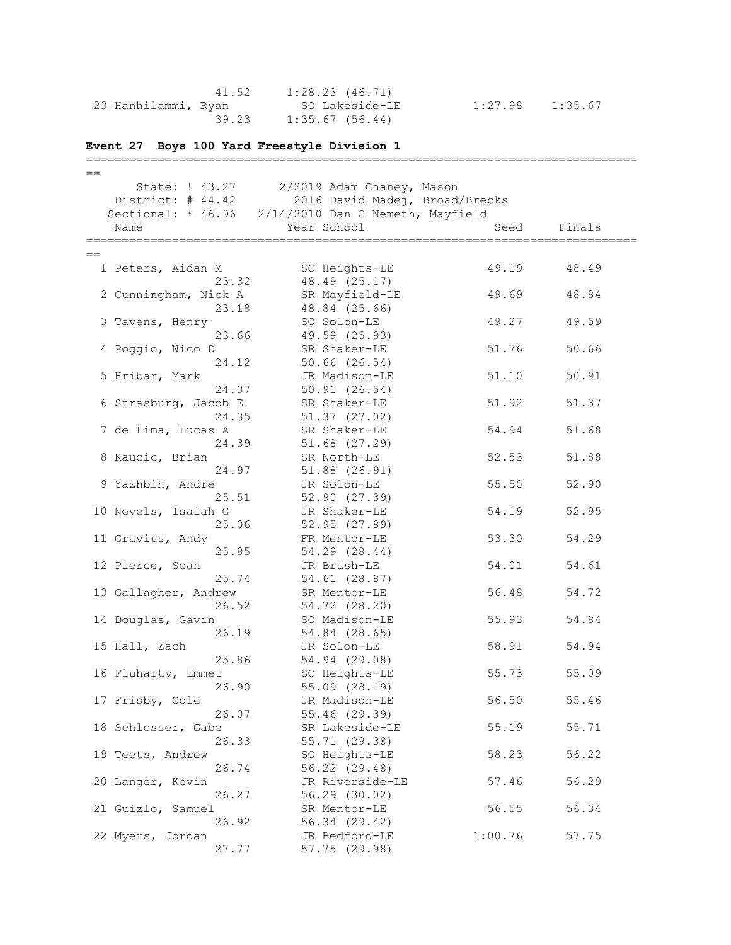|                     | 41.52 | 1:28.23 (46.71) |                     |  |
|---------------------|-------|-----------------|---------------------|--|
| 23 Hanhilammi, Ryan |       | SO Lakeside-LE  | $1:27.98$ $1:35.67$ |  |
|                     | 39.23 | 1:35.67 (56.44) |                     |  |

## **Event 27 Boys 100 Yard Freestyle Division 1**

| $==$                         |                                                     |         |        |
|------------------------------|-----------------------------------------------------|---------|--------|
| State: ! 43.27               | 2/2019 Adam Chaney, Mason                           |         |        |
|                              | District: # 44.42 2016 David Madej, Broad/Brecks    |         |        |
|                              | Sectional: * 46.96 2/14/2010 Dan C Nemeth, Mayfield |         |        |
| Name                         | Year School                                         | Seed    | Finals |
|                              |                                                     |         |        |
| $==$                         |                                                     |         |        |
| 1 Peters, Aidan M            | SO Heights-LE                                       | 49.19   | 48.49  |
| 23.32                        | 48.49 (25.17)                                       |         |        |
| 2 Cunningham, Nick A         | SR Mayfield-LE                                      | 49.69   | 48.84  |
| 23.18                        | 48.84 (25.66)                                       |         |        |
| 3 Tavens, Henry              | SO Solon-LE                                         | 49.27   | 49.59  |
| 23.66                        | 49.59 (25.93)                                       |         |        |
| 4 Poggio, Nico D             | SR Shaker-LE                                        | 51.76   | 50.66  |
| 24.12                        | 50.66 (26.54)                                       |         |        |
| 5 Hribar, Mark               | JR Madison-LE                                       | 51.10   | 50.91  |
| 24.37                        | 50.91(26.54)                                        |         |        |
| 6 Strasburg, Jacob E         | SR Shaker-LE                                        | 51.92   | 51.37  |
| 24.35                        | 51.37 (27.02)                                       |         |        |
| 7 de Lima, Lucas A           | SR Shaker-LE                                        | 54.94   | 51.68  |
| 24.39                        | 51.68 (27.29)                                       |         |        |
| 8 Kaucic, Brian              | SR North-LE                                         | 52.53   | 51.88  |
| 24.97                        | 51.88 (26.91)                                       |         |        |
| 9 Yazhbin, Andre             | JR Solon-LE                                         | 55.50   | 52.90  |
| 25.51                        | 52.90(27.39)                                        | 54.19   |        |
| 10 Nevels, Isaiah G<br>25.06 | JR Shaker-LE<br>52.95 (27.89)                       |         | 52.95  |
| 11 Gravius, Andy             | FR Mentor-LE                                        | 53.30   | 54.29  |
| 25.85                        | 54.29 (28.44)                                       |         |        |
| 12 Pierce, Sean              | JR Brush-LE                                         | 54.01   | 54.61  |
| 25.74                        | 54.61 (28.87)                                       |         |        |
| 13 Gallagher, Andrew         | SR Mentor-LE                                        | 56.48   | 54.72  |
| 26.52                        | 54.72 (28.20)                                       |         |        |
| 14 Douglas, Gavin            | SO Madison-LE                                       | 55.93   | 54.84  |
| 26.19                        | 54.84 (28.65)                                       |         |        |
| 15 Hall, Zach                | JR Solon-LE                                         | 58.91   | 54.94  |
| 25.86                        | 54.94 (29.08)                                       |         |        |
| 16 Fluharty, Emmet           | SO Heights-LE                                       | 55.73   | 55.09  |
| 26.90                        | 55.09 (28.19)                                       |         |        |
| 17 Frisby, Cole              | JR Madison-LE                                       | 56.50   | 55.46  |
| 26.07                        | 55.46 (29.39)                                       |         |        |
| 18 Schlosser, Gabe           | SR Lakeside-LE                                      | 55.19   | 55.71  |
| 26.33                        | 55.71 (29.38)                                       |         |        |
| 19 Teets, Andrew             | SO Heights-LE                                       | 58.23   | 56.22  |
| 26.74                        | 56.22 (29.48)                                       |         |        |
| 20 Langer, Kevin             | JR Riverside-LE                                     | 57.46   | 56.29  |
| 26.27                        | 56.29 (30.02)                                       |         |        |
| 21 Guizlo, Samuel            | SR Mentor-LE                                        | 56.55   | 56.34  |
| 26.92                        | 56.34 (29.42)                                       |         |        |
| 22 Myers, Jordan             | JR Bedford-LE                                       | 1:00.76 | 57.75  |
| 27.77                        | 57.75 (29.98)                                       |         |        |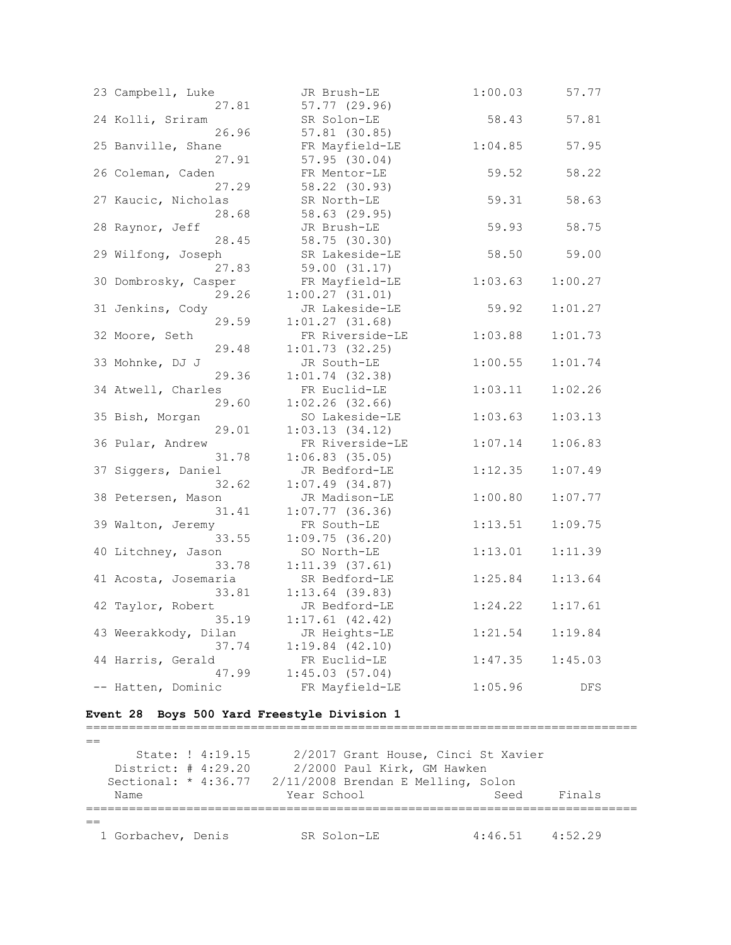| 23 Campbell, Luke    | JR Brush-LE       | 1:00.03 | 57.77   |
|----------------------|-------------------|---------|---------|
| 27.81                | 57.77 (29.96)     |         |         |
| 24 Kolli, Sriram     | SR Solon-LE       | 58.43   | 57.81   |
| 26.96                | 57.81 (30.85)     |         |         |
| 25 Banville, Shane   | FR Mayfield-LE    | 1:04.85 | 57.95   |
| 27.91                | 57.95(30.04)      |         |         |
| 26 Coleman, Caden    | FR Mentor-LE      | 59.52   | 58.22   |
| 27.29                | 58.22 (30.93)     |         |         |
| 27 Kaucic, Nicholas  | SR North-LE       | 59.31   | 58.63   |
| 28.68                | 58.63 (29.95)     |         |         |
| 28 Raynor, Jeff      | JR Brush-LE       | 59.93   | 58.75   |
| 28.45                | 58.75 (30.30)     |         |         |
| 29 Wilfong, Joseph   | SR Lakeside-LE    | 58.50   | 59.00   |
| 27.83                | 59.00 (31.17)     |         |         |
| 30 Dombrosky, Casper | FR Mayfield-LE    | 1:03.63 | 1:00.27 |
| 29.26                | 1:00.27(31.01)    |         |         |
| 31 Jenkins, Cody     | JR Lakeside-LE    | 59.92   | 1:01.27 |
| 29.59                | 1:01.27(31.68)    |         |         |
| 32 Moore, Seth       | FR Riverside-LE   | 1:03.88 | 1:01.73 |
| 29.48                | 1:01.73(32.25)    |         |         |
| 33 Mohnke, DJ J      | JR South-LE       | 1:00.55 | 1:01.74 |
| 29.36                | $1:01.74$ (32.38) |         |         |
| 34 Atwell, Charles   | FR Euclid-LE      | 1:03.11 | 1:02.26 |
| 29.60                | $1:02.26$ (32.66) |         |         |
| 35 Bish, Morgan      | SO Lakeside-LE    | 1:03.63 | 1:03.13 |
| 29.01                | 1:03.13(34.12)    |         |         |
| 36 Pular, Andrew     | FR Riverside-LE   | 1:07.14 | 1:06.83 |
| 31.78                | $1:06.83$ (35.05) |         |         |
| 37 Siggers, Daniel   | JR Bedford-LE     | 1:12.35 | 1:07.49 |
| 32.62                | $1:07.49$ (34.87) |         |         |
| 38 Petersen, Mason   | JR Madison-LE     | 1:00.80 | 1:07.77 |
| 31.41                | $1:07.77$ (36.36) |         |         |
| 39 Walton, Jeremy    | FR South-LE       | 1:13.51 | 1:09.75 |
| 33.55                | 1:09.75(36.20)    |         |         |
| 40 Litchney, Jason   | SO North-LE       | 1:13.01 | 1:11.39 |
| 33.78                | 1:11.39(37.61)    |         |         |
| 41 Acosta, Josemaria | SR Bedford-LE     | 1:25.84 | 1:13.64 |
| 33.81                | $1:13.64$ (39.83) |         |         |
| 42 Taylor, Robert    | JR Bedford-LE     | 1:24.22 | 1:17.61 |
| 35.19                | 1:17.61(42.42)    |         |         |
| 43 Weerakkody, Dilan | JR Heights-LE     | 1:21.54 | 1:19.84 |
| 37.74                | 1:19.84(42.10)    |         |         |
| 44 Harris, Gerald    | FR Euclid-LE      | 1:47.35 | 1:45.03 |
| 47.99                | 1:45.03(57.04)    |         |         |
| -- Hatten, Dominic   | FR Mayfield-LE    | 1:05.96 | DFS     |

**Event 28 Boys 500 Yard Freestyle Division 1**

=============================================================================  $=$  State: ! 4:19.15 2/2017 Grant House, Cinci St Xavier District: # 4:29.20 2/2000 Paul Kirk, GM Hawken Sectional: \* 4:36.77 2/11/2008 Brendan E Melling, Solon Name Seed Finals (Name Seed Finals =============================================================================  $=$ 1 Gorbachev, Denis SR Solon-LE 4:46.51 4:52.29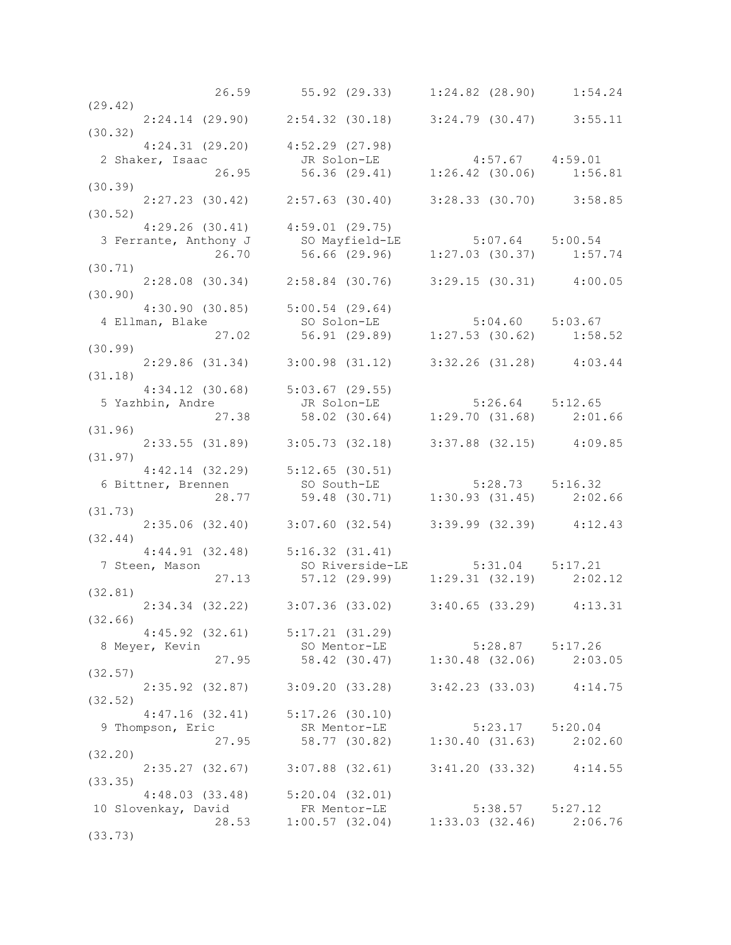|                                                                                                                                  | 26.59 55.92 (29.33) 1:24.82 (28.90) 1:54.24                                      |  |
|----------------------------------------------------------------------------------------------------------------------------------|----------------------------------------------------------------------------------|--|
| (29.42)                                                                                                                          |                                                                                  |  |
|                                                                                                                                  | $2:24.14$ (29.90) $2:54.32$ (30.18) $3:24.79$ (30.47) $3:55.11$                  |  |
| (30.32)                                                                                                                          |                                                                                  |  |
|                                                                                                                                  |                                                                                  |  |
| $4:24.31$ (29.20) $4:52.29$ (27.98)                                                                                              |                                                                                  |  |
|                                                                                                                                  |                                                                                  |  |
|                                                                                                                                  |                                                                                  |  |
| (30.39)                                                                                                                          |                                                                                  |  |
|                                                                                                                                  | 2:27.23 (30.42) 2:57.63 (30.40) 3:28.33 (30.70) 3:58.85                          |  |
| (30.52)                                                                                                                          |                                                                                  |  |
| $4:29.26$ (30.41) $4:59.01$ (29.75)                                                                                              |                                                                                  |  |
|                                                                                                                                  |                                                                                  |  |
| 3 Ferrante, Anthony J so Mayfield-LE 5:07.64 5:00.54<br>26.70 56.66 (29.96) 1:27.03 (30.37) 1:57.74                              |                                                                                  |  |
|                                                                                                                                  |                                                                                  |  |
| (30.71)                                                                                                                          |                                                                                  |  |
|                                                                                                                                  | 2:28.08 (30.34) 2:58.84 (30.76) 3:29.15 (30.31) 4:00.05                          |  |
| (30.90)                                                                                                                          |                                                                                  |  |
|                                                                                                                                  |                                                                                  |  |
|                                                                                                                                  |                                                                                  |  |
|                                                                                                                                  |                                                                                  |  |
| 4:30.90 (30.85) 5:00.54 (29.64)<br>4 Ellman, Blake so Solon-LE 5:04.60 5:03.67<br>27.02 56.91 (29.89) 1:27.53 (30.62) 1:58.52    |                                                                                  |  |
| (30.99)                                                                                                                          |                                                                                  |  |
|                                                                                                                                  | 2:29.86 (31.34) 3:00.98 (31.12) 3:32.26 (31.28) 4:03.44                          |  |
| (31.18)                                                                                                                          |                                                                                  |  |
| $4:34.12$ (30.68) $5:03.67$ (29.55)                                                                                              |                                                                                  |  |
| 4:34.12 (30.68) 5:03.67 (29.55)<br>5:26.64 5:12.65 JR Solon-LE 5:26.64 5:12.65<br>27.38 58.02 (30.64) 1:29.70 (31.68) 2:01.66    |                                                                                  |  |
|                                                                                                                                  |                                                                                  |  |
|                                                                                                                                  |                                                                                  |  |
| (31.96)                                                                                                                          |                                                                                  |  |
|                                                                                                                                  | 2:33.55 (31.89) 3:05.73 (32.18) 3:37.88 (32.15) 4:09.85                          |  |
| (31.97)                                                                                                                          |                                                                                  |  |
|                                                                                                                                  |                                                                                  |  |
|                                                                                                                                  |                                                                                  |  |
| 4:42.14 (32.29) 5:12.65 (30.51)<br>6 Bittner, Brennen so South-LE 5:28.73 5:16.32<br>28.77 59.48 (30.71) 1:30.93 (31.45) 2:02.66 |                                                                                  |  |
| (31.73)                                                                                                                          |                                                                                  |  |
|                                                                                                                                  |                                                                                  |  |
|                                                                                                                                  | 2:35.06 (32.40) 3:07.60 (32.54) 3:39.99 (32.39) 4:12.43                          |  |
| (32.44)                                                                                                                          |                                                                                  |  |
| $4:44.91$ (32.48) $5:16.32$ (31.41)                                                                                              |                                                                                  |  |
| 7 Steen, Mason                                                                                                                   |                                                                                  |  |
|                                                                                                                                  |                                                                                  |  |
| (32.81)                                                                                                                          |                                                                                  |  |
|                                                                                                                                  | 2:34.34 (32.22) 3:07.36 (33.02) 3:40.65 (33.29) 4:13.31                          |  |
| (32.66)                                                                                                                          |                                                                                  |  |
|                                                                                                                                  |                                                                                  |  |
|                                                                                                                                  | $4:45.92$ $(32.61)$ $5:17.21$ $(31.29)$                                          |  |
| 8 Meyer, Kevin                                                                                                                   |                                                                                  |  |
|                                                                                                                                  | SO Mentor-LE<br>27.95 58.42 (30.47) 1:30.48 (32.06) 2:03.05                      |  |
| (32.57)                                                                                                                          |                                                                                  |  |
|                                                                                                                                  |                                                                                  |  |
|                                                                                                                                  |                                                                                  |  |
|                                                                                                                                  | 2:35.92 (32.87) 3:09.20 (33.28) 3:42.23 (33.03) 4:14.75                          |  |
| (32.52)                                                                                                                          |                                                                                  |  |
| $4:47.16$ (32.41) $5:17.26$ (30.10)                                                                                              |                                                                                  |  |
| 9 Thompson, Eric                                                                                                                 |                                                                                  |  |
|                                                                                                                                  | SR Mentor-LE 5:23.17 5:20.04<br>27.95 58.77 (30.82) 1:30.40 (31.63) 2:02.60      |  |
| (32.20)                                                                                                                          |                                                                                  |  |
|                                                                                                                                  | $2:35.27$ (32.67) $3:07.88$ (32.61) $3:41.20$ (33.32) $4:14.55$                  |  |
| (33.35)                                                                                                                          |                                                                                  |  |
|                                                                                                                                  |                                                                                  |  |
| $4:48.03$ (33.48) $5:20.04$ (32.01)                                                                                              |                                                                                  |  |
| 10 Slovenkay, David                                                                                                              |                                                                                  |  |
| (33.73)                                                                                                                          | id FR Mentor-LE 5:38.57 5:27.12<br>28.53 1:00.57 (32.04) 1:33.03 (32.46) 2:06.76 |  |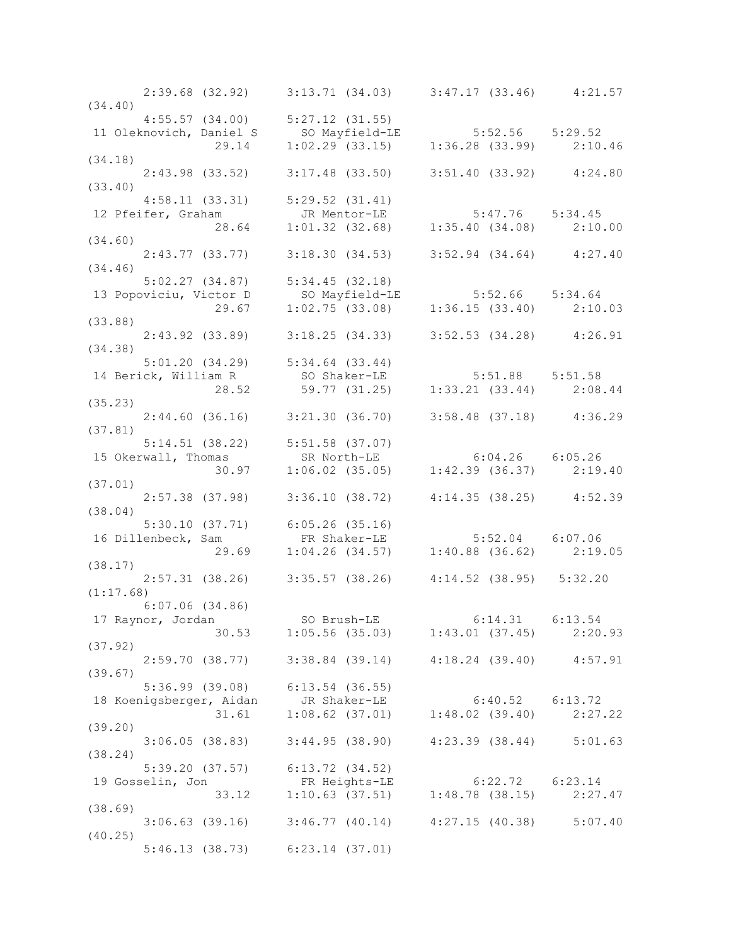|           |                                         | $2:39.68$ (32.92) 3:13.71 (34.03) 3:47.17 (33.46) 4:21.57                                                                                     |  |
|-----------|-----------------------------------------|-----------------------------------------------------------------------------------------------------------------------------------------------|--|
| (34.40)   |                                         |                                                                                                                                               |  |
|           | $4:55.57$ (34.00) $5:27.12$ (31.55)     |                                                                                                                                               |  |
|           |                                         | 11 Oleknovich, Daniel S<br>29.14 1:02.29 (33.15) 1:36.28 (33.99) 2:10.46                                                                      |  |
|           |                                         |                                                                                                                                               |  |
| (34.18)   |                                         |                                                                                                                                               |  |
|           |                                         | $2:43.98$ (33.52) $3:17.48$ (33.50) $3:51.40$ (33.92) $4:24.80$                                                                               |  |
|           |                                         |                                                                                                                                               |  |
|           |                                         |                                                                                                                                               |  |
|           |                                         |                                                                                                                                               |  |
|           |                                         | 4:58.11 (33.31) 5:29.52 (31.41)<br>12 Pfeifer, Graham JR Mentor-LE 5:47.76 5:34.45<br>28.64 1:01.32 (32.68) 1:35.40 (34.08) 2:10.00<br>34.60) |  |
|           |                                         | $2:43.77$ (33.77) $3:18.30$ (34.53) $3:52.94$ (34.64) $4:27.40$                                                                               |  |
| (34.46)   |                                         |                                                                                                                                               |  |
|           |                                         | $5:02.27$ (34.87) $5:34.45$ (32.18)                                                                                                           |  |
|           |                                         |                                                                                                                                               |  |
|           |                                         | 3:02.27 (34.87) 5:34.43 (32.18)<br>13 Popoviciu, Victor D SO Mayfield-LE 5:52.66 5:34.64<br>29.67 1:02.75 (33.08) 1:36.15 (33.40) 2:10.03     |  |
| (33.88)   |                                         |                                                                                                                                               |  |
|           |                                         | 2:43.92 (33.89) 3:18.25 (34.33) 3:52.53 (34.28) 4:26.91                                                                                       |  |
| (34.38)   |                                         |                                                                                                                                               |  |
|           | $5:01.20$ $(34.29)$ $5:34.64$ $(33.44)$ |                                                                                                                                               |  |
|           |                                         |                                                                                                                                               |  |
|           |                                         |                                                                                                                                               |  |
| (35.23)   |                                         |                                                                                                                                               |  |
|           |                                         | $2:44.60$ (36.16) $3:21.30$ (36.70) $3:58.48$ (37.18) $4:36.29$                                                                               |  |
| (37.81)   |                                         |                                                                                                                                               |  |
|           |                                         |                                                                                                                                               |  |
|           |                                         |                                                                                                                                               |  |
|           |                                         | 5:14.51 (38.22) 5:51.58 (37.07)<br>15 Okerwall, Thomas SR North-LE 6:04.26 6:05.26<br>30.97 1:06.02 (35.05) 1:42.39 (36.37) 2:19.40           |  |
| (37.01)   |                                         |                                                                                                                                               |  |
|           |                                         | $2:57.38$ (37.98) 3:36.10 (38.72) 4:14.35 (38.25) 4:52.39                                                                                     |  |
| (38.04)   |                                         |                                                                                                                                               |  |
|           |                                         |                                                                                                                                               |  |
|           |                                         | 5:30.10 (37.71) 6:05.26 (35.16)<br>16 Dillenbeck, Sam FR Shaker-LE 5:52.04 6:07.06<br>29.69 1:04.26 (34.57) 1:40.88 (36.62) 2:19.05           |  |
|           |                                         |                                                                                                                                               |  |
| (38.17)   |                                         |                                                                                                                                               |  |
| (1:17.68) |                                         | 2:57.31 (38.26) 3:35.57 (38.26) 4:14.52 (38.95) 5:32.20                                                                                       |  |
|           | $6:07.06$ $(34.86)$                     |                                                                                                                                               |  |
|           |                                         |                                                                                                                                               |  |
|           |                                         | 17 Raynor, Jordan 50 Brush-LE 6:14.31 6:13.54<br>30.53 1:05.56 (35.03) 1:43.01 (37.45) 2:20.93                                                |  |
| (37.92)   |                                         |                                                                                                                                               |  |
|           |                                         | 2:59.70 (38.77) 3:38.84 (39.14) 4:18.24 (39.40) 4:57.91                                                                                       |  |
| (39.67)   |                                         |                                                                                                                                               |  |
|           | 5:36.99 (39.08) 6:13.54 (36.55)         |                                                                                                                                               |  |
|           |                                         | 18 Koenigsberger, Aidan JR Shaker-LE 6:40.52 6:13.72<br>31.61 1:08.62 (37.01) 1:48.02 (39.40) 2:27.22                                         |  |
|           |                                         |                                                                                                                                               |  |
| (39.20)   |                                         |                                                                                                                                               |  |
|           |                                         | $3:06.05$ (38.83) $3:44.95$ (38.90) $4:23.39$ (38.44) $5:01.63$                                                                               |  |
| (38.24)   |                                         |                                                                                                                                               |  |
|           | 5:39.20 (37.57) 6:13.72 (34.52)         |                                                                                                                                               |  |
|           |                                         | 19 Gosselin, Jon FR Heights-LE 6:22.72 6:23.14<br>33.12 1:10.63 (37.51) 1:48.78 (38.15) 2:27.47                                               |  |
|           |                                         |                                                                                                                                               |  |
| (38.69)   |                                         |                                                                                                                                               |  |
|           |                                         | $3:06.63$ (39.16) $3:46.77$ (40.14) $4:27.15$ (40.38) $5:07.40$                                                                               |  |
| (40.25)   |                                         |                                                                                                                                               |  |
|           | $5:46.13$ (38.73) $6:23.14$ (37.01)     |                                                                                                                                               |  |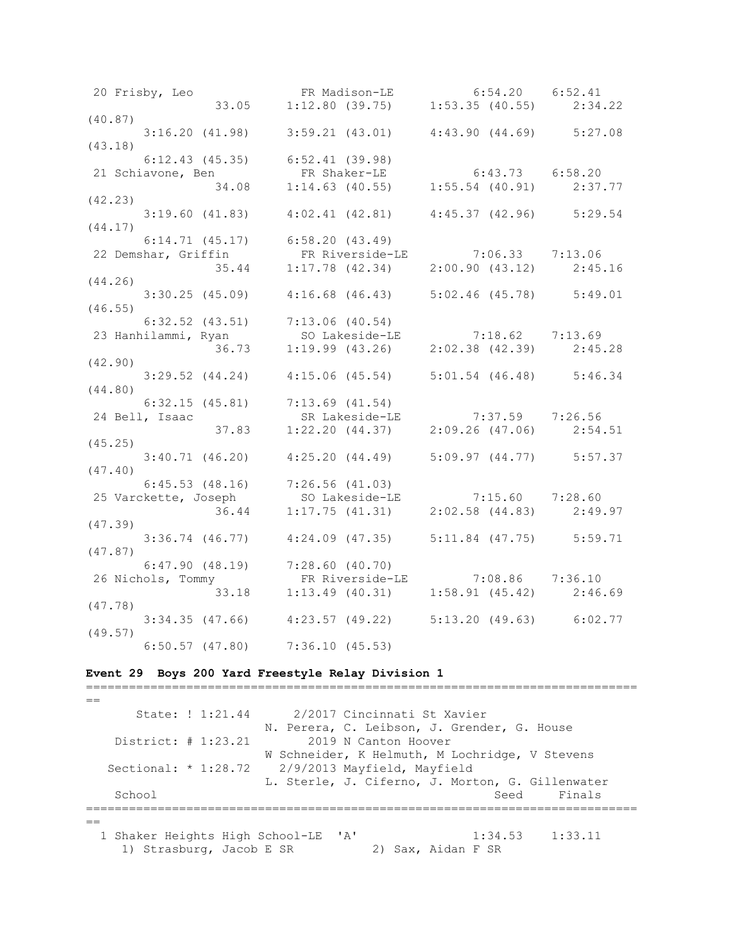| 20 Frisby, Leo FR Madison-LE 6:54.20 6:52.41<br>33.05 1:12.80 (39.75) 1:53.35 (40.55) 2:34.22                                                               |                                                                 |  |
|-------------------------------------------------------------------------------------------------------------------------------------------------------------|-----------------------------------------------------------------|--|
|                                                                                                                                                             |                                                                 |  |
| (40.87)                                                                                                                                                     |                                                                 |  |
| $3:16.20$ (41.98) $3:59.21$ (43.01) $4:43.90$ (44.69) $5:27.08$                                                                                             |                                                                 |  |
| (43.18)<br>$6:12.43$ (45.35) $6:52.41$ (39.98)                                                                                                              |                                                                 |  |
|                                                                                                                                                             |                                                                 |  |
| 6:12.43 (45.35) 6:52.41 (39.98)<br>21 Schiavone, Ben FR Shaker-LE 6:43.73 6:58.20<br>34.08 1:14.63 (40.55) 1:55.54 (40.91) 2:37.77                          |                                                                 |  |
| (42.23)                                                                                                                                                     |                                                                 |  |
| $3:19.60$ (41.83) $4:02.41$ (42.81) $4:45.37$ (42.96) $5:29.54$                                                                                             |                                                                 |  |
| (44.17)                                                                                                                                                     |                                                                 |  |
| $6:14.71$ (45.17) $6:58.20$ (43.49)                                                                                                                         |                                                                 |  |
|                                                                                                                                                             |                                                                 |  |
| 22 Demshar, Griffin<br>35.44 1:17.78 (42.34) 2:00.90 (43.12) 2:45.16<br>(44.26)                                                                             |                                                                 |  |
| (44.26)<br>$3:30.25$ (45.09) $4:16.68$ (46.43) $5:02.46$ (45.78) $5:49.01$                                                                                  |                                                                 |  |
| (46.55)                                                                                                                                                     |                                                                 |  |
|                                                                                                                                                             |                                                                 |  |
|                                                                                                                                                             |                                                                 |  |
| 6:32.52 (43.51) 7:13.06 (40.54)<br>23 Hanhilammi, Ryan SO Lakeside-LE 7:18.62 7:13.69<br>36.73 1:19.99 (43.26) 2:02.38 (42.39) 2:45.28                      |                                                                 |  |
| (42.90)                                                                                                                                                     |                                                                 |  |
| $3:29.52$ (44.24) $4:15.06$ (45.54) $5:01.54$ (46.48) $5:46.34$                                                                                             |                                                                 |  |
| (44.80)                                                                                                                                                     |                                                                 |  |
|                                                                                                                                                             |                                                                 |  |
| 24 Bell, Isaac                                                                                                                                              |                                                                 |  |
| (45.25)                                                                                                                                                     |                                                                 |  |
|                                                                                                                                                             | $3:40.71$ (46.20) $4:25.20$ (44.49) $5:09.97$ (44.77) $5:57.37$ |  |
| (47.40)                                                                                                                                                     |                                                                 |  |
|                                                                                                                                                             |                                                                 |  |
| 6:45.53 (48.16) 7:26.56 (41.03)<br>25 Varckette, Joseph SO Lakeside-LE 7:15.60 7:28.60                                                                      |                                                                 |  |
|                                                                                                                                                             | 36.44 1:17.75 (41.31) 2:02.58 (44.83) 2:49.97                   |  |
| (47.39)                                                                                                                                                     |                                                                 |  |
| $3:36.74$ (46.77) $4:24.09$ (47.35) $5:11.84$ (47.75) $5:59.71$                                                                                             |                                                                 |  |
| (47.87)                                                                                                                                                     |                                                                 |  |
|                                                                                                                                                             |                                                                 |  |
|                                                                                                                                                             |                                                                 |  |
| 6:47.90 (48.19) 7:28.60 (40.70)<br>26 Nichols, Tommy FR Riverside-LE 7:08.86 7:36.10<br>33.18 1:13.49 (40.31) 1:58.91 (45.42) 2:46.69<br>(47.78)<br>(47.78) |                                                                 |  |
|                                                                                                                                                             | 3:34.35 (47.66) 4:23.57 (49.22) 5:13.20 (49.63) 6:02.77         |  |
| (49.57)                                                                                                                                                     |                                                                 |  |
| $6:50.57$ $(47.80)$                                                                                                                                         | 7:36.10(45.53)                                                  |  |

### **Event 29 Boys 200 Yard Freestyle Relay Division 1**

 $=$  State: ! 1:21.44 2/2017 Cincinnati St Xavier N. Perera, C. Leibson, J. Grender, G. House District: # 1:23.21 2019 N Canton Hoover W Schneider, K Helmuth, M Lochridge, V Stevens 2/9/2013 Mayfield, Mayfield L. Sterle, J. Ciferno, J. Morton, G. Gillenwater School Seed Finals =============================================================================  $=$ 1 Shaker Heights High School-LE 'A' 1:34.53 1:33.11<br>1) Strasburg, Jacob E SR 2) Sax, Aidan F SR 1) Strasburg, Jacob E SR

=============================================================================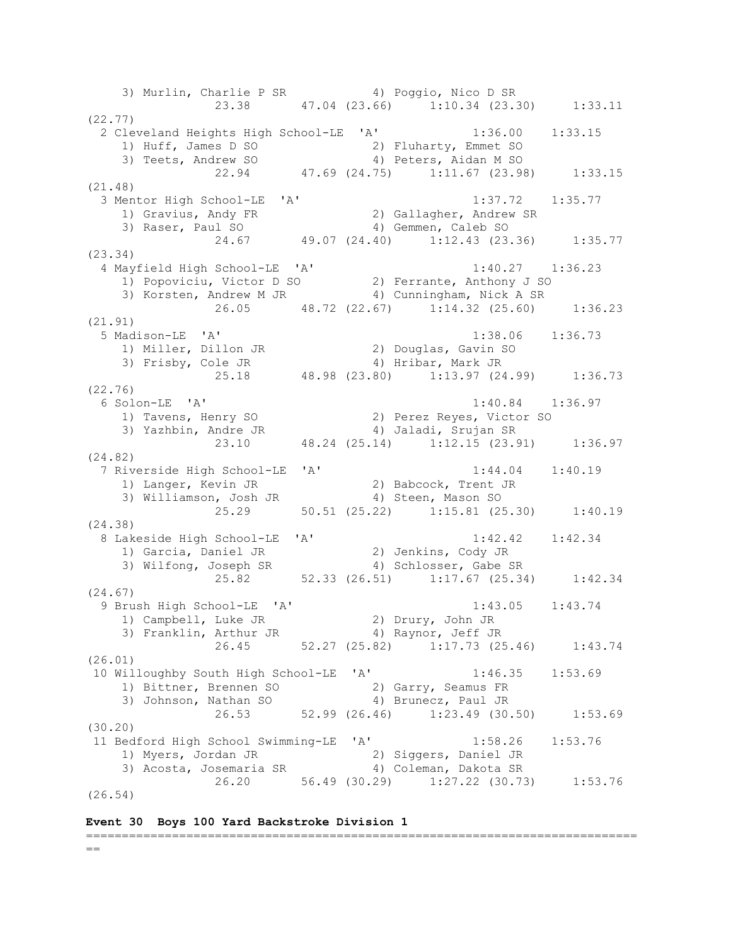3) Murlin, Charlie P SR 4) Poggio, Nico D SR 23.38 47.04 (23.66) 1:10.34 (23.30) 1:33.11 (22.77) 2 Cleveland Heights High School-LE 'A' 1:36.00 1:33.15 1) Huff, James D SO 2) Fluharty, Emmet SO 3) Teets, Andrew SO 4) Peters, Aidan M SO 22.94 47.69 (24.75) 1:11.67 (23.98) 1:33.15 (21.48) 3 Mentor High School-LE 'A' 1:37.72 1:35.77 1) Gravius, Andy FR 2) Gallagher, Andrew SR 3) Raser, Paul SO 4) Gemmen, Caleb SO 24.67 49.07 (24.40) 1:12.43 (23.36) 1:35.77 (23.34) 4 Mayfield High School-LE 'A' 1:40.27 1:36.23 1) Popoviciu, Victor D SO 2) Ferrante, Anthony J SO 3) Korsten, Andrew M JR 4) Cunningham, Nick A SR 26.05 48.72 (22.67) 1:14.32 (25.60) 1:36.23 (21.91) 5 Madison-LE 'A' 1:38.06 1:36.73 1) Miller, Dillon JR 2) Douglas, Gavin SO 3) Frisby, Cole JR 4) Hribar, Mark JR 25.18 48.98 (23.80) 1:13.97 (24.99) 1:36.73 (22.76) 6 Solon-LE 'A' 1:40.84 1:36.97 1) Tavens, Henry SO 2) Perez Reyes, Victor SO 3) Yazhbin, Andre JR 4) Jaladi, Srujan SR 23.10 48.24 (25.14) 1:12.15 (23.91) 1:36.97 (24.82) 7 Riverside High School-LE 'A' 1:44.04 1:40.19 1) Langer, Kevin JR 2) Babcock, Trent JR 3) Williamson, Josh JR 4) Steen, Mason SO 25.29 50.51 (25.22) 1:15.81 (25.30) 1:40.19 (24.38) 8 Lakeside High School-LE 'A' 1:42.42 1:42.34 1) Garcia, Daniel JR 2) Jenkins, Cody JR 3) Wilfong, Joseph SR 4) Schlosser, Gabe SR 25.82 52.33 (26.51) 1:17.67 (25.34) 1:42.34 (24.67) 9 Brush High School-LE 'A' 1:43.05 1:43.74 1) Campbell, Luke JR 2) Drury, John JR 3) Franklin, Arthur JR (4) Raynor, Jeff JR 26.45 52.27 (25.82) 1:17.73 (25.46) 1:43.74 (26.01) 10 Willoughby South High School-LE 'A' 1:46.35 1:53.69 1) Bittner, Brennen SO 2) Garry, Seamus FR 3) Johnson, Nathan SO 4) Brunecz, Paul JR 3) Johnson, Nathan SO (4) Brunecz, Paul JR<br>26.53 52.99 (26.46) 1:23.49 (30.50) 1:53.69 (30.20) 11 Bedford High School Swimming-LE 'A' 1:58.26 1:53.76 1) Myers, Jordan JR 2) Siggers, Daniel JR 3) Acosta, Josemaria SR 4) Coleman, Dakota SR 26.20 56.49 (30.29) 1:27.22 (30.73) 1:53.76 (26.54)

## **Event 30 Boys 100 Yard Backstroke Division 1**

## =============================================================================  $=$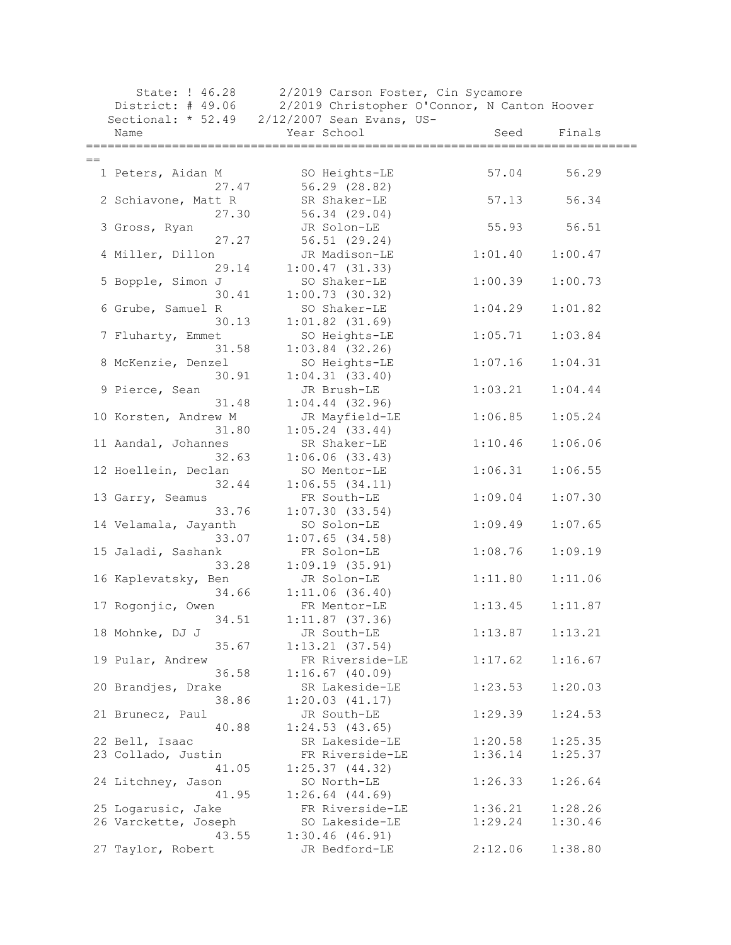| State: ! 46.28       | 2/2019 Carson Foster, Cin Sycamore           |         |         |
|----------------------|----------------------------------------------|---------|---------|
| District: # 49.06    | 2/2019 Christopher O'Connor, N Canton Hoover |         |         |
|                      | Sectional: * 52.49 2/12/2007 Sean Evans, US- |         |         |
| Name                 | Year School                                  | Seed    | Finals  |
|                      |                                              |         |         |
| $==$                 |                                              |         |         |
| 1 Peters, Aidan M    | SO Heights-LE                                | 57.04   | 56.29   |
| 27.47                | 56.29 (28.82)                                |         |         |
| 2 Schiavone, Matt R  | SR Shaker-LE                                 | 57.13   | 56.34   |
| 27.30                | 56.34 (29.04)                                |         |         |
| 3 Gross, Ryan        | JR Solon-LE                                  | 55.93   | 56.51   |
| 27.27                | 56.51 (29.24)                                |         |         |
| 4 Miller, Dillon     | JR Madison-LE                                | 1:01.40 | 1:00.47 |
| 29.14                | 1:00.47(31.33)                               |         |         |
| 5 Bopple, Simon J    | SO Shaker-LE                                 | 1:00.39 | 1:00.73 |
| 30.41                | 1:00.73(30.32)                               |         |         |
| 6 Grube, Samuel R    | SO Shaker-LE                                 | 1:04.29 | 1:01.82 |
| 30.13                | $1:01.82$ $(31.69)$                          |         |         |
| 7 Fluharty, Emmet    | SO Heights-LE                                | 1:05.71 | 1:03.84 |
| 31.58                | $1:03.84$ (32.26)                            |         |         |
| 8 McKenzie, Denzel   | SO Heights-LE                                | 1:07.16 | 1:04.31 |
| 30.91                | 1:04.31(33.40)                               |         |         |
| 9 Pierce, Sean       | JR Brush-LE                                  | 1:03.21 | 1:04.44 |
| 31.48                | $1:04.44$ (32.96)                            |         |         |
| 10 Korsten, Andrew M | JR Mayfield-LE                               | 1:06.85 | 1:05.24 |
| 31.80                | $1:05.24$ (33.44)                            |         |         |
| 11 Aandal, Johannes  | SR Shaker-LE                                 | 1:10.46 | 1:06.06 |
| 32.63                | $1:06.06$ $(33.43)$                          |         |         |
| 12 Hoellein, Declan  | SO Mentor-LE                                 | 1:06.31 | 1:06.55 |
| 32.44                | $1:06.55$ $(34.11)$                          |         |         |
| 13 Garry, Seamus     | FR South-LE                                  | 1:09.04 | 1:07.30 |
| 33.76                | 1:07.30(33.54)                               |         |         |
| 14 Velamala, Jayanth | SO Solon-LE                                  | 1:09.49 | 1:07.65 |
| 33.07                | $1:07.65$ (34.58)                            |         |         |
| 15 Jaladi, Sashank   | FR Solon-LE                                  | 1:08.76 | 1:09.19 |
| 33.28                | 1:09.19(35.91)                               |         |         |
| 16 Kaplevatsky, Ben  | JR Solon-LE                                  | 1:11.80 | 1:11.06 |
| 34.66                | 1:11.06(36.40)                               |         |         |
| 17 Rogonjic, Owen    | FR Mentor-LE                                 | 1:13.45 | 1:11.87 |
| 34.51                | $1:11.87$ (37.36)                            |         |         |
| 18 Mohnke, DJ J      | JR South-LE                                  | 1:13.87 | 1:13.21 |
| 35.67                | 1:13.21(37.54)                               |         |         |
| 19 Pular, Andrew     | FR Riverside-LE                              | 1:17.62 | 1:16.67 |
| 36.58                | $1:16.67$ (40.09)                            |         |         |
| 20 Brandjes, Drake   | SR Lakeside-LE                               | 1:23.53 | 1:20.03 |
| 38.86                | 1:20.03(41.17)                               |         |         |
| 21 Brunecz, Paul     | JR South-LE                                  | 1:29.39 | 1:24.53 |
| 40.88                | 1:24.53(43.65)                               |         |         |
| 22 Bell, Isaac       | SR Lakeside-LE                               | 1:20.58 | 1:25.35 |
| 23 Collado, Justin   | FR Riverside-LE                              | 1:36.14 | 1:25.37 |
| 41.05                | 1:25.37(44.32)                               |         |         |
| 24 Litchney, Jason   | SO North-LE                                  | 1:26.33 | 1:26.64 |
| 41.95                | $1:26.64$ $(44.69)$                          |         |         |
| 25 Logarusic, Jake   | FR Riverside-LE                              | 1:36.21 | 1:28.26 |
| 26 Varckette, Joseph | SO Lakeside-LE                               | 1:29.24 | 1:30.46 |
| 43.55                | 1:30.46(46.91)                               |         |         |
| 27 Taylor, Robert    | JR Bedford-LE                                | 2:12.06 | 1:38.80 |
|                      |                                              |         |         |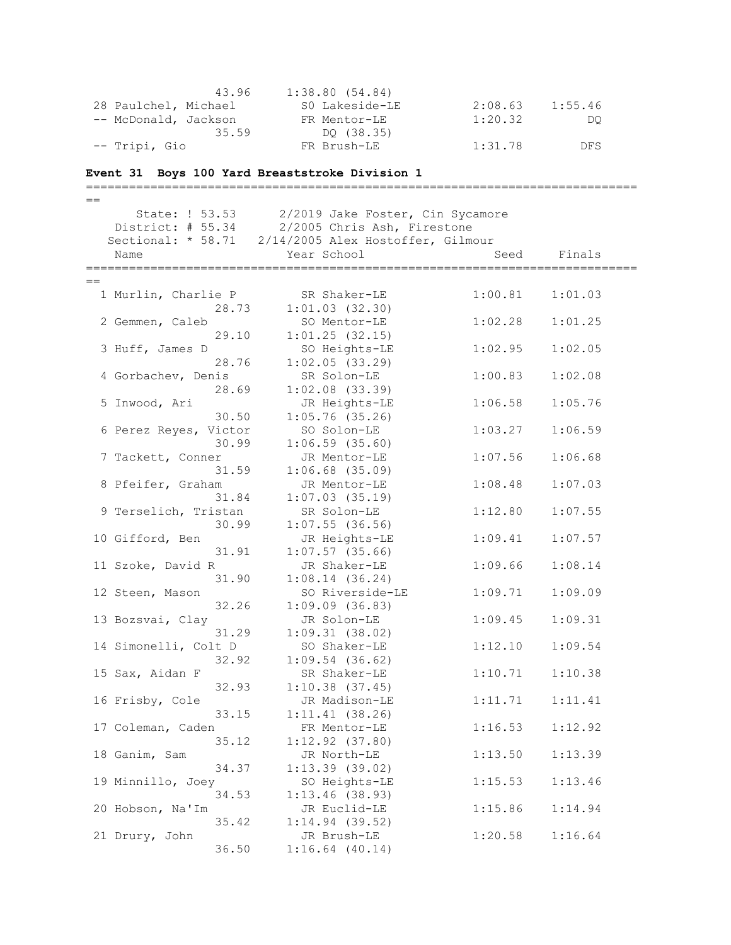| 43.96                | 1:38.80(54.84) |         |         |
|----------------------|----------------|---------|---------|
| 28 Paulchel, Michael | S0 Lakeside-LE | 2:08.63 | 1:55.46 |
| -- McDonald, Jackson | FR Mentor-LE   | 1:20.32 | DO      |
| 35.59                | DO (38.35)     |         |         |
| -- Tripi, Gio        | FR Brush-LE    | 1:31.78 | DFS.    |

### **Event 31 Boys 100 Yard Breaststroke Division 1**

=============================================================================  $=$  State: ! 53.53 2/2019 Jake Foster, Cin Sycamore District: # 55.34 2/2005 Chris Ash, Firestone Sectional: \* 58.71 2/14/2005 Alex Hostoffer, Gilmour Name The Year School Seed Finals =============================================================================  $=$  1 Murlin, Charlie P SR Shaker-LE 1:00.81 1:01.03 28.73 1:01.03 (32.30) 2 Gemmen, Caleb SO Mentor-LE 1:02.28 1:01.25 29.10 1:01.25 (32.15) 3 Huff, James D SO Heights-LE 1:02.95 1:02.05 28.76 1:02.05 (33.29) 4 Gorbachev, Denis SR Solon-LE 1:00.83 1:02.08 28.69 1:02.08 (33.39) 5 Inwood, Ari JR Heights-LE 1:06.58 1:05.76 30.50 1:05.76 (35.26) 6 Perez Reyes, Victor SO Solon-LE 1:03.27 1:06.59 30.99 1:06.59 (35.60) 7 Tackett, Conner JR Mentor-LE 1:07.56 1:06.68 31.59 1:06.68 (35.09) 8 Pfeifer, Graham JR Mentor-LE 1:08.48 1:07.03 31.84 1:07.03 (35.19) 9 Terselich, Tristan SR Solon-LE 1:12.80 1:07.55  $30.99$  1:07.55 (36.56) 10 Gifford, Ben JR Heights-LE 1:09.41 1:07.57 31.91 1:07.57 (35.66) 11 Szoke, David R JR Shaker-LE 1:09.66 1:08.14 31.90 1:08.14 (36.24) 12 Steen, Mason SO Riverside-LE 1:09.71 1:09.09 32.26 1:09.09 (36.83) 13 Bozsvai, Clay JR Solon-LE 1:09.45 1:09.31 31.29 1:09.31 (38.02) 14 Simonelli, Colt D SO Shaker-LE 1:12.10 1:09.54 32.92 1:09.54 (36.62) 15 Sax, Aidan F SR Shaker-LE 1:10.71 1:10.38 32.93 1:10.38 (37.45) 16 Frisby, Cole JR Madison-LE 1:11.71 1:11.41 33.15 1:11.41 (38.26) 17 Coleman, Caden FR Mentor-LE 1:16.53 1:12.92 35.12 1:12.92 (37.80) 18 Ganim, Sam JR North-LE 1:13.50 1:13.39 34.37 1:13.39 (39.02) 19 Minnillo, Joey SO Heights-LE 1:15.53 1:13.46 34.53 1:13.46 (38.93) 20 Hobson, Na'Im JR Euclid-LE 1:15.86 1:14.94 35.42 1:14.94 (39.52) 21 Drury, John JR Brush-LE 1:20.58 1:16.64 36.50 1:16.64 (40.14)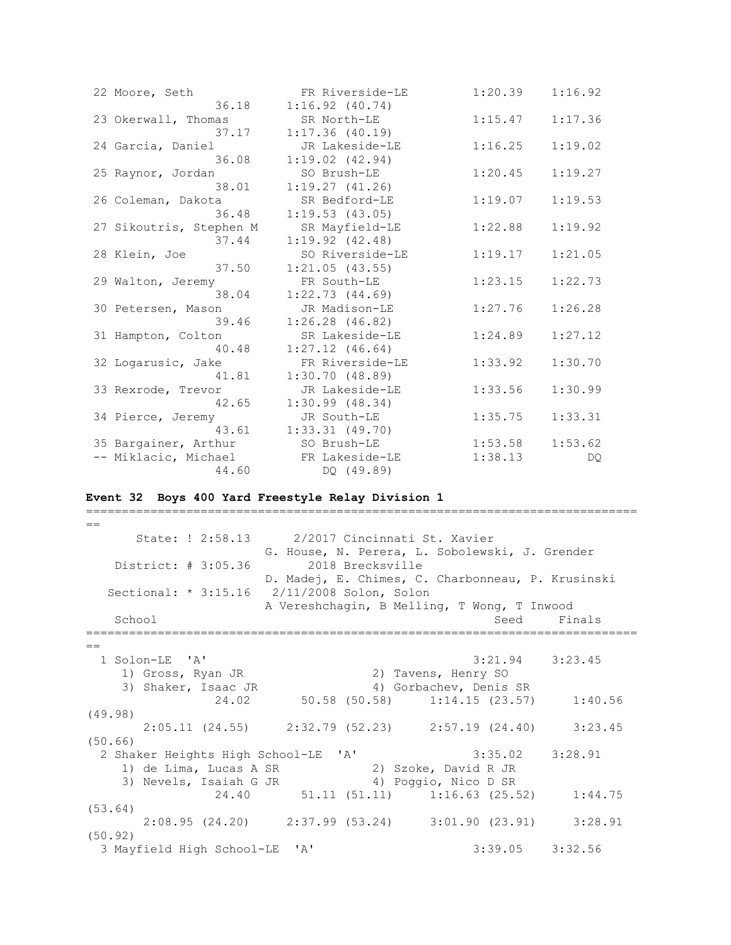| 22 Moore, Seth          | FR Riverside-LE     | 1:20.39 | 1:16.92 |
|-------------------------|---------------------|---------|---------|
| 36.18                   | $1:16.92$ $(40.74)$ |         |         |
| 23 Okerwall, Thomas     | SR North-LE         | 1:15.47 | 1:17.36 |
| 37.17                   | $1:17.36$ (40.19)   |         |         |
| 24 Garcia, Daniel       | JR Lakeside-LE      | 1:16.25 | 1:19.02 |
| 36.08                   | $1:19.02$ $(42.94)$ |         |         |
| 25 Raynor, Jordan       | SO Brush-LE         | 1:20.45 | 1:19.27 |
| 38.01                   | 1:19.27(41.26)      |         |         |
| 26 Coleman, Dakota      | SR Bedford-LE       | 1:19.07 | 1:19.53 |
| 36.48                   | 1:19.53(43.05)      |         |         |
| 27 Sikoutris, Stephen M | SR Mayfield-LE      | 1:22.88 | 1:19.92 |
| 37.44                   | $1:19.92$ $(42.48)$ |         |         |
| 28 Klein, Joe           | SO Riverside-LE     | 1:19.17 | 1:21.05 |
| 37.50                   | 1:21.05(43.55)      |         |         |
| 29 Walton, Jeremy       | FR South-LE         | 1:23.15 | 1:22.73 |
| 38.04                   | 1:22.73(44.69)      |         |         |
| 30 Petersen, Mason      | JR Madison-LE       | 1:27.76 | 1:26.28 |
| 39.46                   | $1:26.28$ $(46.82)$ |         |         |
| 31 Hampton, Colton      | SR Lakeside-LE      | 1:24.89 | 1:27.12 |
| 40.48                   | $1:27.12$ $(46.64)$ |         |         |
| 32 Logarusic, Jake      | FR Riverside-LE     | 1:33.92 | 1:30.70 |
| 41.81                   | 1:30.70(48.89)      |         |         |
| 33 Rexrode, Trevor      | JR Lakeside-LE      | 1:33.56 | 1:30.99 |
| 42.65                   | $1:30.99$ (48.34)   |         |         |
| 34 Pierce, Jeremy       | JR South-LE         | 1:35.75 | 1:33.31 |
| 43.61                   | $1:33.31$ $(49.70)$ |         |         |
| 35 Bargainer, Arthur    | SO Brush-LE         | 1:53.58 | 1:53.62 |
| -- Miklacic, Michael    | FR Lakeside-LE      | 1:38.13 | DQ.     |
| 44.60                   | DO (49.89)          |         |         |

### **Event 32 Boys 400 Yard Freestyle Relay Division 1**

=============================================================================  $=$  State: ! 2:58.13 2/2017 Cincinnati St. Xavier G. House, N. Perera, L. Sobolewski, J. Grender District: # 3:05.36 2018 Brecksville D. Madej, E. Chimes, C. Charbonneau, P. Krusinski Sectional: \* 3:15.16 2/11/2008 Solon, Solon A Vereshchagin, B Melling, T Wong, T Inwood School Seed Finals ============================================================================= == 1 Solon-LE 'A' 3:21.94 3:23.45 1) Gross, Ryan JR 2) Tavens, Henry SO 3) Shaker, Isaac JR 4) Gorbachev, Denis SR 24.02 50.58 (50.58) 1:14.15 (23.57) 1:40.56 (49.98) 2:05.11 (24.55) 2:32.79 (52.23) 2:57.19 (24.40) 3:23.45 (50.66) 2 Shaker Heights High School-LE 'A' 3:35.02 3:28.91 1) de Lima, Lucas A SR 2) Szoke, David R JR 3) Nevels, Isaiah G JR 4) Poggio, Nico D SR 24.40 51.11 (51.11) 1:16.63 (25.52) 1:44.75 (53.64) 2:08.95 (24.20) 2:37.99 (53.24) 3:01.90 (23.91) 3:28.91 (50.92) 3 Mayfield High School-LE 'A' 3:39.05 3:32.56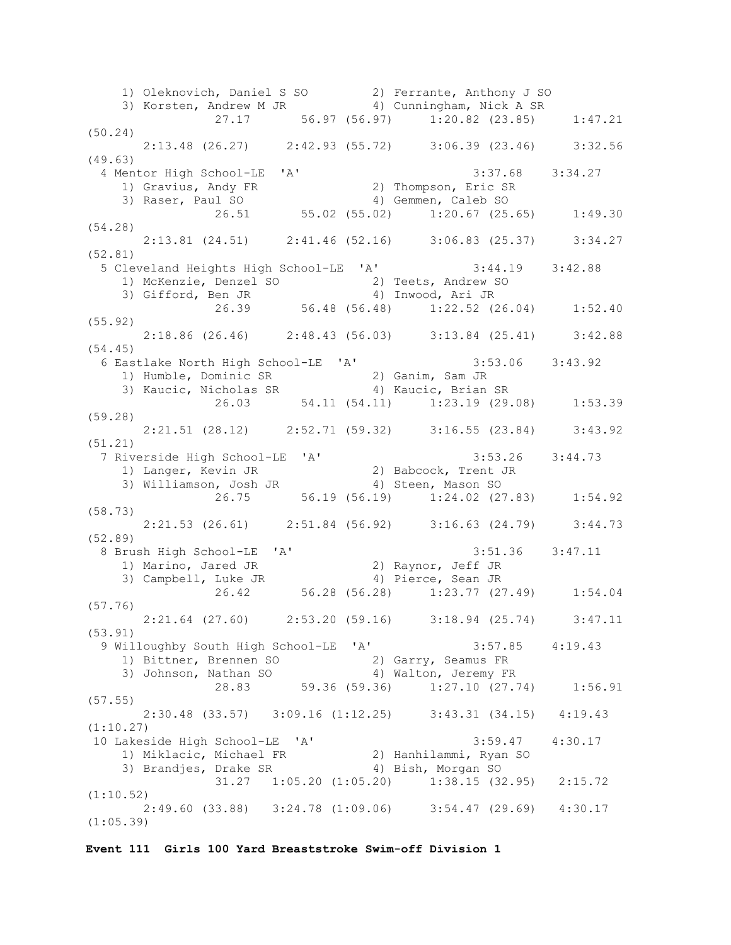1) Oleknovich, Daniel S SO 2) Ferrante, Anthony J SO 3) Korsten, Andrew M JR 4) Cunningham, Nick A SR 27.17 56.97 (56.97) 1:20.82 (23.85) 1:47.21 (50.24) 2:13.48 (26.27) 2:42.93 (55.72) 3:06.39 (23.46) 3:32.56 (49.63) 4 Mentor High School-LE 'A' 3:37.68 3:34.27 1) Gravius, Andy FR 2) Thompson, Eric SR 3) Raser, Paul SO 4) Gemmen, Caleb SO 26.51 55.02 (55.02) 1:20.67 (25.65) 1:49.30 (54.28) 2:13.81 (24.51) 2:41.46 (52.16) 3:06.83 (25.37) 3:34.27 (52.81) 5 Cleveland Heights High School-LE 'A' 3:44.19 3:42.88 1) McKenzie, Denzel SO 2) Teets, Andrew SO 3) Gifford, Ben JR 4) Inwood, Ari JR 26.39 56.48 (56.48) 1:22.52 (26.04) 1:52.40 (55.92) 2:18.86 (26.46) 2:48.43 (56.03) 3:13.84 (25.41) 3:42.88 (54.45) 6 Eastlake North High School-LE 'A' 3:53.06 3:43.92 1) Humble, Dominic SR 2) Ganim, Sam JR 3) Kaucic, Nicholas SR 4) Kaucic, Brian SR 26.03 54.11 (54.11) 1:23.19 (29.08) 1:53.39 (59.28) 2:21.51 (28.12) 2:52.71 (59.32) 3:16.55 (23.84) 3:43.92 (51.21) 7 Riverside High School-LE 'A' 3:53.26 3:44.73 1) Langer, Kevin JR 2) Babcock, Trent JR 3) Williamson, Josh JR 4) Steen, Mason SO 26.75 56.19 (56.19) 1:24.02 (27.83) 1:54.92 (58.73) 2:21.53 (26.61) 2:51.84 (56.92) 3:16.63 (24.79) 3:44.73 (52.89) 8 Brush High School-LE 'A' 3:51.36 3:47.11 1) Marino, Jared JR 2) Raynor, Jeff JR 3) Campbell, Luke JR 4) Pierce, Sean JR 26.42 56.28 (56.28) 1:23.77 (27.49) 1:54.04 (57.76) 2:21.64 (27.60) 2:53.20 (59.16) 3:18.94 (25.74) 3:47.11 (53.91) 9 Willoughby South High School-LE 'A' 3:57.85 4:19.43 1) Bittner, Brennen SO 32) Garry, Seamus FR 3) Johnson, Nathan SO 4) Walton, Jeremy FR 28.83 59.36 (59.36) 1:27.10 (27.74) 1:56.91 (57.55) 2:30.48 (33.57) 3:09.16 (1:12.25) 3:43.31 (34.15) 4:19.43 (1:10.27) 10 Lakeside High School-LE 'A' 3:59.47 4:30.17 1) Miklacic, Michael FR 2) Hanhilammi, Ryan SO 3) Brandjes, Drake SR 4) Bish, Morgan SO 31.27 1:05.20 (1:05.20) 1:38.15 (32.95) 2:15.72 (1:10.52) 2:49.60 (33.88) 3:24.78 (1:09.06) 3:54.47 (29.69) 4:30.17 (1:05.39)

**Event 111 Girls 100 Yard Breaststroke Swim-off Division 1**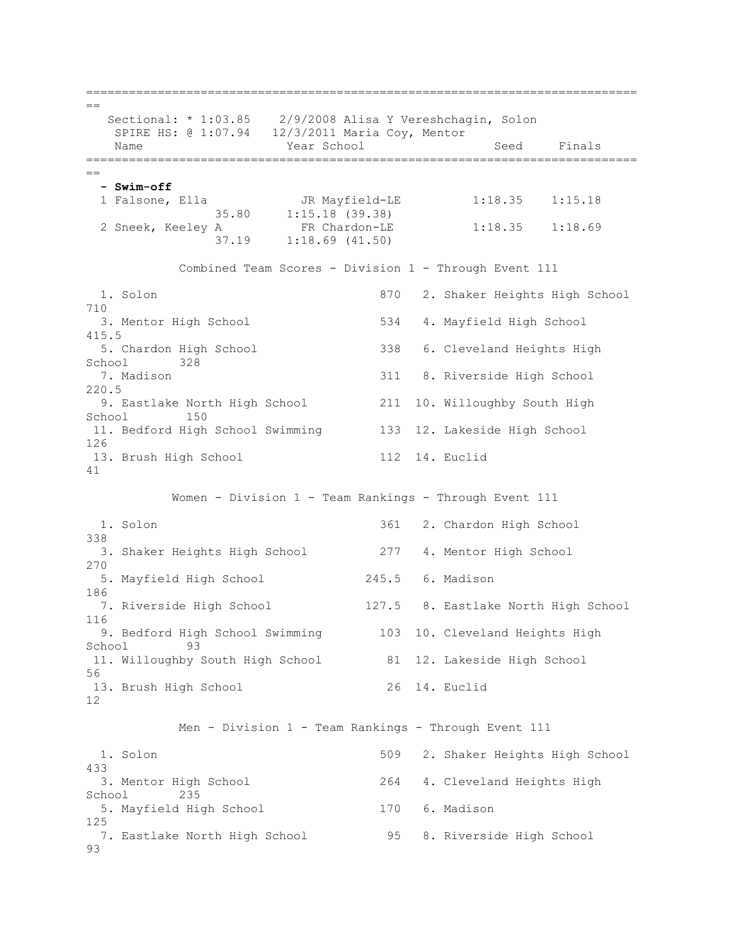=============================================================================  $=$  Sectional: \* 1:03.85 2/9/2008 Alisa Y Vereshchagin, Solon SPIRE HS: @ 1:07.94 12/3/2011 Maria Coy, Mentor Name Year School Seed Finals ============================================================================= ==  **- Swim-off** 1 Falsone, Ella JR Mayfield-LE 1:18.35 1:15.18 35.80 1:15.18 (39.38) 2 Sneek, Keeley A FR Chardon-LE 1:18.35 1:18.69 37.19 1:18.69 (41.50) Combined Team Scores - Division 1 - Through Event 111 1. Solon 870 2. Shaker Heights High School 710 3. Mentor High School 534 4. Mayfield High School 415.5 5. Chardon High School 338 6. Cleveland Heights High School 328 7. Madison 311 8. Riverside High School 220.5 9. Eastlake North High School 211 10. Willoughby South High School 150 11. Bedford High School Swimming 133 12. Lakeside High School 126 13. Brush High School 112 14. Euclid 41 Women - Division 1 - Team Rankings - Through Event 111 1. Solon 361 2. Chardon High School 338 3. Shaker Heights High School 277 4. Mentor High School 270 5. Mayfield High School 245.5 6. Madison 186 7. Riverside High School 127.5 8. Eastlake North High School 116 9. Bedford High School Swimming 103 10. Cleveland Heights High School 93 11. Willoughby South High School 81 12. Lakeside High School 56 13. Brush High School 26 14. Euclid 12 Men - Division 1 - Team Rankings - Through Event 111 1. Solon 509 2. Shaker Heights High School 433 3. Mentor High School 264 4. Cleveland Heights High School 235 5. Mayfield High School 170 6. Madison 125 7. Eastlake North High School 95 8. Riverside High School 93